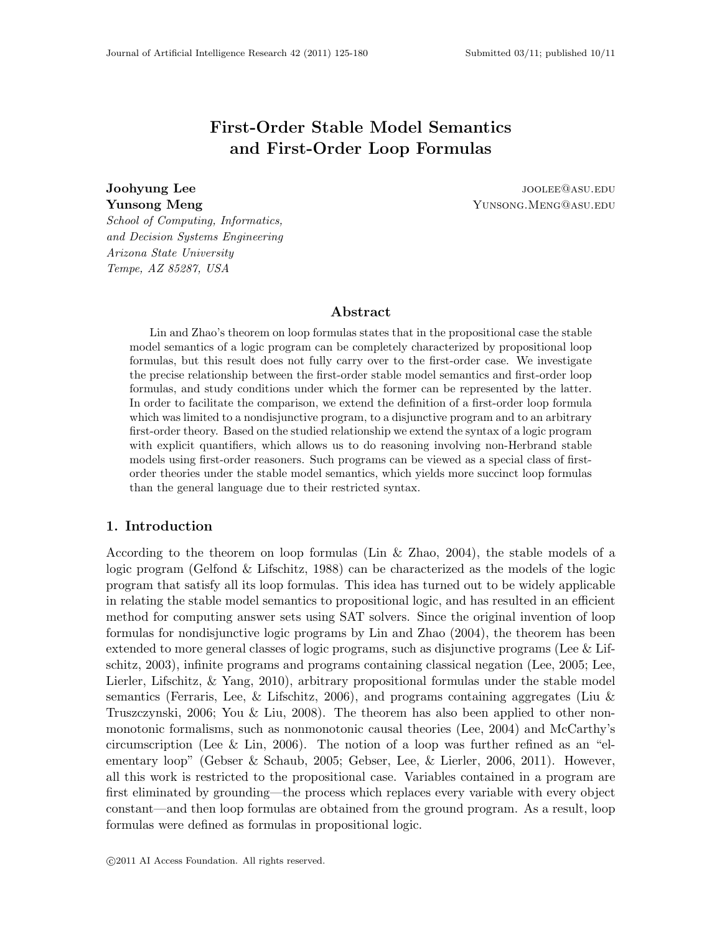# First-Order Stable Model Semantics and First-Order Loop Formulas

**Joohyung Lee is a contract of the contract of the contract of the contract of the contract of the contract of the contract of the contract of the contract of the contract of the contract of the contract of the contract of Yunsong Meng** News Allen Control of The Superson Control of Tensors Alexander Supersong Associates News Alexander

School of Computing, Informatics, and Decision Systems Engineering Arizona State University Tempe, AZ 85287, USA

## Abstract

Lin and Zhao's theorem on loop formulas states that in the propositional case the stable model semantics of a logic program can be completely characterized by propositional loop formulas, but this result does not fully carry over to the first-order case. We investigate the precise relationship between the first-order stable model semantics and first-order loop formulas, and study conditions under which the former can be represented by the latter. In order to facilitate the comparison, we extend the definition of a first-order loop formula which was limited to a nondisjunctive program, to a disjunctive program and to an arbitrary first-order theory. Based on the studied relationship we extend the syntax of a logic program with explicit quantifiers, which allows us to do reasoning involving non-Herbrand stable models using first-order reasoners. Such programs can be viewed as a special class of firstorder theories under the stable model semantics, which yields more succinct loop formulas than the general language due to their restricted syntax.

## 1. Introduction

According to the theorem on loop formulas (Lin & Zhao, 2004), the stable models of a logic program (Gelfond & Lifschitz, 1988) can be characterized as the models of the logic program that satisfy all its loop formulas. This idea has turned out to be widely applicable in relating the stable model semantics to propositional logic, and has resulted in an efficient method for computing answer sets using SAT solvers. Since the original invention of loop formulas for nondisjunctive logic programs by Lin and Zhao (2004), the theorem has been extended to more general classes of logic programs, such as disjunctive programs (Lee  $&$  Lifschitz, 2003), infinite programs and programs containing classical negation (Lee, 2005; Lee, Lierler, Lifschitz, & Yang, 2010), arbitrary propositional formulas under the stable model semantics (Ferraris, Lee, & Lifschitz, 2006), and programs containing aggregates (Liu & Truszczynski, 2006; You & Liu, 2008). The theorem has also been applied to other nonmonotonic formalisms, such as nonmonotonic causal theories (Lee, 2004) and McCarthy's circumscription (Lee  $&$  Lin, 2006). The notion of a loop was further refined as an "elementary loop" (Gebser & Schaub, 2005; Gebser, Lee, & Lierler, 2006, 2011). However, all this work is restricted to the propositional case. Variables contained in a program are first eliminated by grounding—the process which replaces every variable with every object constant—and then loop formulas are obtained from the ground program. As a result, loop formulas were defined as formulas in propositional logic.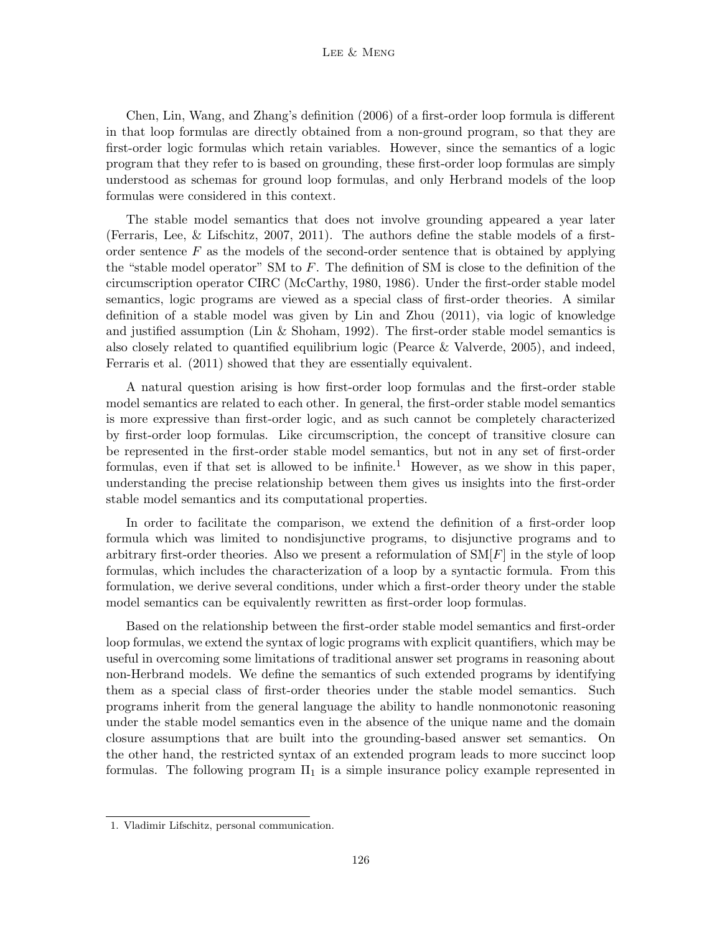#### LEE & MENG

Chen, Lin, Wang, and Zhang's definition (2006) of a first-order loop formula is different in that loop formulas are directly obtained from a non-ground program, so that they are first-order logic formulas which retain variables. However, since the semantics of a logic program that they refer to is based on grounding, these first-order loop formulas are simply understood as schemas for ground loop formulas, and only Herbrand models of the loop formulas were considered in this context.

The stable model semantics that does not involve grounding appeared a year later (Ferraris, Lee, & Lifschitz, 2007, 2011). The authors define the stable models of a firstorder sentence  $F$  as the models of the second-order sentence that is obtained by applying the "stable model operator" SM to  $F$ . The definition of SM is close to the definition of the circumscription operator CIRC (McCarthy, 1980, 1986). Under the first-order stable model semantics, logic programs are viewed as a special class of first-order theories. A similar definition of a stable model was given by Lin and Zhou (2011), via logic of knowledge and justified assumption (Lin  $&$  Shoham, 1992). The first-order stable model semantics is also closely related to quantified equilibrium logic (Pearce & Valverde, 2005), and indeed, Ferraris et al. (2011) showed that they are essentially equivalent.

A natural question arising is how first-order loop formulas and the first-order stable model semantics are related to each other. In general, the first-order stable model semantics is more expressive than first-order logic, and as such cannot be completely characterized by first-order loop formulas. Like circumscription, the concept of transitive closure can be represented in the first-order stable model semantics, but not in any set of first-order formulas, even if that set is allowed to be infinite.<sup>1</sup> However, as we show in this paper, understanding the precise relationship between them gives us insights into the first-order stable model semantics and its computational properties.

In order to facilitate the comparison, we extend the definition of a first-order loop formula which was limited to nondisjunctive programs, to disjunctive programs and to arbitrary first-order theories. Also we present a reformulation of  $\text{SM}[F]$  in the style of loop formulas, which includes the characterization of a loop by a syntactic formula. From this formulation, we derive several conditions, under which a first-order theory under the stable model semantics can be equivalently rewritten as first-order loop formulas.

Based on the relationship between the first-order stable model semantics and first-order loop formulas, we extend the syntax of logic programs with explicit quantifiers, which may be useful in overcoming some limitations of traditional answer set programs in reasoning about non-Herbrand models. We define the semantics of such extended programs by identifying them as a special class of first-order theories under the stable model semantics. Such programs inherit from the general language the ability to handle nonmonotonic reasoning under the stable model semantics even in the absence of the unique name and the domain closure assumptions that are built into the grounding-based answer set semantics. On the other hand, the restricted syntax of an extended program leads to more succinct loop formulas. The following program  $\Pi_1$  is a simple insurance policy example represented in

<sup>1.</sup> Vladimir Lifschitz, personal communication.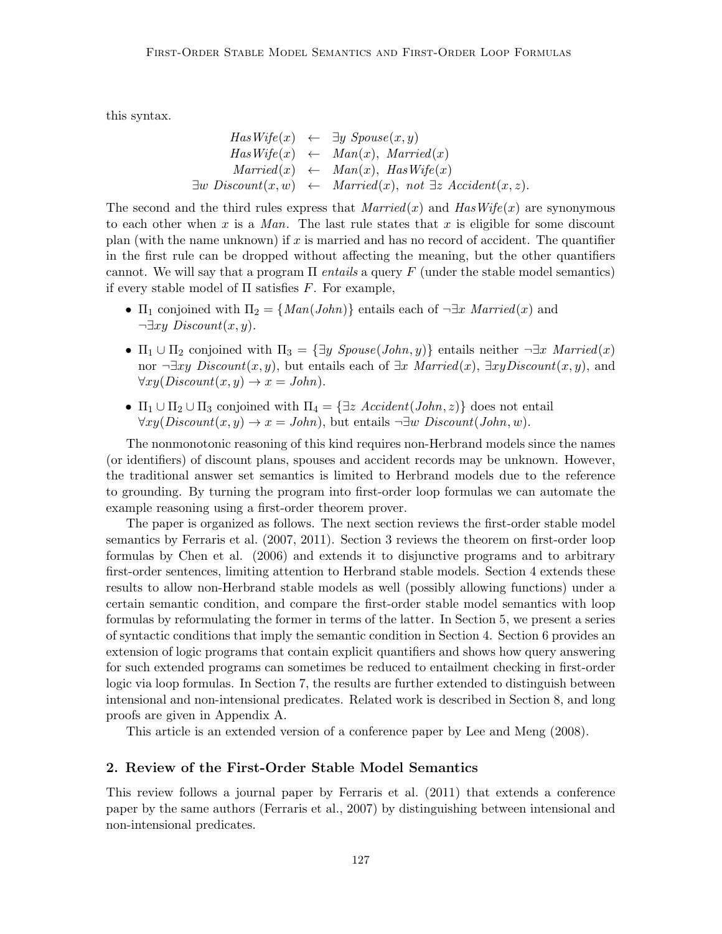this syntax.

$$
HasWife(x) \leftarrow \exists y \ Spouse(x, y)
$$
  
\n
$$
HasWife(x) \leftarrow Man(x), Married(x)
$$
  
\n
$$
Married(x) \leftarrow Man(x), HasWife(x)
$$
  
\n
$$
\exists w \ Discount(x, w) \leftarrow Married(x), not \exists z \text{Accident}(x, z).
$$

The second and the third rules express that  $Married(x)$  and  $HasWife(x)$  are synonymous to each other when x is a Man. The last rule states that x is eligible for some discount plan (with the name unknown) if  $x$  is married and has no record of accident. The quantifier in the first rule can be dropped without affecting the meaning, but the other quantifiers cannot. We will say that a program  $\Pi$  entails a query  $F$  (under the stable model semantics) if every stable model of  $\Pi$  satisfies F. For example,

- $\Pi_1$  conjoined with  $\Pi_2 = \{Man(John)\}\$ entails each of  $\neg \exists x \text{ Married}(x)$  and  $\neg \exists xy \ Discount(x, y).$
- $\Pi_1 \cup \Pi_2$  conjoined with  $\Pi_3 = {\exists y \; Spouse(John, y)}$  entails neither  $\neg \exists x \; Married(x)$ nor  $\neg \exists xy \text{ Discount}(x, y)$ , but entails each of  $\exists x \text{ America}(x), \exists xy \text{Discount}(x, y)$ , and  $\forall xy(Discount(x, y) \rightarrow x = John).$
- $\Pi_1 \cup \Pi_2 \cup \Pi_3$  conjoined with  $\Pi_4 = \{\exists z \text{ Accident}(John, z)\}\$  does not entail  $\forall xy(Discount(x, y) \rightarrow x = John)$ , but entails  $\neg \exists w \ Discount(John, w)$ .

The nonmonotonic reasoning of this kind requires non-Herbrand models since the names (or identifiers) of discount plans, spouses and accident records may be unknown. However, the traditional answer set semantics is limited to Herbrand models due to the reference to grounding. By turning the program into first-order loop formulas we can automate the example reasoning using a first-order theorem prover.

The paper is organized as follows. The next section reviews the first-order stable model semantics by Ferraris et al. (2007, 2011). Section 3 reviews the theorem on first-order loop formulas by Chen et al. (2006) and extends it to disjunctive programs and to arbitrary first-order sentences, limiting attention to Herbrand stable models. Section 4 extends these results to allow non-Herbrand stable models as well (possibly allowing functions) under a certain semantic condition, and compare the first-order stable model semantics with loop formulas by reformulating the former in terms of the latter. In Section 5, we present a series of syntactic conditions that imply the semantic condition in Section 4. Section 6 provides an extension of logic programs that contain explicit quantifiers and shows how query answering for such extended programs can sometimes be reduced to entailment checking in first-order logic via loop formulas. In Section 7, the results are further extended to distinguish between intensional and non-intensional predicates. Related work is described in Section 8, and long proofs are given in Appendix A.

This article is an extended version of a conference paper by Lee and Meng (2008).

## 2. Review of the First-Order Stable Model Semantics

This review follows a journal paper by Ferraris et al. (2011) that extends a conference paper by the same authors (Ferraris et al., 2007) by distinguishing between intensional and non-intensional predicates.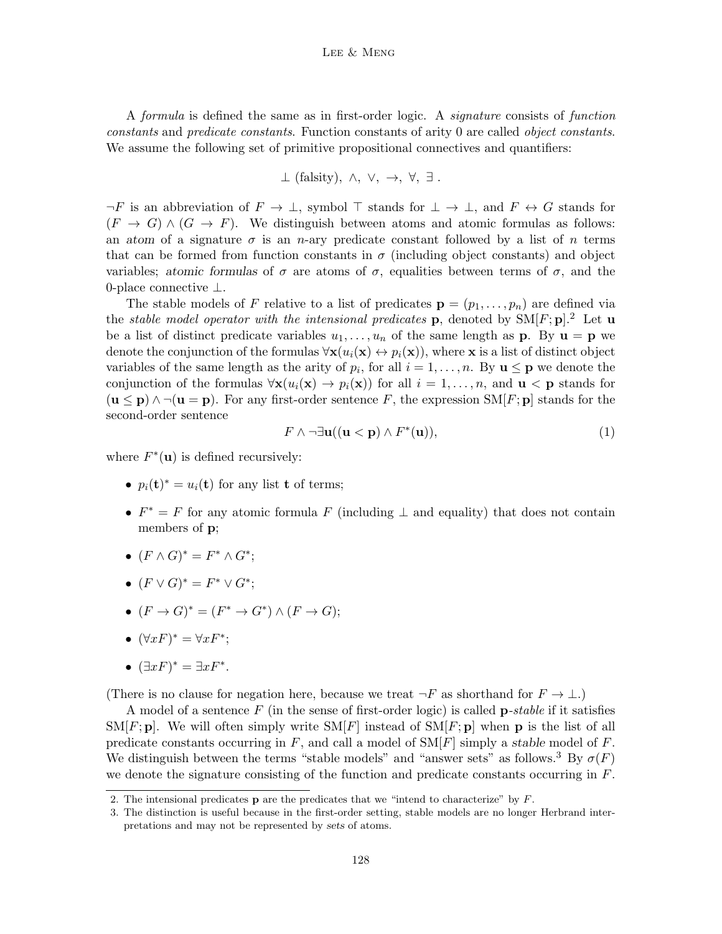#### LEE & MENG

A formula is defined the same as in first-order logic. A signature consists of function constants and predicate constants. Function constants of arity 0 are called object constants. We assume the following set of primitive propositional connectives and quantifiers:

$$
\perp
$$
 (falsity),  $\wedge$ ,  $\vee$ ,  $\rightarrow$ ,  $\forall$ ,  $\exists$ .

 $\neg F$  is an abbreviation of  $F \to \bot$ , symbol  $\top$  stands for  $\bot \to \bot$ , and  $F \leftrightarrow G$  stands for  $(F \to G) \wedge (G \to F)$ . We distinguish between atoms and atomic formulas as follows: an atom of a signature  $\sigma$  is an n-ary predicate constant followed by a list of n terms that can be formed from function constants in  $\sigma$  (including object constants) and object variables; atomic formulas of  $\sigma$  are atoms of  $\sigma$ , equalities between terms of  $\sigma$ , and the 0-place connective ⊥.

The stable models of F relative to a list of predicates  $\mathbf{p} = (p_1, \ldots, p_n)$  are defined via the *stable model operator with the intensional predicates* p, denoted by  $SM[F; p]$ <sup>2</sup> Let u be a list of distinct predicate variables  $u_1, \ldots, u_n$  of the same length as **p**. By  $\mathbf{u} = \mathbf{p}$  we denote the conjunction of the formulas  $\forall x(u_i(\mathbf{x}) \leftrightarrow p_i(\mathbf{x}))$ , where x is a list of distinct object variables of the same length as the arity of  $p_i$ , for all  $i = 1, \ldots, n$ . By  $\mathbf{u} \leq \mathbf{p}$  we denote the conjunction of the formulas  $\forall \mathbf{x}(u_i(\mathbf{x}) \to p_i(\mathbf{x}))$  for all  $i = 1, \ldots, n$ , and  $\mathbf{u} < \mathbf{p}$  stands for  $(\mathbf{u} \le \mathbf{p}) \wedge \neg(\mathbf{u} = \mathbf{p})$ . For any first-order sentence F, the expression  $\text{SM}[F; \mathbf{p}]$  stands for the second-order sentence

$$
F \wedge \neg \exists \mathbf{u} ((\mathbf{u} < \mathbf{p}) \wedge F^*(\mathbf{u})), \tag{1}
$$

where  $F^*(\mathbf{u})$  is defined recursively:

- $p_i(\mathbf{t})^* = u_i(\mathbf{t})$  for any list **t** of terms;
- $F^* = F$  for any atomic formula F (including  $\perp$  and equality) that does not contain members of **p**;
- $(F \wedge G)^* = F^* \wedge G^*$ ;
- $(F \vee G)^* = F^* \vee G^*;$
- $(F \to G)^* = (F^* \to G^*) \wedge (F \to G);$
- $(\forall x F)^* = \forall x F^*;$
- $(\exists x F)^* = \exists x F^*$ .

(There is no clause for negation here, because we treat  $\neg F$  as shorthand for  $F \to \bot$ .)

A model of a sentence  $F$  (in the sense of first-order logic) is called **p**-stable if it satisfies  $\text{SM}[F; \mathbf{p}]$ . We will often simply write  $\text{SM}[F]$  instead of  $\text{SM}[F; \mathbf{p}]$  when **p** is the list of all predicate constants occurring in F, and call a model of  $\text{SM}[F]$  simply a stable model of F. We distinguish between the terms "stable models" and "answer sets" as follows.<sup>3</sup> By  $\sigma(F)$ we denote the signature consisting of the function and predicate constants occurring in  $F$ .

<sup>2.</sup> The intensional predicates **p** are the predicates that we "intend to characterize" by  $F$ .

<sup>3.</sup> The distinction is useful because in the first-order setting, stable models are no longer Herbrand interpretations and may not be represented by sets of atoms.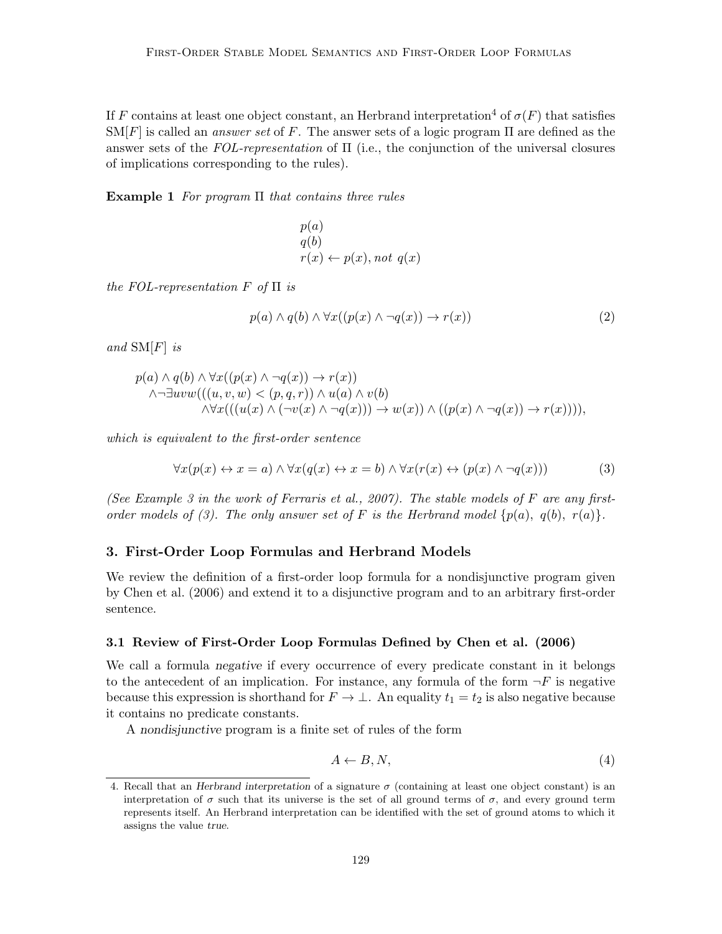If F contains at least one object constant, an Herbrand interpretation<sup>4</sup> of  $\sigma(F)$  that satisfies  $\text{SM}[F]$  is called an *answer set* of F. The answer sets of a logic program  $\Pi$  are defined as the answer sets of the  $FOL-representation$  of  $\Pi$  (i.e., the conjunction of the universal closures of implications corresponding to the rules).

**Example 1** For program  $\Pi$  that contains three rules

$$
p(a)
$$
  
q(b)  

$$
r(x) \leftarrow p(x), not \ q(x)
$$

the FOL-representation  $F$  of  $\Pi$  is

$$
p(a) \land q(b) \land \forall x((p(x) \land \neg q(x)) \to r(x))
$$
\n<sup>(2)</sup>

and  $\text{SM}[F]$  is

$$
p(a) \land q(b) \land \forall x ((p(x) \land \neg q(x)) \to r(x))
$$
  
 
$$
\land \neg \exists uvw(((u, v, w) < (p, q, r)) \land u(a) \land v(b))
$$
  
 
$$
\land \forall x (((u(x) \land (\neg v(x) \land \neg q(x))) \to w(x)) \land ((p(x) \land \neg q(x)) \to r(x))))
$$

which is equivalent to the first-order sentence

$$
\forall x(p(x) \leftrightarrow x = a) \land \forall x(q(x) \leftrightarrow x = b) \land \forall x(r(x) \leftrightarrow (p(x) \land \neg q(x)))
$$
\n(3)

(See Example 3 in the work of Ferraris et al., 2007). The stable models of F are any firstorder models of (3). The only answer set of F is the Herbrand model  $\{p(a), q(b), r(a)\}.$ 

### 3. First-Order Loop Formulas and Herbrand Models

We review the definition of a first-order loop formula for a nondisjunctive program given by Chen et al. (2006) and extend it to a disjunctive program and to an arbitrary first-order sentence.

## 3.1 Review of First-Order Loop Formulas Defined by Chen et al. (2006)

We call a formula negative if every occurrence of every predicate constant in it belongs to the antecedent of an implication. For instance, any formula of the form  $\neg F$  is negative because this expression is shorthand for  $F \to \bot$ . An equality  $t_1 = t_2$  is also negative because it contains no predicate constants.

A nondisjunctive program is a finite set of rules of the form

$$
A \leftarrow B, N,\tag{4}
$$

<sup>4.</sup> Recall that an Herbrand interpretation of a signature  $\sigma$  (containing at least one object constant) is an interpretation of  $\sigma$  such that its universe is the set of all ground terms of  $\sigma$ , and every ground term represents itself. An Herbrand interpretation can be identified with the set of ground atoms to which it assigns the value true.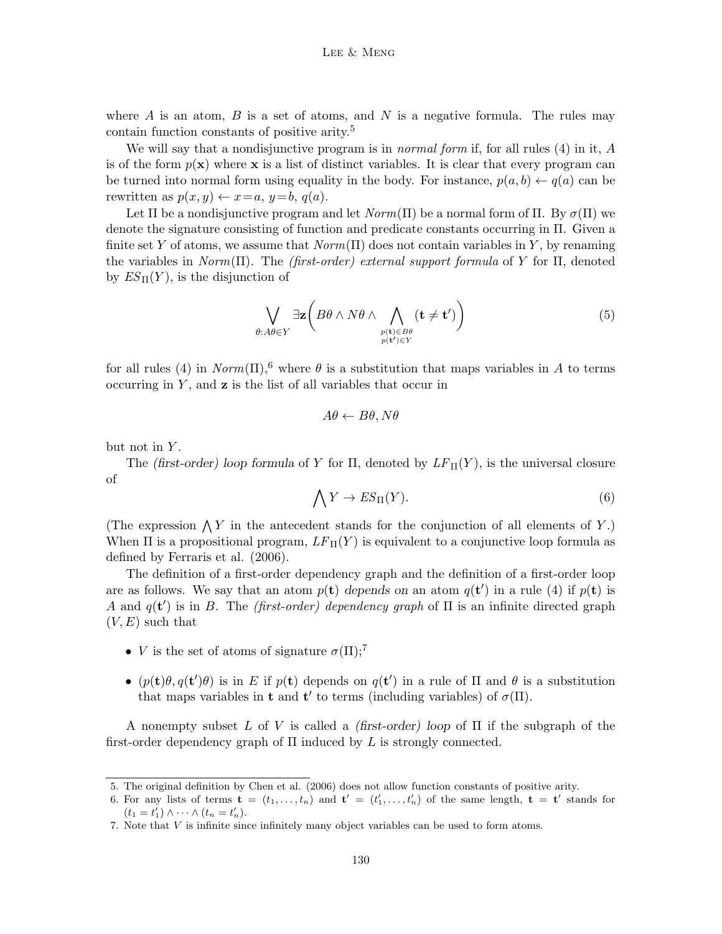where  $A$  is an atom,  $B$  is a set of atoms, and  $N$  is a negative formula. The rules may contain function constants of positive arity.<sup>5</sup>

We will say that a nondisjunctive program is in *normal form* if, for all rules (4) in it, A is of the form  $p(x)$  where x is a list of distinct variables. It is clear that every program can be turned into normal form using equality in the body. For instance,  $p(a, b) \leftarrow q(a)$  can be rewritten as  $p(x, y) \leftarrow x=a, y=b, q(a)$ .

Let Π be a nondisjunctive program and let  $Norm(\Pi)$  be a normal form of  $\Pi$ . By  $\sigma(\Pi)$  we denote the signature consisting of function and predicate constants occurring in Π. Given a finite set Y of atoms, we assume that  $Norm(\Pi)$  does not contain variables in Y, by renaming the variables in  $Norm(\Pi)$ . The *(first-order) external support formula* of Y for  $\Pi$ , denoted by  $ES_{\Pi}(Y)$ , is the disjunction of

$$
\bigvee_{\theta:A\theta\in Y}\exists \mathbf{z}\bigg(B\theta\wedge N\theta\wedge \bigwedge_{\substack{p(\mathbf{t})\in B\theta\\p(\mathbf{t}')\in Y}}(\mathbf{t}\neq \mathbf{t}')\bigg)\tag{5}
$$

for all rules (4) in  $Norm(\Pi)$ ,<sup>6</sup> where  $\theta$  is a substitution that maps variables in A to terms occurring in  $Y$ , and  $z$  is the list of all variables that occur in

$$
A\theta \leftarrow B\theta, N\theta
$$

but not in  $Y$ .

The (first-order) loop formula of Y for  $\Pi$ , denoted by  $LF_{\Pi}(Y)$ , is the universal closure of

$$
\bigwedge Y \to ES_{\Pi}(Y). \tag{6}
$$

(The expression  $\bigwedge Y$  in the antecedent stands for the conjunction of all elements of Y.) When  $\Pi$  is a propositional program,  $LF_{\Pi}(Y)$  is equivalent to a conjunctive loop formula as defined by Ferraris et al. (2006).

The definition of a first-order dependency graph and the definition of a first-order loop are as follows. We say that an atom  $p(\mathbf{t})$  depends on an atom  $q(\mathbf{t}')$  in a rule (4) if  $p(\mathbf{t})$  is A and  $q(t')$  is in B. The *(first-order)* dependency graph of  $\Pi$  is an infinite directed graph  $(V, E)$  such that

- *V* is the set of atoms of signature  $\sigma(\Pi)$ ;<sup>7</sup>
- $(p(\mathbf{t})\theta, q(\mathbf{t}')\theta)$  is in E if  $p(\mathbf{t})$  depends on  $q(\mathbf{t}')$  in a rule of  $\Pi$  and  $\theta$  is a substitution that maps variables in **t** and **t'** to terms (including variables) of  $\sigma(\Pi)$ .

A nonempty subset L of V is called a *(first-order)* loop of  $\Pi$  if the subgraph of the first-order dependency graph of  $\Pi$  induced by  $L$  is strongly connected.

<sup>5.</sup> The original definition by Chen et al. (2006) does not allow function constants of positive arity.

<sup>6.</sup> For any lists of terms  $\mathbf{t} = (t_1, \ldots, t_n)$  and  $\mathbf{t}' = (t'_1, \ldots, t'_n)$  of the same length,  $\mathbf{t} = \mathbf{t}'$  stands for  $(t_1 = t'_1) \wedge \cdots \wedge (t_n = t'_n).$ 

<sup>7.</sup> Note that V is infinite since infinitely many object variables can be used to form atoms.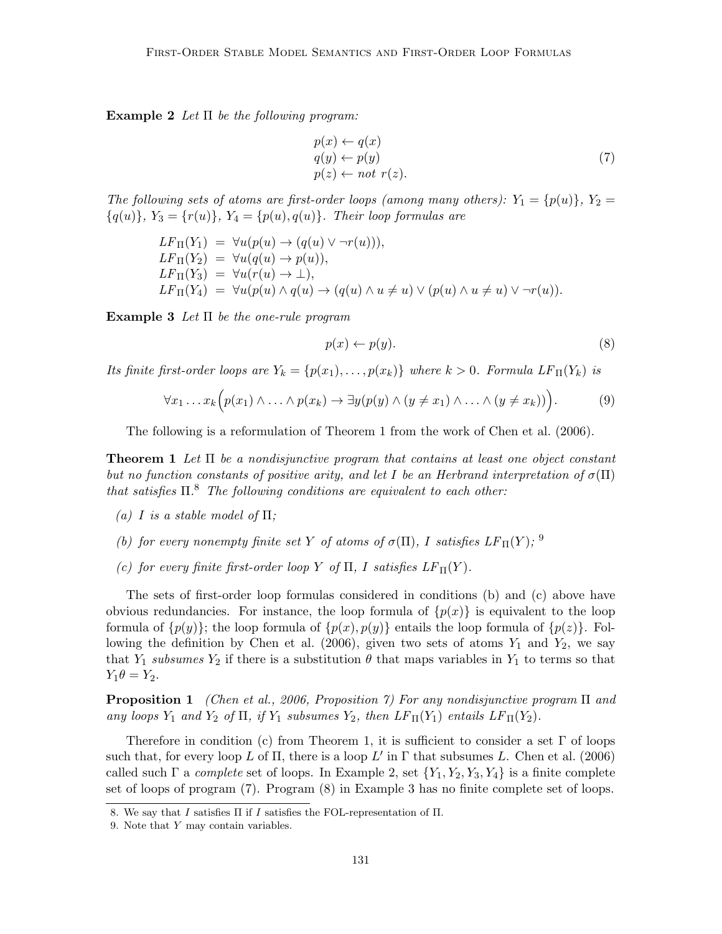Example 2 Let  $\Pi$  be the following program:

$$
p(x) \leftarrow q(x)
$$
  
\n
$$
q(y) \leftarrow p(y)
$$
  
\n
$$
p(z) \leftarrow not \ r(z).
$$
\n(7)

The following sets of atoms are first-order loops (among many others):  $Y_1 = \{p(u)\}, Y_2 =$  ${q(u)}$ ,  $Y_3 = {r(u)}$ ,  $Y_4 = {p(u), q(u)}$ . Their loop formulas are

$$
LF_{\Pi}(Y_1) = \forall u(p(u) \rightarrow (q(u) \vee \neg r(u))),
$$
  
\n
$$
LF_{\Pi}(Y_2) = \forall u(q(u) \rightarrow p(u)),
$$
  
\n
$$
LF_{\Pi}(Y_3) = \forall u(r(u) \rightarrow \bot),
$$
  
\n
$$
LF_{\Pi}(Y_4) = \forall u(p(u) \wedge q(u) \rightarrow (q(u) \wedge u \neq u) \vee (p(u) \wedge u \neq u) \vee \neg r(u)).
$$

**Example 3** Let  $\Pi$  be the one-rule program

$$
p(x) \leftarrow p(y). \tag{8}
$$

Its finite first-order loops are  $Y_k = \{p(x_1), \ldots, p(x_k)\}\$  where  $k > 0$ . Formula  $LF_{\Pi}(Y_k)$  is

$$
\forall x_1 \ldots x_k \Big( p(x_1) \wedge \ldots \wedge p(x_k) \rightarrow \exists y (p(y) \wedge (y \neq x_1) \wedge \ldots \wedge (y \neq x_k)) \Big). \tag{9}
$$

The following is a reformulation of Theorem 1 from the work of Chen et al. (2006).

**Theorem 1** Let  $\Pi$  be a nondisjunctive program that contains at least one object constant but no function constants of positive arity, and let I be an Herbrand interpretation of  $\sigma(\Pi)$ that satisfies  $\Pi$ <sup>8</sup>. The following conditions are equivalent to each other:

- (a) I is a stable model of  $\Pi$ ;
- (b) for every nonempty finite set Y of atoms of  $\sigma(\Pi)$ , I satisfies  $LF_{\Pi}(Y)$ ; <sup>9</sup>
- (c) for every finite first-order loop Y of  $\Pi$ , I satisfies  $LF_{\Pi}(Y)$ .

The sets of first-order loop formulas considered in conditions (b) and (c) above have obvious redundancies. For instance, the loop formula of  $\{p(x)\}\$ is equivalent to the loop formula of  $\{p(y)\}\$ ; the loop formula of  $\{p(x), p(y)\}\$  entails the loop formula of  $\{p(z)\}\$ . Following the definition by Chen et al. (2006), given two sets of atoms  $Y_1$  and  $Y_2$ , we say that  $Y_1$  subsumes  $Y_2$  if there is a substitution  $\theta$  that maps variables in  $Y_1$  to terms so that  $Y_1\theta = Y_2.$ 

**Proposition 1** (Chen et al., 2006, Proposition 7) For any nondisjunctive program  $\Pi$  and any loops  $Y_1$  and  $Y_2$  of  $\Pi$ , if  $Y_1$  subsumes  $Y_2$ , then  $LF_{\Pi}(Y_1)$  entails  $LF_{\Pi}(Y_2)$ .

Therefore in condition (c) from Theorem 1, it is sufficient to consider a set  $\Gamma$  of loops such that, for every loop L of  $\Pi$ , there is a loop L' in  $\Gamma$  that subsumes L. Chen et al. (2006) called such  $\Gamma$  a *complete* set of loops. In Example 2, set  $\{Y_1, Y_2, Y_3, Y_4\}$  is a finite complete set of loops of program (7). Program (8) in Example 3 has no finite complete set of loops.

<sup>8.</sup> We say that I satisfies  $\Pi$  if I satisfies the FOL-representation of  $\Pi$ .

<sup>9.</sup> Note that Y may contain variables.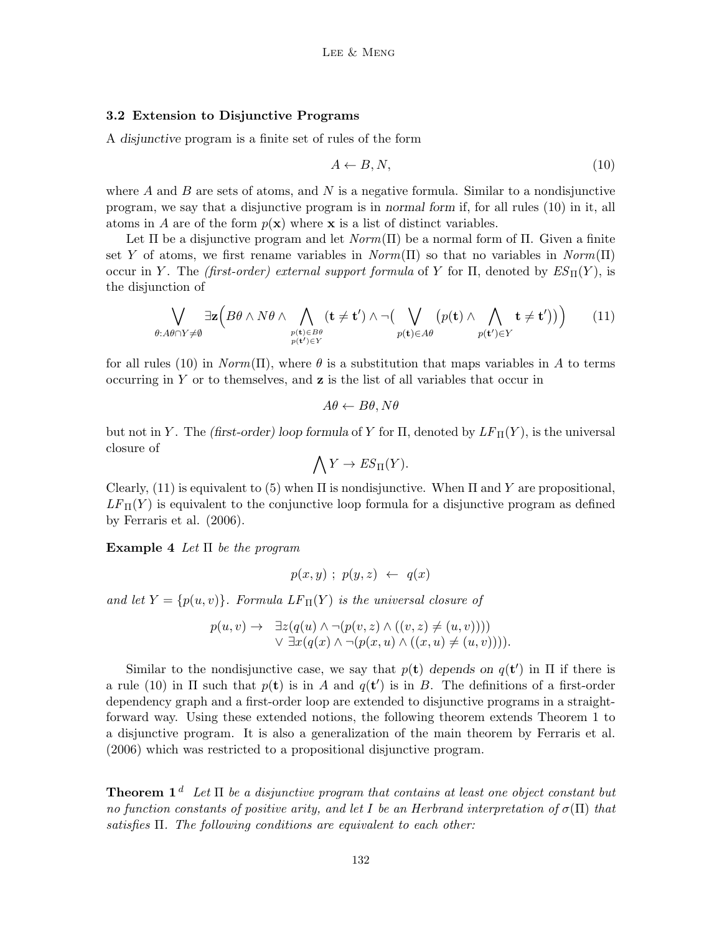## 3.2 Extension to Disjunctive Programs

A disjunctive program is a finite set of rules of the form

$$
A \leftarrow B, N,\tag{10}
$$

where  $A$  and  $B$  are sets of atoms, and  $N$  is a negative formula. Similar to a nondisjunctive program, we say that a disjunctive program is in normal form if, for all rules (10) in it, all atoms in A are of the form  $p(x)$  where x is a list of distinct variables.

Let  $\Pi$  be a disjunctive program and let  $Norm(\Pi)$  be a normal form of  $\Pi$ . Given a finite set Y of atoms, we first rename variables in  $Norm(\Pi)$  so that no variables in  $Norm(\Pi)$ occur in Y. The (first-order) external support formula of Y for  $\Pi$ , denoted by  $ES_{\Pi}(Y)$ , is the disjunction of

$$
\bigvee_{\theta:A\theta\cap Y\neq\emptyset}\exists\mathbf{z}\Big(B\theta\wedge N\theta\wedge\bigwedge_{\substack{p(\mathbf{t})\in B\theta\\p(\mathbf{t}')\in Y}}(\mathbf{t}\neq\mathbf{t}')\wedge\neg\big(\bigvee_{p(\mathbf{t})\in A\theta}(p(\mathbf{t})\wedge\bigwedge_{p(\mathbf{t}')\in Y}\mathbf{t}\neq\mathbf{t}')\big)\Big)\qquad(11)
$$

for all rules (10) in  $Norm(\Pi)$ , where  $\theta$  is a substitution that maps variables in A to terms occurring in Y or to themselves, and  $z$  is the list of all variables that occur in

$$
A\theta \leftarrow B\theta, N\theta
$$

but not in Y. The (first-order) loop formula of Y for  $\Pi$ , denoted by  $LF_{\Pi}(Y)$ , is the universal closure of

$$
\bigwedge Y \to ES_{\Pi}(Y).
$$

Clearly, (11) is equivalent to (5) when  $\Pi$  is nondisjunctive. When  $\Pi$  and Y are propositional,  $LF_{\Pi}(Y)$  is equivalent to the conjunctive loop formula for a disjunctive program as defined by Ferraris et al. (2006).

**Example 4** Let  $\Pi$  be the program

$$
p(x,y) \; ; \; p(y,z) \; \leftarrow \; q(x)
$$

and let  $Y = \{p(u, v)\}\$ . Formula  $LF_{\Pi}(Y)$  is the universal closure of

$$
p(u, v) \rightarrow \exists z (q(u) \land \neg(p(v, z) \land ((v, z) \neq (u, v))))
$$
  
 
$$
\lor \exists x (q(x) \land \neg(p(x, u) \land ((x, u) \neq (u, v))))
$$

Similar to the nondisjunctive case, we say that  $p(\mathbf{t})$  depends on  $q(\mathbf{t}')$  in  $\Pi$  if there is a rule (10) in  $\Pi$  such that  $p(\mathbf{t})$  is in A and  $q(\mathbf{t}')$  is in B. The definitions of a first-order dependency graph and a first-order loop are extended to disjunctive programs in a straightforward way. Using these extended notions, the following theorem extends Theorem 1 to a disjunctive program. It is also a generalization of the main theorem by Ferraris et al. (2006) which was restricted to a propositional disjunctive program.

**Theorem 1**<sup>d</sup> Let  $\Pi$  be a disjunctive program that contains at least one object constant but no function constants of positive arity, and let I be an Herbrand interpretation of  $\sigma(\Pi)$  that satisfies  $\Pi$ . The following conditions are equivalent to each other: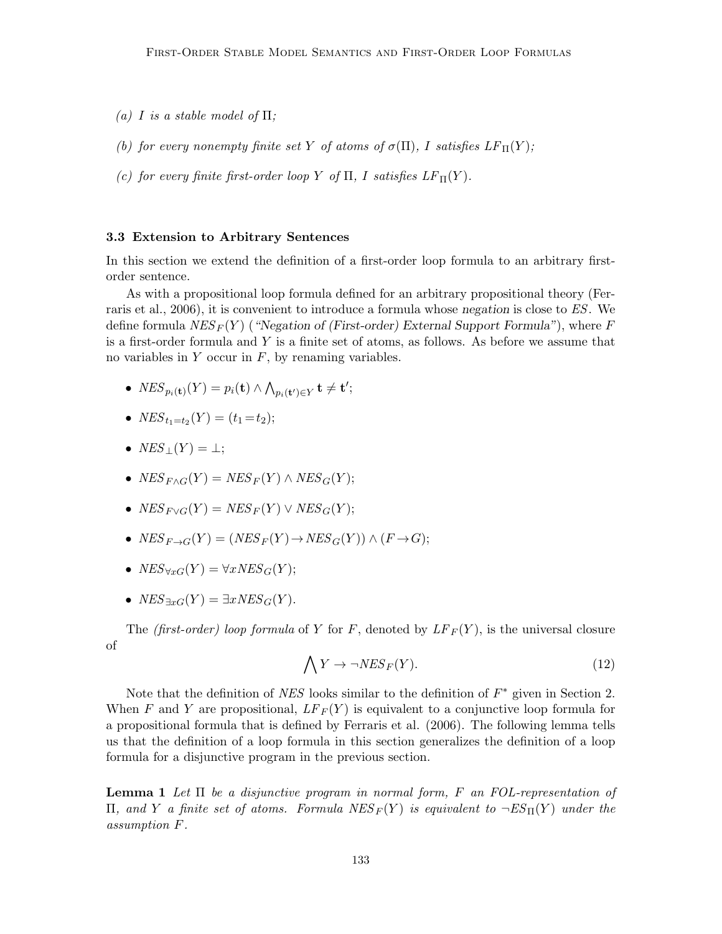- (a) I is a stable model of  $\Pi$ ;
- (b) for every nonempty finite set Y of atoms of  $\sigma(\Pi)$ , I satisfies  $LF_{\Pi}(Y)$ ;
- (c) for every finite first-order loop Y of  $\Pi$ , I satisfies  $LF_{\Pi}(Y)$ .

#### 3.3 Extension to Arbitrary Sentences

In this section we extend the definition of a first-order loop formula to an arbitrary firstorder sentence.

As with a propositional loop formula defined for an arbitrary propositional theory (Ferraris et al., 2006), it is convenient to introduce a formula whose negation is close to ES. We define formula  $NES_F(Y)$  ("Negation of (First-order) External Support Formula"), where F is a first-order formula and Y is a finite set of atoms, as follows. As before we assume that no variables in  $Y$  occur in  $F$ , by renaming variables.

- $NES_{p_i(\mathbf{t})}(Y) = p_i(\mathbf{t}) \wedge \bigwedge_{p_i(\mathbf{t}') \in Y} \mathbf{t} \neq \mathbf{t}';$
- $NES_{t_1=t_2}(Y) = (t_1 = t_2);$
- $NES_1(Y) = \perp;$
- $NES_{F \wedge G}(Y) = NES_{F}(Y) \wedge NES_{G}(Y);$
- $NES_{F\vee G}(Y) = NES_F(Y) \vee NES_G(Y);$
- $NES_{F\rightarrow G}(Y) = (NES_F(Y) \rightarrow NES_G(Y)) \wedge (F \rightarrow G);$
- $NES_{\forall rG}(Y) = \forall xNES_G(Y);$
- $NES_{\exists rG}(Y) = \exists xNES_G(Y).$

The *(first-order)* loop formula of Y for F, denoted by  $LF_F(Y)$ , is the universal closure of

$$
\bigwedge Y \to \neg NES_F(Y). \tag{12}
$$

Note that the definition of  $NES$  looks similar to the definition of  $F^*$  given in Section 2. When F and Y are propositional,  $LF_F(Y)$  is equivalent to a conjunctive loop formula for a propositional formula that is defined by Ferraris et al. (2006). The following lemma tells us that the definition of a loop formula in this section generalizes the definition of a loop formula for a disjunctive program in the previous section.

**Lemma 1** Let  $\Pi$  be a disjunctive program in normal form, F an FOL-representation of Π, and Y a finite set of atoms. Formula  $NES_F(Y)$  is equivalent to  $\neg ES_{\Pi}(Y)$  under the assumption F.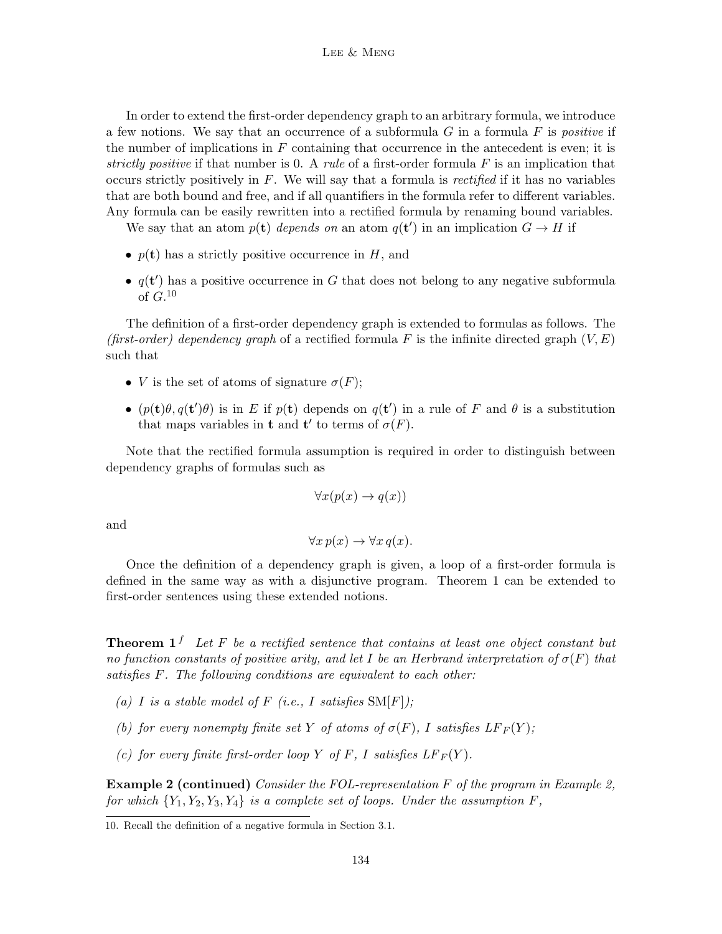In order to extend the first-order dependency graph to an arbitrary formula, we introduce a few notions. We say that an occurrence of a subformula  $G$  in a formula  $F$  is *positive* if the number of implications in  $F$  containing that occurrence in the antecedent is even; it is strictly positive if that number is 0. A rule of a first-order formula  $F$  is an implication that occurs strictly positively in  $F$ . We will say that a formula is *rectified* if it has no variables that are both bound and free, and if all quantifiers in the formula refer to different variables. Any formula can be easily rewritten into a rectified formula by renaming bound variables.

We say that an atom  $p(\mathbf{t})$  depends on an atom  $q(\mathbf{t}')$  in an implication  $G \to H$  if

- $p(t)$  has a strictly positive occurrence in H, and
- $q(t')$  has a positive occurrence in G that does not belong to any negative subformula of  $G$ <sup>10</sup>

The definition of a first-order dependency graph is extended to formulas as follows. The (first-order) dependency graph of a rectified formula F is the infinite directed graph  $(V, E)$ such that

- *V* is the set of atoms of signature  $\sigma(F)$ ;
- $(p(\mathbf{t})\theta, q(\mathbf{t}')\theta)$  is in E if  $p(\mathbf{t})$  depends on  $q(\mathbf{t}')$  in a rule of F and  $\theta$  is a substitution that maps variables in **t** and **t'** to terms of  $\sigma(F)$ .

Note that the rectified formula assumption is required in order to distinguish between dependency graphs of formulas such as

$$
\forall x (p(x) \to q(x))
$$

and

$$
\forall x \, p(x) \to \forall x \, q(x).
$$

Once the definition of a dependency graph is given, a loop of a first-order formula is defined in the same way as with a disjunctive program. Theorem 1 can be extended to first-order sentences using these extended notions.

**Theorem 1**<sup>f</sup> Let F be a rectified sentence that contains at least one object constant but no function constants of positive arity, and let I be an Herbrand interpretation of  $\sigma(F)$  that satisfies F. The following conditions are equivalent to each other:

- (a) I is a stable model of F (i.e., I satisfies  $SM[F]$ );
- (b) for every nonempty finite set Y of atoms of  $\sigma(F)$ , I satisfies  $LF_F(Y)$ ;
- (c) for every finite first-order loop Y of F, I satisfies  $LF_F(Y)$ .

**Example 2 (continued)** Consider the FOL-representation  $F$  of the program in Example 2, for which  ${Y_1, Y_2, Y_3, Y_4}$  is a complete set of loops. Under the assumption F,

<sup>10.</sup> Recall the definition of a negative formula in Section 3.1.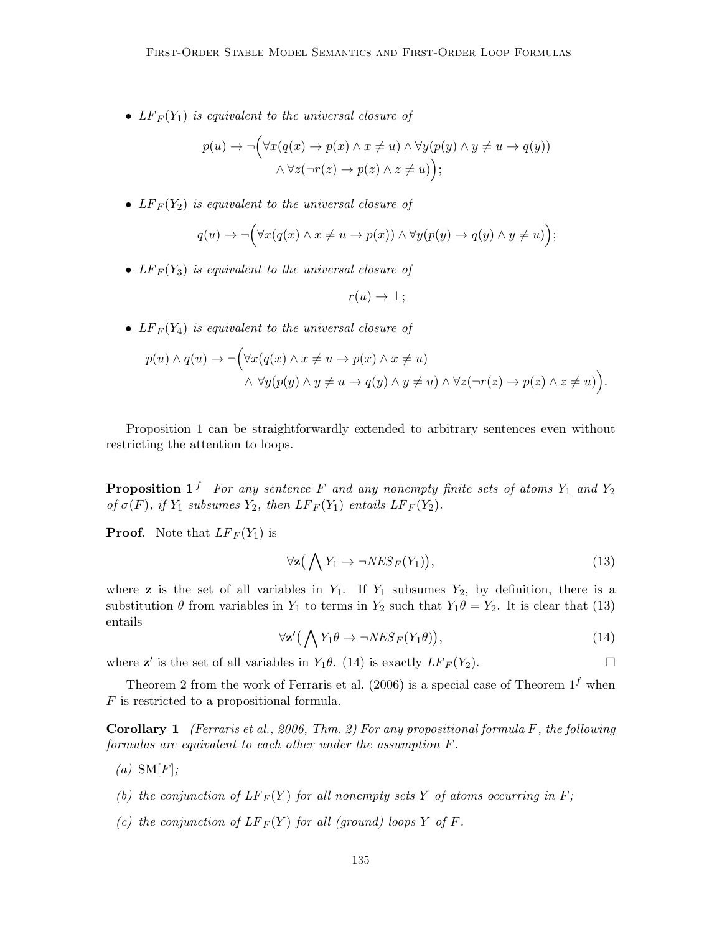•  $LF_F(Y_1)$  is equivalent to the universal closure of

$$
p(u) \to \neg (\forall x (q(x) \to p(x) \land x \neq u) \land \forall y (p(y) \land y \neq u \to q(y))
$$

$$
\land \forall z (\neg r(z) \to p(z) \land z \neq u) \Big);
$$

•  $LF_F(Y_2)$  is equivalent to the universal closure of

$$
q(u) \to \neg (\forall x (q(x) \land x \neq u \to p(x)) \land \forall y (p(y) \to q(y) \land y \neq u))
$$

•  $LF_F(Y_3)$  is equivalent to the universal closure of

$$
r(u) \to \bot;
$$

•  $LF_F(Y_4)$  is equivalent to the universal closure of

$$
p(u) \land q(u) \rightarrow \neg (\forall x (q(x) \land x \neq u \rightarrow p(x) \land x \neq u) \land \forall y (p(y) \land y \neq u \rightarrow q(y) \land y \neq u) \land \forall z (\neg r(z) \rightarrow p(z) \land z \neq u)).
$$

Proposition 1 can be straightforwardly extended to arbitrary sentences even without restricting the attention to loops.

**Proposition 1**<sup>f</sup> For any sentence F and any nonempty finite sets of atoms  $Y_1$  and  $Y_2$ of  $\sigma(F)$ , if  $Y_1$  subsumes  $Y_2$ , then  $LF_F(Y_1)$  entails  $LF_F(Y_2)$ .

**Proof.** Note that  $LF_F(Y_1)$  is

$$
\forall \mathbf{z} \big( \bigwedge Y_1 \to \neg NES_F(Y_1) \big), \tag{13}
$$

where **z** is the set of all variables in  $Y_1$ . If  $Y_1$  subsumes  $Y_2$ , by definition, there is a substitution  $\theta$  from variables in  $Y_1$  to terms in  $Y_2$  such that  $Y_1\theta = Y_2$ . It is clear that (13) entails

$$
\forall \mathbf{z}' \big( \bigwedge Y_1 \theta \to \neg NES_F(Y_1 \theta) \big), \tag{14}
$$

where  $z'$  is the set of all variables in  $Y_1\theta$ . (14) is exactly  $LF_F(Y_2)$ .

Theorem 2 from the work of Ferraris et al. (2006) is a special case of Theorem  $1<sup>f</sup>$  when F is restricted to a propositional formula.

**Corollary 1** (Ferraris et al., 2006, Thm. 2) For any propositional formula F, the following formulas are equivalent to each other under the assumption F.

- $(a)$  SM[F];
- (b) the conjunction of  $LF_F(Y)$  for all nonempty sets Y of atoms occurring in F;
- (c) the conjunction of  $LF_F(Y)$  for all (ground) loops Y of F.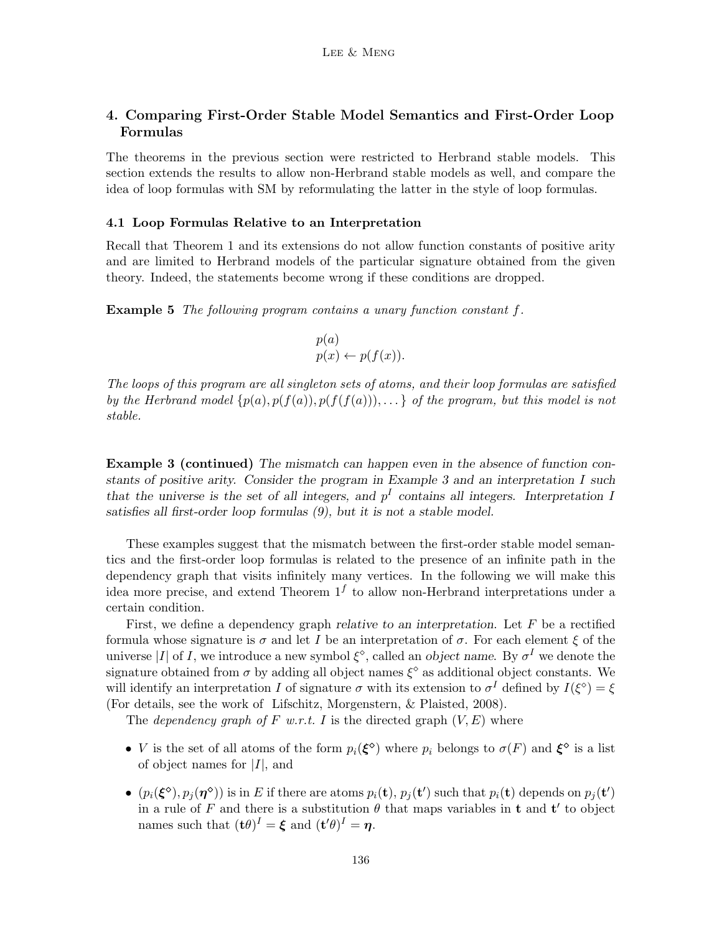## 4. Comparing First-Order Stable Model Semantics and First-Order Loop Formulas

The theorems in the previous section were restricted to Herbrand stable models. This section extends the results to allow non-Herbrand stable models as well, and compare the idea of loop formulas with SM by reformulating the latter in the style of loop formulas.

#### 4.1 Loop Formulas Relative to an Interpretation

Recall that Theorem 1 and its extensions do not allow function constants of positive arity and are limited to Herbrand models of the particular signature obtained from the given theory. Indeed, the statements become wrong if these conditions are dropped.

**Example 5** The following program contains a unary function constant  $f$ .

$$
p(a)
$$
  

$$
p(x) \leftarrow p(f(x)).
$$

The loops of this program are all singleton sets of atoms, and their loop formulas are satisfied by the Herbrand model  $\{p(a), p(f(a)), p(f(f(a))), \ldots\}$  of the program, but this model is not stable.

Example 3 (continued) The mismatch can happen even in the absence of function constants of positive arity. Consider the program in Example 3 and an interpretation  $I$  such that the universe is the set of all integers, and  $p<sup>I</sup>$  contains all integers. Interpretation I satisfies all first-order loop formulas (9), but it is not a stable model.

These examples suggest that the mismatch between the first-order stable model semantics and the first-order loop formulas is related to the presence of an infinite path in the dependency graph that visits infinitely many vertices. In the following we will make this idea more precise, and extend Theorem  $1<sup>f</sup>$  to allow non-Herbrand interpretations under a certain condition.

First, we define a dependency graph relative to an interpretation. Let  $F$  be a rectified formula whose signature is  $\sigma$  and let I be an interpretation of  $\sigma$ . For each element  $\xi$  of the universe |I| of I, we introduce a new symbol  $\xi^{\diamond}$ , called an *object name*. By  $\sigma^I$  we denote the signature obtained from  $\sigma$  by adding all object names  $\xi^{\diamond}$  as additional object constants. We will identify an interpretation I of signature  $\sigma$  with its extension to  $\sigma^I$  defined by  $I(\xi^{\diamond}) = \xi$ (For details, see the work of Lifschitz, Morgenstern, & Plaisted, 2008).

The dependency graph of F w.r.t. I is the directed graph  $(V, E)$  where

- *V* is the set of all atoms of the form  $p_i(\xi^{\diamond})$  where  $p_i$  belongs to  $\sigma(F)$  and  $\xi^{\diamond}$  is a list of object names for  $|I|$ , and
- $(p_i(\xi^{\circ}), p_j(\eta^{\circ}))$  is in E if there are atoms  $p_i(\mathbf{t}), p_j(\mathbf{t}')$  such that  $p_i(\mathbf{t})$  depends on  $p_j(\mathbf{t}')$ in a rule of F and there is a substitution  $\theta$  that maps variables in t and t' to object names such that  $(\mathbf{t}\theta)^I = \boldsymbol{\xi}$  and  $(\mathbf{t}'\theta)^I = \boldsymbol{\eta}$ .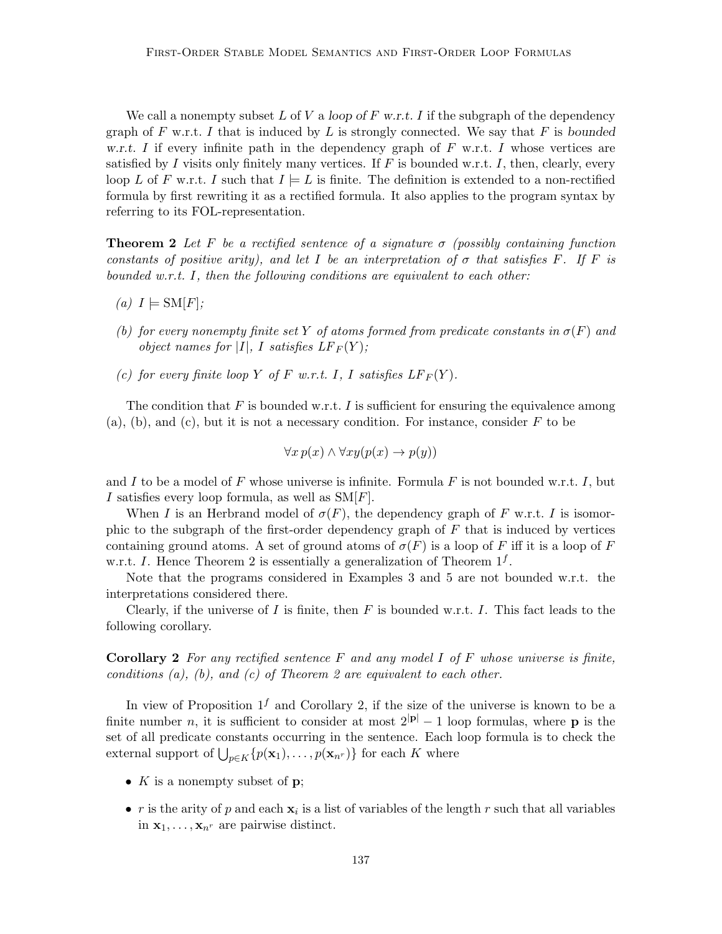We call a nonempty subset L of V a loop of F w.r.t. I if the subgraph of the dependency graph of F w.r.t. I that is induced by L is strongly connected. We say that F is bounded w.r.t. I if every infinite path in the dependency graph of  $F$  w.r.t. I whose vertices are satisfied by I visits only finitely many vertices. If F is bounded w.r.t. I, then, clearly, every loop L of F w.r.t. I such that  $I \models L$  is finite. The definition is extended to a non-rectified formula by first rewriting it as a rectified formula. It also applies to the program syntax by referring to its FOL-representation.

**Theorem 2** Let F be a rectified sentence of a signature  $\sigma$  (possibly containing function constants of positive arity), and let I be an interpretation of  $\sigma$  that satisfies F. If F is bounded w.r.t. I, then the following conditions are equivalent to each other:

- (a)  $I \models SM[F];$
- (b) for every nonempty finite set Y of atoms formed from predicate constants in  $\sigma(F)$  and object names for |I|, I satisfies  $LF_F(Y)$ ;
- (c) for every finite loop Y of F w.r.t. I, I satisfies  $LF_F(Y)$ .

The condition that  $F$  is bounded w.r.t. I is sufficient for ensuring the equivalence among  $(a)$ ,  $(b)$ , and  $(c)$ , but it is not a necessary condition. For instance, consider F to be

$$
\forall x \, p(x) \land \forall xy (p(x) \to p(y))
$$

and I to be a model of F whose universe is infinite. Formula F is not bounded w.r.t. I, but I satisfies every loop formula, as well as  $SM[F]$ .

When I is an Herbrand model of  $\sigma(F)$ , the dependency graph of F w.r.t. I is isomorphic to the subgraph of the first-order dependency graph of  $F$  that is induced by vertices containing ground atoms. A set of ground atoms of  $\sigma(F)$  is a loop of F iff it is a loop of F w.r.t. I. Hence Theorem 2 is essentially a generalization of Theorem  $1<sup>f</sup>$ .

Note that the programs considered in Examples 3 and 5 are not bounded w.r.t. the interpretations considered there.

Clearly, if the universe of I is finite, then  $F$  is bounded w.r.t. I. This fact leads to the following corollary.

**Corollary 2** For any rectified sentence F and any model I of F whose universe is finite, conditions  $(a)$ ,  $(b)$ , and  $(c)$  of Theorem 2 are equivalent to each other.

In view of Proposition  $1<sup>f</sup>$  and Corollary 2, if the size of the universe is known to be a finite number n, it is sufficient to consider at most  $2^{|\mathbf{p}|}-1$  loop formulas, where **p** is the set of all predicate constants occurring in the sentence. Each loop formula is to check the external support of  $\bigcup_{p\in K}\{p(\mathbf{x}_1),\ldots,p(\mathbf{x}_{n^r})\}$  for each K where

- $K$  is a nonempty subset of  $p$ ;
- *r* is the arity of *p* and each  $\mathbf{x}_i$  is a list of variables of the length *r* such that all variables in  $\mathbf{x}_1, \ldots, \mathbf{x}_{n^r}$  are pairwise distinct.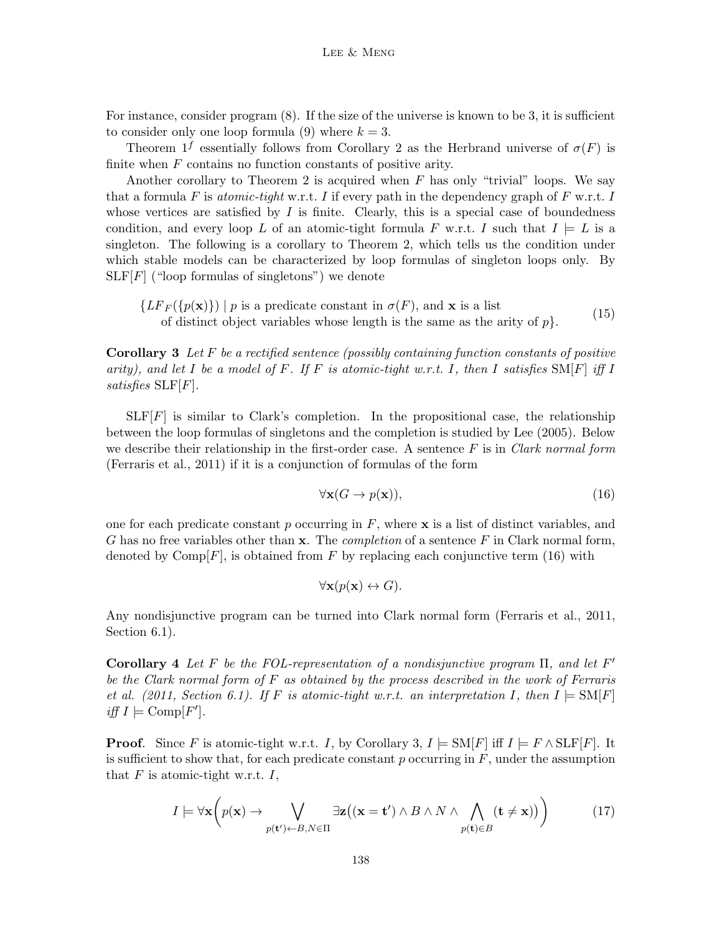For instance, consider program (8). If the size of the universe is known to be 3, it is sufficient to consider only one loop formula (9) where  $k = 3$ .

Theorem  $1^f$  essentially follows from Corollary 2 as the Herbrand universe of  $\sigma(F)$  is finite when  $F$  contains no function constants of positive arity.

Another corollary to Theorem 2 is acquired when  $F$  has only "trivial" loops. We say that a formula F is atomic-tight w.r.t. I if every path in the dependency graph of F w.r.t. I whose vertices are satisfied by  $I$  is finite. Clearly, this is a special case of boundedness condition, and every loop L of an atomic-tight formula F w.r.t. I such that  $I \models L$  is a singleton. The following is a corollary to Theorem 2, which tells us the condition under which stable models can be characterized by loop formulas of singleton loops only. By  $SLF[F]$  ("loop formulas of singletons") we denote

 ${LF_F(\{p(\mathbf{x})\}) \mid p \text{ is a predicate constant in } \sigma(F), \text{ and } \mathbf{x} \text{ is a list}}$ of distinct object variables whose length is the same as the arity of  $p$ . (15)

**Corollary 3** Let F be a rectified sentence (possibly containing function constants of positive arity), and let I be a model of F. If F is atomic-tight w.r.t. I, then I satisfies  $\text{SM}[F]$  iff I satisfies SLF[F].

 $SLF[F]$  is similar to Clark's completion. In the propositional case, the relationship between the loop formulas of singletons and the completion is studied by Lee (2005). Below we describe their relationship in the first-order case. A sentence  $F$  is in Clark normal form (Ferraris et al., 2011) if it is a conjunction of formulas of the form

$$
\forall \mathbf{x}(G \to p(\mathbf{x})),\tag{16}
$$

one for each predicate constant p occurring in  $F$ , where  $\bf{x}$  is a list of distinct variables, and G has no free variables other than  $x$ . The *completion* of a sentence  $F$  in Clark normal form, denoted by  $\text{Comp}[F]$ , is obtained from F by replacing each conjunctive term (16) with

$$
\forall \mathbf{x}(p(\mathbf{x}) \leftrightarrow G).
$$

Any nondisjunctive program can be turned into Clark normal form (Ferraris et al., 2011, Section 6.1).

Corollary 4 Let F be the FOL-representation of a nondisjunctive program  $\Pi$ , and let F' be the Clark normal form of F as obtained by the process described in the work of Ferraris et al. (2011, Section 6.1). If F is atomic-tight w.r.t. an interpretation I, then  $I \models SM[F]$ iff  $I \models \mathrm{Comp}[F']$ .

**Proof.** Since F is atomic-tight w.r.t. I, by Corollary 3,  $I \models SM[F]$  iff  $I \models F \land SLF[F]$ . It is sufficient to show that, for each predicate constant  $p$  occurring in  $F$ , under the assumption that  $F$  is atomic-tight w.r.t.  $I$ ,

$$
I \models \forall \mathbf{x} \left( p(\mathbf{x}) \to \bigvee_{p(\mathbf{t}') \leftarrow B, N \in \Pi} \exists \mathbf{z} \left( (\mathbf{x} = \mathbf{t}') \land B \land N \land \bigwedge_{p(\mathbf{t}) \in B} (\mathbf{t} \neq \mathbf{x}) \right) \right) \tag{17}
$$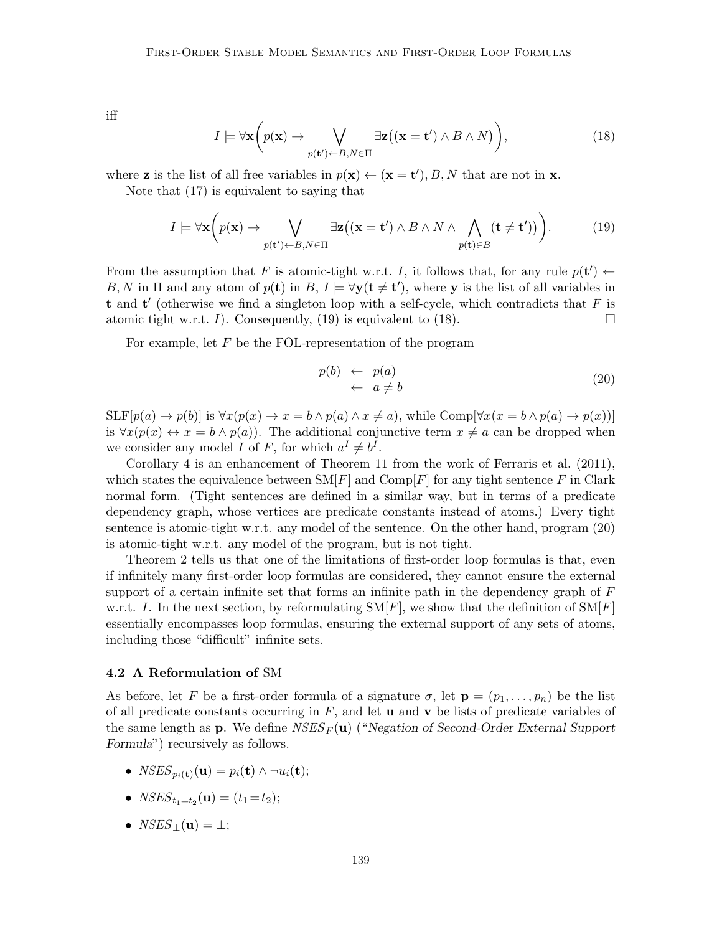iff

$$
I \models \forall \mathbf{x} \bigg( p(\mathbf{x}) \to \bigvee_{p(\mathbf{t}') \leftarrow B, N \in \Pi} \exists \mathbf{z} ((\mathbf{x} = \mathbf{t}') \land B \land N) \bigg), \tag{18}
$$

where **z** is the list of all free variables in  $p(\mathbf{x}) \leftarrow (\mathbf{x} = \mathbf{t}'), B, N$  that are not in **x**.

Note that (17) is equivalent to saying that

$$
I \models \forall \mathbf{x} \bigg( p(\mathbf{x}) \to \bigvee_{p(\mathbf{t}') \leftarrow B, N \in \Pi} \exists \mathbf{z} \big( (\mathbf{x} = \mathbf{t}') \land B \land N \land \bigwedge_{p(\mathbf{t}) \in B} (\mathbf{t} \neq \mathbf{t}') \big) \bigg). \tag{19}
$$

From the assumption that F is atomic-tight w.r.t. I, it follows that, for any rule  $p(\mathbf{t}') \leftarrow$ B, N in  $\Pi$  and any atom of  $p(\mathbf{t})$  in  $B, I \models \forall \mathbf{y}(\mathbf{t} \neq \mathbf{t}')$ , where y is the list of all variables in t and  $t'$  (otherwise we find a singleton loop with a self-cycle, which contradicts that  $F$  is atomic tight w.r.t. I). Consequently, (19) is equivalent to (18).

For example, let  $F$  be the FOL-representation of the program

$$
p(b) \leftarrow p(a) \n\leftarrow a \neq b
$$
\n(20)

 $\text{SLF}[p(a) \to p(b)]$  is  $\forall x (p(x) \to x = b \land p(a) \land x \neq a)$ , while Comp $[\forall x (x = b \land p(a) \to p(x))]$ is  $\forall x(p(x) \leftrightarrow x = b \land p(a))$ . The additional conjunctive term  $x \neq a$  can be dropped when we consider any model I of F, for which  $a^I \neq b^I$ .

Corollary 4 is an enhancement of Theorem 11 from the work of Ferraris et al. (2011), which states the equivalence between  $\text{SM}[F]$  and  $\text{Comp}[F]$  for any tight sentence F in Clark normal form. (Tight sentences are defined in a similar way, but in terms of a predicate dependency graph, whose vertices are predicate constants instead of atoms.) Every tight sentence is atomic-tight w.r.t. any model of the sentence. On the other hand, program (20) is atomic-tight w.r.t. any model of the program, but is not tight.

Theorem 2 tells us that one of the limitations of first-order loop formulas is that, even if infinitely many first-order loop formulas are considered, they cannot ensure the external support of a certain infinite set that forms an infinite path in the dependency graph of  $F$ w.r.t. I. In the next section, by reformulating  $\text{SM}[F]$ , we show that the definition of  $\text{SM}[F]$ essentially encompasses loop formulas, ensuring the external support of any sets of atoms, including those "difficult" infinite sets.

## 4.2 A Reformulation of SM

As before, let F be a first-order formula of a signature  $\sigma$ , let  $\mathbf{p} = (p_1, \ldots, p_n)$  be the list of all predicate constants occurring in  $F$ , and let **u** and **v** be lists of predicate variables of the same length as **p**. We define  $NSES_F(u)$  ("Negation of Second-Order External Support Formula") recursively as follows.

- $\bullet \ \ NSES_{p_i(\textbf{t})}(\textbf{u}) = p_i(\textbf{t}) \wedge \neg u_i(\textbf{t});$
- $NSES_{t_1=t_2}(\mathbf{u}) = (t_1 = t_2);$
- $NSES_+(\mathbf{u}) = \perp;$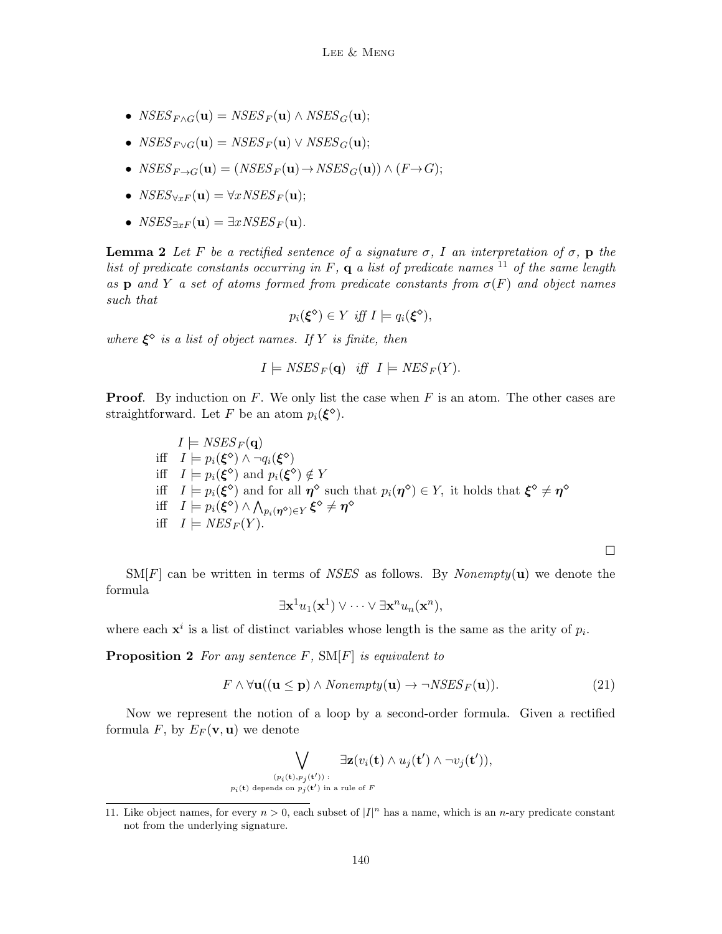- $NSES_{F\wedge G}(\mathbf{u}) = NSES_F(\mathbf{u}) \wedge NSES_G(\mathbf{u});$
- $NSES_{F\vee G}(\mathbf{u}) = NSES_F(\mathbf{u}) \vee NSES_G(\mathbf{u});$
- $NSES_{F\rightarrow G}(\mathbf{u}) = (NSES_F(\mathbf{u}) \rightarrow NSES_G(\mathbf{u})) \wedge (F \rightarrow G);$
- $NSES_{\forall xF}(\mathbf{u}) = \forall x NSES_F(\mathbf{u});$
- $NSES_{\exists xF}(\mathbf{u}) = \exists xNSES_F(\mathbf{u}).$

**Lemma 2** Let F be a rectified sentence of a signature  $\sigma$ , I an interpretation of  $\sigma$ , p the list of predicate constants occurring in  $F$ ,  $q$  a list of predicate names  $^{11}$  of the same length as p and Y a set of atoms formed from predicate constants from  $\sigma(F)$  and object names such that

$$
p_i(\xi^{\diamond}) \in Y \text{ iff } I \models q_i(\xi^{\diamond}),
$$

where  $\xi^{\diamond}$  is a list of object names. If Y is finite, then

$$
I \models NSES_F(\mathbf{q}) \quad iff \quad I \models NES_F(Y).
$$

**Proof.** By induction on F. We only list the case when F is an atom. The other cases are straightforward. Let F be an atom  $p_i(\xi^{\diamond})$ .

$$
I \models \text{NSES}_F(\mathbf{q})
$$
  
iff  $I \models p_i(\xi^{\diamond}) \land \neg q_i(\xi^{\diamond})$   
iff  $I \models p_i(\xi^{\diamond})$  and  $p_i(\xi^{\diamond}) \notin Y$   
iff  $I \models p_i(\xi^{\diamond})$  and for all  $\eta^{\diamond}$  such that  $p_i(\eta^{\diamond}) \in Y$ , it holds that  $\xi^{\diamond} \neq \eta^{\diamond}$   
iff  $I \models p_i(\xi^{\diamond}) \land \bigwedge_{p_i(\eta^{\diamond}) \in Y} \xi^{\diamond} \neq \eta^{\diamond}$   
iff  $I \models \text{NES}_F(Y)$ .

 $\text{SM}[F]$  can be written in terms of *NSES* as follows. By *Nonempty*(**u**) we denote the formula

$$
\exists \mathbf{x}^1 u_1(\mathbf{x}^1) \vee \cdots \vee \exists \mathbf{x}^n u_n(\mathbf{x}^n),
$$

where each  $x^i$  is a list of distinct variables whose length is the same as the arity of  $p_i$ .

**Proposition 2** For any sentence  $F$ ,  $SM[F]$  is equivalent to

$$
F \wedge \forall \mathbf{u}((\mathbf{u} \le \mathbf{p}) \wedge \text{Nonempty}(\mathbf{u}) \rightarrow \neg \text{NSES}_F(\mathbf{u})). \tag{21}
$$

 $\Box$ 

Now we represent the notion of a loop by a second-order formula. Given a rectified formula F, by  $E_F(\mathbf{v}, \mathbf{u})$  we denote

$$
\bigvee_{(p_i(\mathbf{t}),p_j(\mathbf{t}'))\;:\atop{p_i(\mathbf{t})\;\mathrm{depends~on}~p_j(\mathbf{t}')} \text{in a rule of }F} \exists \mathbf{z}(v_i(\mathbf{t}) \land u_j(\mathbf{t}') \land \neg v_j(\mathbf{t}')),
$$

<sup>11.</sup> Like object names, for every  $n > 0$ , each subset of  $|I|^n$  has a name, which is an *n*-ary predicate constant not from the underlying signature.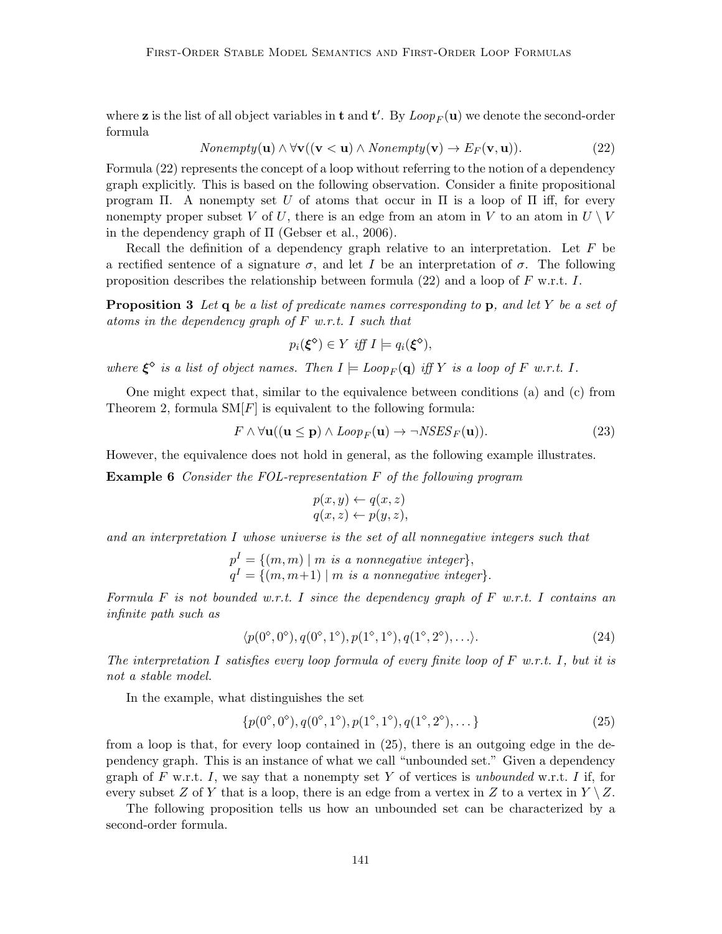where **z** is the list of all object variables in **t** and **t'**. By  $Loop_F(\mathbf{u})$  we denote the second-order formula

$$
Nonempty(\mathbf{u}) \land \forall \mathbf{v} ((\mathbf{v} < \mathbf{u}) \land Nonempty(\mathbf{v}) \to E_F(\mathbf{v}, \mathbf{u})). \tag{22}
$$

Formula  $(22)$  represents the concept of a loop without referring to the notion of a dependency graph explicitly. This is based on the following observation. Consider a finite propositional program Π. A nonempty set U of atoms that occur in Π is a loop of Π iff, for every nonempty proper subset V of U, there is an edge from an atom in V to an atom in  $U \setminus V$ in the dependency graph of Π (Gebser et al., 2006).

Recall the definition of a dependency graph relative to an interpretation. Let  $F$  be a rectified sentence of a signature  $\sigma$ , and let I be an interpretation of  $\sigma$ . The following proposition describes the relationship between formula (22) and a loop of  $F$  w.r.t. I.

**Proposition 3** Let  $q$  be a list of predicate names corresponding to  $p$ , and let Y be a set of atoms in the dependency graph of F w.r.t. I such that

$$
p_i(\xi^{\diamond}) \in Y \text{ iff } I \models q_i(\xi^{\diamond}),
$$

where  $\xi^{\diamond}$  is a list of object names. Then  $I \models Loop_F(\mathbf{q})$  iff Y is a loop of F w.r.t. I.

One might expect that, similar to the equivalence between conditions (a) and (c) from Theorem 2, formula  $\text{SM}[F]$  is equivalent to the following formula:

$$
F \wedge \forall \mathbf{u}((\mathbf{u} \le \mathbf{p}) \wedge \text{Loop}_F(\mathbf{u}) \rightarrow \neg \text{NSES}_F(\mathbf{u})).\tag{23}
$$

However, the equivalence does not hold in general, as the following example illustrates.

Example 6 Consider the FOL-representation F of the following program

$$
p(x, y) \leftarrow q(x, z)
$$
  
 
$$
q(x, z) \leftarrow p(y, z),
$$

and an interpretation I whose universe is the set of all nonnegative integers such that

$$
pI = \{(m, m) | m \text{ is a nonnegative integer}\},
$$
  

$$
qI = \{(m, m+1) | m \text{ is a nonnegative integer}\}.
$$

Formula F is not bounded w.r.t. I since the dependency graph of  $F$  w.r.t. I contains an infinite path such as

$$
\langle p(0^{\circ}, 0^{\circ}), q(0^{\circ}, 1^{\circ}), p(1^{\circ}, 1^{\circ}), q(1^{\circ}, 2^{\circ}), \ldots \rangle. \tag{24}
$$

The interpretation I satisfies every loop formula of every finite loop of  $F$  w.r.t. I, but it is not a stable model.

In the example, what distinguishes the set

$$
\{p(0^{\circ}, 0^{\circ}), q(0^{\circ}, 1^{\circ}), p(1^{\circ}, 1^{\circ}), q(1^{\circ}, 2^{\circ}), \dots\}
$$
\n(25)

from a loop is that, for every loop contained in (25), there is an outgoing edge in the dependency graph. This is an instance of what we call "unbounded set." Given a dependency graph of  $F$  w.r.t.  $I$ , we say that a nonempty set  $Y$  of vertices is unbounded w.r.t.  $I$  if, for every subset Z of Y that is a loop, there is an edge from a vertex in Z to a vertex in  $Y \setminus Z$ .

The following proposition tells us how an unbounded set can be characterized by a second-order formula.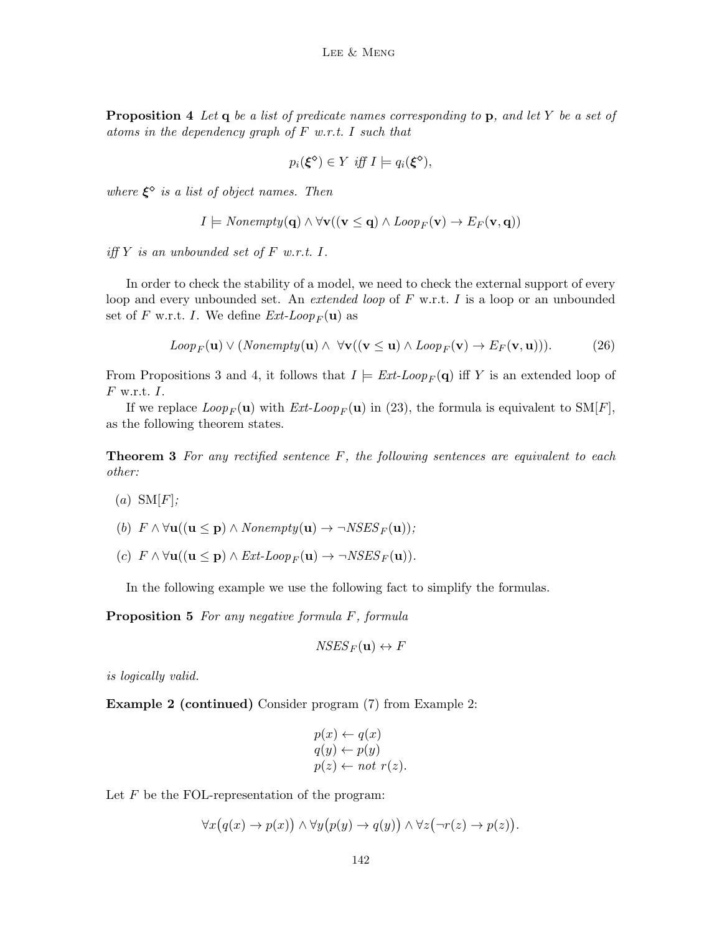**Proposition 4** Let  $q$  be a list of predicate names corresponding to  $p$ , and let  $Y$  be a set of atoms in the dependency graph of  $F$  w.r.t. I such that

$$
p_i(\xi^{\diamond}) \in Y \text{ iff } I \models q_i(\xi^{\diamond}),
$$

where  $\xi^{\diamond}$  is a list of object names. Then

$$
I \models \text{Nonempty}(\mathbf{q}) \land \forall \mathbf{v} ((\mathbf{v} \leq \mathbf{q}) \land \text{Loop}_F(\mathbf{v}) \to E_F(\mathbf{v}, \mathbf{q}))
$$

iff Y is an unbounded set of F w.r.t.  $I$ .

In order to check the stability of a model, we need to check the external support of every loop and every unbounded set. An *extended loop* of  $F$  w.r.t.  $I$  is a loop or an unbounded set of F w.r.t. I. We define  $Ext\text{-}Loop_F(\mathbf{u})$  as

$$
Loop_F(\mathbf{u}) \vee (Nonempty(\mathbf{u}) \wedge \forall \mathbf{v} ((\mathbf{v} \leq \mathbf{u}) \wedge Loop_F(\mathbf{v}) \to E_F(\mathbf{v}, \mathbf{u}))).
$$
 (26)

From Propositions 3 and 4, it follows that  $I \models Ext\text{-}Loop_F(\mathbf{q})$  iff Y is an extended loop of  $F$  w.r.t.  $I$ .

If we replace  $Loop_F(\mathbf{u})$  with  $Ext\text{-}Loop_F(\mathbf{u})$  in (23), the formula is equivalent to SM[F], as the following theorem states.

**Theorem 3** For any rectified sentence  $F$ , the following sentences are equivalent to each other:

 $(a)$  SM[F];

(b) 
$$
F \wedge \forall \mathbf{u}((\mathbf{u} \leq \mathbf{p}) \wedge \text{Nonempty}(\mathbf{u}) \rightarrow \neg \text{NSES}_F(\mathbf{u}));
$$

(c)  $F \wedge \forall \mathbf{u}((\mathbf{u} \leq \mathbf{p}) \wedge Ext\text{-}Loop_F(\mathbf{u}) \rightarrow \neg NSES_F(\mathbf{u})).$ 

In the following example we use the following fact to simplify the formulas.

Proposition 5 For any negative formula F, formula

$$
NSES_F({\bf u}) \leftrightarrow F
$$

is logically valid.

Example 2 (continued) Consider program (7) from Example 2:

$$
p(x) \leftarrow q(x)
$$
  
\n
$$
q(y) \leftarrow p(y)
$$
  
\n
$$
p(z) \leftarrow not \ r(z).
$$

Let  $F$  be the FOL-representation of the program:

$$
\forall x \big( q(x) \to p(x) \big) \land \forall y \big( p(y) \to q(y) \big) \land \forall z \big( \neg r(z) \to p(z) \big).
$$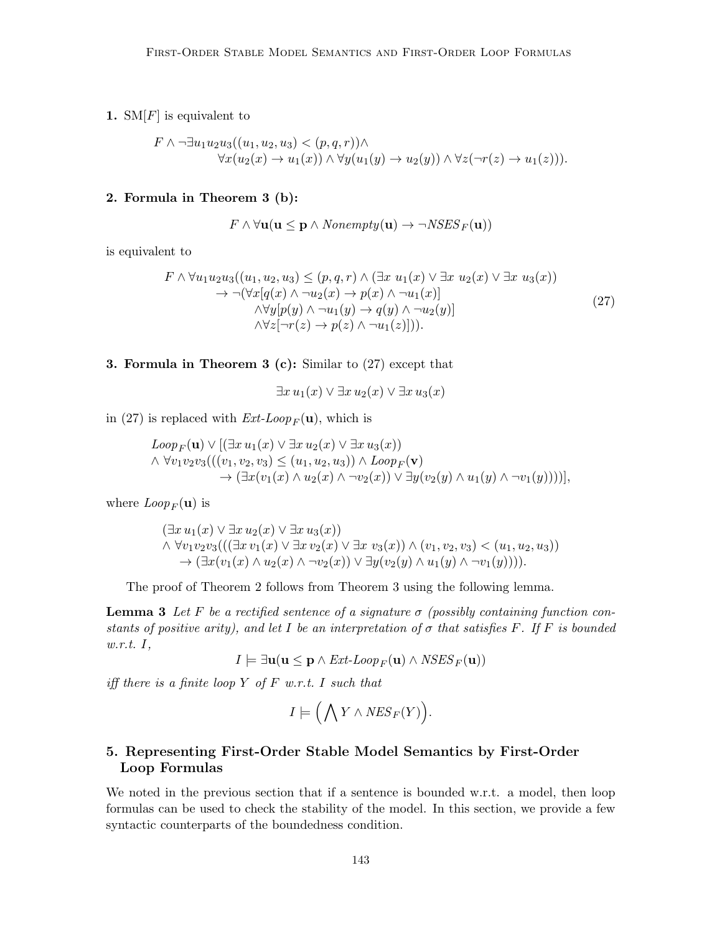1.  $\text{SM}[F]$  is equivalent to

$$
F \wedge \neg \exists u_1 u_2 u_3 ((u_1, u_2, u_3) < (p, q, r)) \wedge \forall x (u_2(x) \rightarrow u_1(x)) \wedge \forall y (u_1(y) \rightarrow u_2(y)) \wedge \forall z (\neg r(z) \rightarrow u_1(z))).
$$

## 2. Formula in Theorem 3 (b):

$$
F \wedge \forall \mathbf{u}(\mathbf{u} \leq \mathbf{p} \wedge \text{Nonempty}(\mathbf{u}) \rightarrow \neg \text{NSES}_F(\mathbf{u}))
$$

is equivalent to

$$
F \wedge \forall u_1 u_2 u_3 ((u_1, u_2, u_3) \le (p, q, r) \wedge (\exists x \ u_1(x) \vee \exists x \ u_2(x) \vee \exists x \ u_3(x))
$$
  
\n
$$
\rightarrow \neg(\forall x [q(x) \wedge \neg u_2(x) \rightarrow p(x) \wedge \neg u_1(x)]
$$
  
\n
$$
\wedge \forall y [p(y) \wedge \neg u_1(y) \rightarrow q(y) \wedge \neg u_2(y)]
$$
  
\n
$$
\wedge \forall z [\neg r(z) \rightarrow p(z) \wedge \neg u_1(z)])).
$$
\n(27)

3. Formula in Theorem 3 (c): Similar to (27) except that

 $\exists x u_1(x) \vee \exists x u_2(x) \vee \exists x u_3(x)$ 

in (27) is replaced with  $Ext\text{-}Loop_F(\mathbf{u})$ , which is

$$
Loop_F(\mathbf{u}) \vee [(\exists x \, u_1(x) \vee \exists x \, u_2(x) \vee \exists x \, u_3(x))\wedge \forall v_1v_2v_3(((v_1, v_2, v_3) \le (u_1, u_2, u_3)) \wedge Loop_F(\mathbf{v})\rightarrow (\exists x (v_1(x) \wedge u_2(x) \wedge \neg v_2(x)) \vee \exists y (v_2(y) \wedge u_1(y) \wedge \neg v_1(y))))],
$$

where  $Loop_F({\bf u})$  is

$$
(\exists x u_1(x) \lor \exists x u_2(x) \lor \exists x u_3(x))
$$
  

$$
\land \forall v_1 v_2 v_3(((\exists x v_1(x) \lor \exists x v_2(x) \lor \exists x v_3(x)) \land (v_1, v_2, v_3) < (u_1, u_2, u_3))
$$
  

$$
\rightarrow (\exists x (v_1(x) \land u_2(x) \land \neg v_2(x)) \lor \exists y (v_2(y) \land u_1(y) \land \neg v_1(y))))
$$

The proof of Theorem 2 follows from Theorem 3 using the following lemma.

**Lemma 3** Let F be a rectified sentence of a signature  $\sigma$  (possibly containing function constants of positive arity), and let I be an interpretation of  $\sigma$  that satisfies F. If F is bounded w.r.t. I,

$$
I \models \exists \mathbf{u}(\mathbf{u} \leq \mathbf{p} \land \text{Ext-Loop}_F(\mathbf{u}) \land \text{NSES}_F(\mathbf{u}))
$$

iff there is a finite loop Y of F w.r.t. I such that

$$
I \models \Big( \bigwedge Y \wedge \mathit{NES}_F(Y) \Big).
$$

## 5. Representing First-Order Stable Model Semantics by First-Order Loop Formulas

We noted in the previous section that if a sentence is bounded w.r.t. a model, then loop formulas can be used to check the stability of the model. In this section, we provide a few syntactic counterparts of the boundedness condition.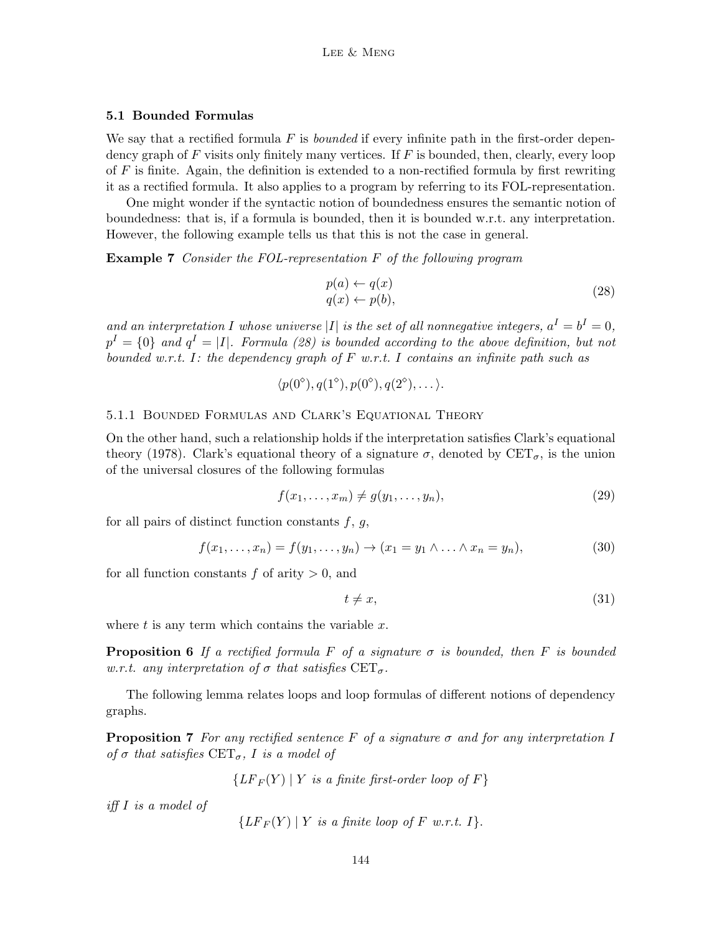## 5.1 Bounded Formulas

We say that a rectified formula F is *bounded* if every infinite path in the first-order dependency graph of  $F$  visits only finitely many vertices. If  $F$  is bounded, then, clearly, every loop of  $F$  is finite. Again, the definition is extended to a non-rectified formula by first rewriting it as a rectified formula. It also applies to a program by referring to its FOL-representation.

One might wonder if the syntactic notion of boundedness ensures the semantic notion of boundedness: that is, if a formula is bounded, then it is bounded w.r.t. any interpretation. However, the following example tells us that this is not the case in general.

Example 7 Consider the FOL-representation F of the following program

$$
p(a) \leftarrow q(x) q(x) \leftarrow p(b),
$$
 (28)

and an interpretation I whose universe |I| is the set of all nonnegative integers,  $a^I = b^I = 0$ ,  $p^I = \{0\}$  and  $q^I = |I|$ . Formula (28) is bounded according to the above definition, but not bounded w.r.t. I: the dependency graph of  $F$  w.r.t. I contains an infinite path such as

$$
\langle p(0^{\circ}), q(1^{\circ}), p(0^{\circ}), q(2^{\circ}), \ldots \rangle.
$$

## 5.1.1 Bounded Formulas and Clark's Equational Theory

On the other hand, such a relationship holds if the interpretation satisfies Clark's equational theory (1978). Clark's equational theory of a signature  $\sigma$ , denoted by  $CET_{\sigma}$ , is the union of the universal closures of the following formulas

$$
f(x_1, \ldots, x_m) \neq g(y_1, \ldots, y_n), \tag{29}
$$

for all pairs of distinct function constants  $f, g$ ,

$$
f(x_1,...,x_n) = f(y_1,...,y_n) \to (x_1 = y_1 \land ... \land x_n = y_n),
$$
\n(30)

for all function constants  $f$  of arity  $> 0$ , and

$$
t \neq x,\tag{31}
$$

where  $t$  is any term which contains the variable  $x$ .

**Proposition 6** If a rectified formula F of a signature  $\sigma$  is bounded, then F is bounded w.r.t. any interpretation of  $\sigma$  that satisfies  $CET_{\sigma}$ .

The following lemma relates loops and loop formulas of different notions of dependency graphs.

**Proposition 7** For any rectified sentence F of a signature  $\sigma$  and for any interpretation I of  $\sigma$  that satisfies  $CET_{\sigma}$ , I is a model of

 ${LF_F(Y) | Y$  is a finite first-order loop of F}

iff I is a model of

$$
\{LF_F(Y) | Y \text{ is a finite loop of } F \text{ w.r.t. } I\}.
$$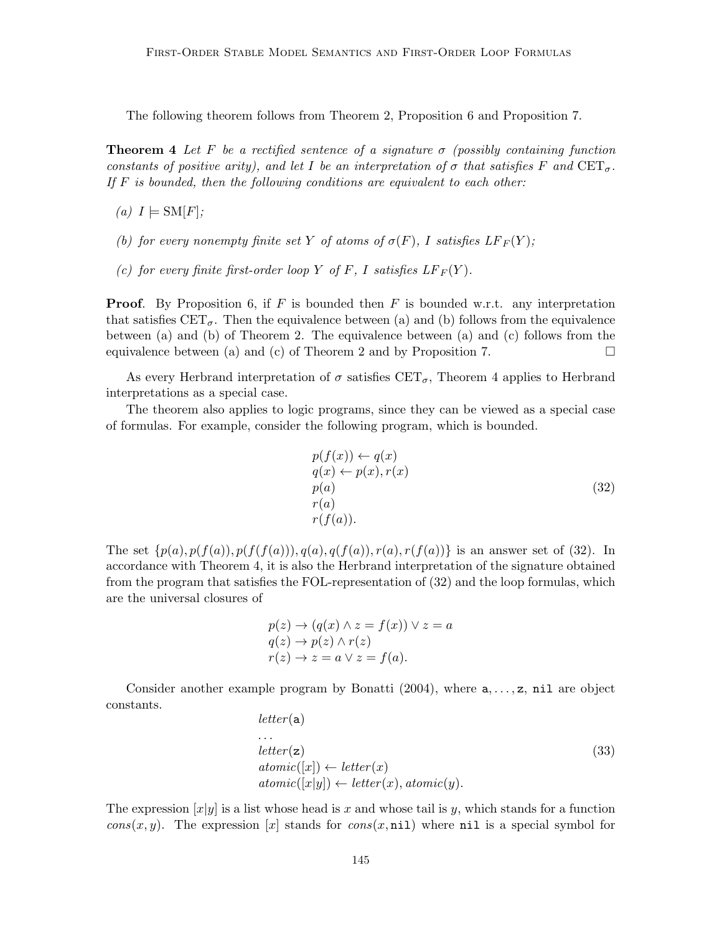The following theorem follows from Theorem 2, Proposition 6 and Proposition 7.

**Theorem 4** Let F be a rectified sentence of a signature  $\sigma$  (possibly containing function constants of positive arity), and let I be an interpretation of  $\sigma$  that satisfies F and  $CET_{\sigma}$ . If  $F$  is bounded, then the following conditions are equivalent to each other:

- (a)  $I \models SM[F]$ ;
- (b) for every nonempty finite set Y of atoms of  $\sigma(F)$ , I satisfies  $LF_F(Y)$ ;
- (c) for every finite first-order loop Y of F, I satisfies  $LF_F(Y)$ .

**Proof.** By Proposition 6, if F is bounded then F is bounded w.r.t. any interpretation that satisfies  $CET_{\sigma}$ . Then the equivalence between (a) and (b) follows from the equivalence between (a) and (b) of Theorem 2. The equivalence between (a) and (c) follows from the equivalence between (a) and (c) of Theorem 2 and by Proposition 7.  $\Box$ 

As every Herbrand interpretation of  $\sigma$  satisfies CET<sub> $\sigma$ </sub>, Theorem 4 applies to Herbrand interpretations as a special case.

The theorem also applies to logic programs, since they can be viewed as a special case of formulas. For example, consider the following program, which is bounded.

$$
p(f(x)) \leftarrow q(x)
$$
  
\n
$$
q(x) \leftarrow p(x), r(x)
$$
  
\n
$$
p(a)
$$
  
\n
$$
r(a)
$$
  
\n
$$
r(f(a)).
$$
\n(32)

The set  $\{p(a), p(f(a)), p(f(f(a))), q(a), q(f(a)), r(a), r(f(a))\}$  is an answer set of (32). In accordance with Theorem 4, it is also the Herbrand interpretation of the signature obtained from the program that satisfies the FOL-representation of (32) and the loop formulas, which are the universal closures of

$$
p(z) \to (q(x) \land z = f(x)) \lor z = a
$$
  
\n
$$
q(z) \to p(z) \land r(z)
$$
  
\n
$$
r(z) \to z = a \lor z = f(a).
$$

Consider another example program by Bonatti  $(2004)$ , where  $a, \ldots, z$ , nil are object constants.

$$
letter(a) \n... \nletter(z) \natomic([x]) \leftarrow letter(x) \natomic([x|y]) \leftarrow letter(x), atomic(y).
$$
\n(33)

The expression  $[x|y]$  is a list whose head is x and whose tail is y, which stands for a function  $cons(x, y)$ . The expression [x] stands for  $cons(x, \text{nil})$  where nil is a special symbol for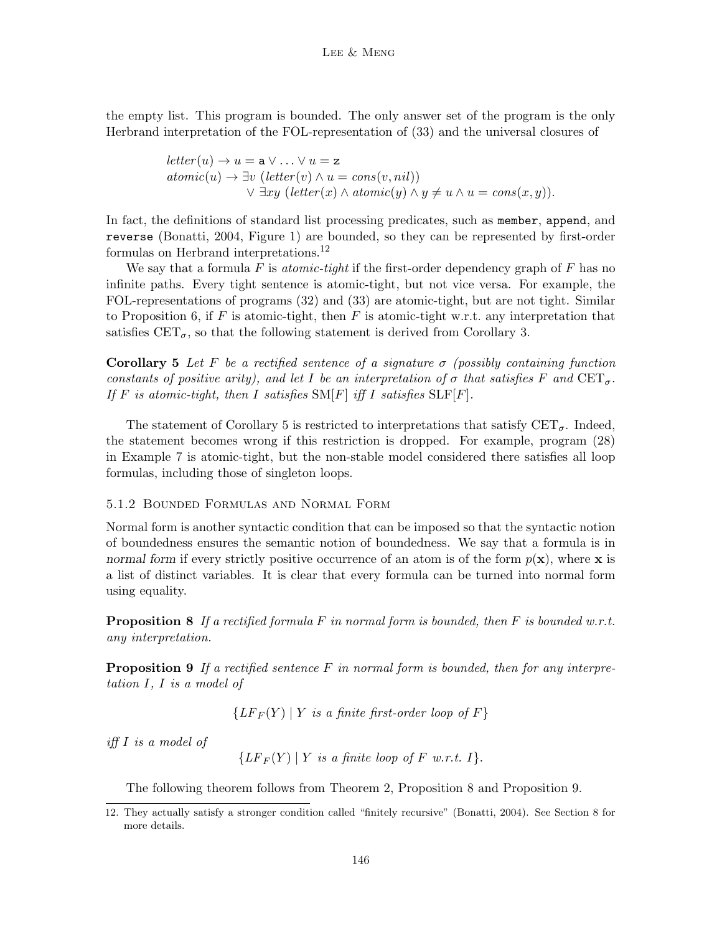the empty list. This program is bounded. The only answer set of the program is the only Herbrand interpretation of the FOL-representation of (33) and the universal closures of

$$
letter(u) \rightarrow u = \mathbf{a} \lor ... \lor u = \mathbf{z}
$$
  
atomic(u) \rightarrow  $\exists v$  (letter(v) \land u = cons(v, nil))  
 $\lor \exists xy$  (letter(x) \land atomic(y) \land y \neq u \land u = cons(x, y)).

In fact, the definitions of standard list processing predicates, such as member, append, and reverse (Bonatti, 2004, Figure 1) are bounded, so they can be represented by first-order formulas on Herbrand interpretations.<sup>12</sup>

We say that a formula  $F$  is *atomic-tight* if the first-order dependency graph of  $F$  has no infinite paths. Every tight sentence is atomic-tight, but not vice versa. For example, the FOL-representations of programs (32) and (33) are atomic-tight, but are not tight. Similar to Proposition 6, if F is atomic-tight, then F is atomic-tight w.r.t. any interpretation that satisfies  $CET_{\sigma}$ , so that the following statement is derived from Corollary 3.

Corollary 5 Let F be a rectified sentence of a signature  $\sigma$  (possibly containing function constants of positive arity), and let I be an interpretation of  $\sigma$  that satisfies F and  $CET_{\sigma}$ . If F is atomic-tight, then I satisfies  $\text{SM}[F]$  iff I satisfies  $\text{SLF}[F]$ .

The statement of Corollary 5 is restricted to interpretations that satisfy  $CET_{\sigma}$ . Indeed, the statement becomes wrong if this restriction is dropped. For example, program (28) in Example 7 is atomic-tight, but the non-stable model considered there satisfies all loop formulas, including those of singleton loops.

#### 5.1.2 Bounded Formulas and Normal Form

Normal form is another syntactic condition that can be imposed so that the syntactic notion of boundedness ensures the semantic notion of boundedness. We say that a formula is in normal form if every strictly positive occurrence of an atom is of the form  $p(x)$ , where x is a list of distinct variables. It is clear that every formula can be turned into normal form using equality.

**Proposition 8** If a rectified formula F in normal form is bounded, then F is bounded w.r.t. any interpretation.

**Proposition 9** If a rectified sentence F in normal form is bounded, then for any interpretation I, I is a model of

 ${LF_F(Y) | Y$  is a finite first-order loop of F}

iff I is a model of

 ${LF_F(Y) | Y$  is a finite loop of F w.r.t. I.

The following theorem follows from Theorem 2, Proposition 8 and Proposition 9.

<sup>12.</sup> They actually satisfy a stronger condition called "finitely recursive" (Bonatti, 2004). See Section 8 for more details.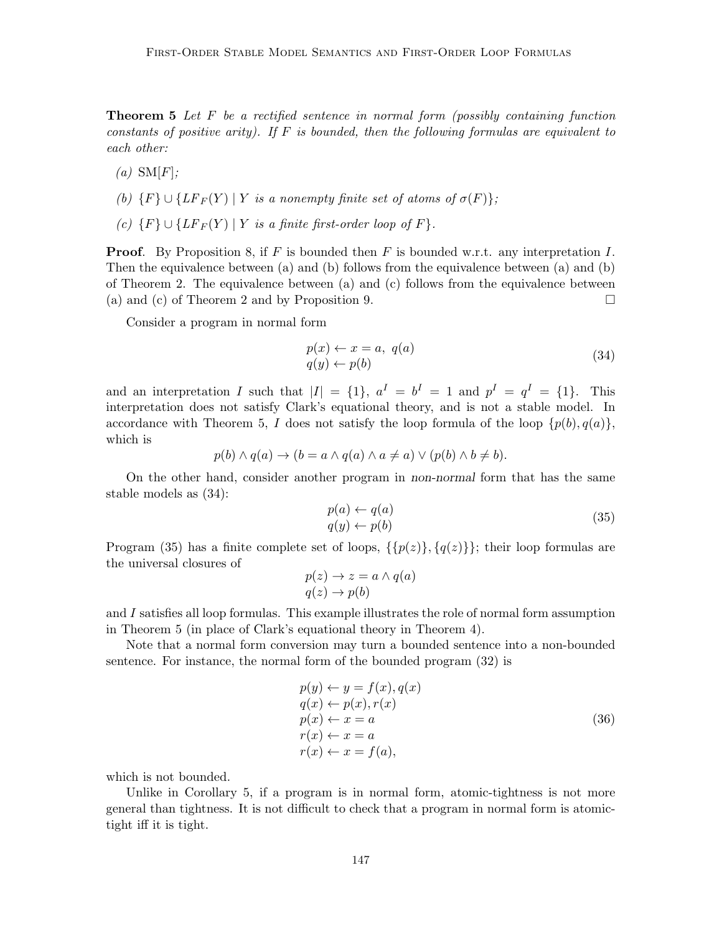**Theorem 5** Let  $F$  be a rectified sentence in normal form (possibly containing function constants of positive arity). If  $F$  is bounded, then the following formulas are equivalent to each other:

- $(a)$  SM[F];
- (b)  $\{F\} \cup \{LF_F(Y) | Y \text{ is a nonempty finite set of atoms of } \sigma(F)\};$
- (c)  $\{F\} \cup \{LF_F(Y) | Y \text{ is a finite first-order loop of } F\}.$

**Proof.** By Proposition 8, if F is bounded then F is bounded w.r.t. any interpretation I. Then the equivalence between (a) and (b) follows from the equivalence between (a) and (b) of Theorem 2. The equivalence between (a) and (c) follows from the equivalence between (a) and (c) of Theorem 2 and by Proposition 9.

Consider a program in normal form

$$
p(x) \leftarrow x = a, \ q(a)
$$
  
 
$$
q(y) \leftarrow p(b)
$$
 (34)

and an interpretation I such that  $|I| = \{1\}$ ,  $a^I = b^I = 1$  and  $p^I = q^I = \{1\}$ . This interpretation does not satisfy Clark's equational theory, and is not a stable model. In accordance with Theorem 5, I does not satisfy the loop formula of the loop  $\{p(b), q(a)\}\$ , which is

$$
p(b) \land q(a) \to (b = a \land q(a) \land a \neq a) \lor (p(b) \land b \neq b).
$$

On the other hand, consider another program in non-normal form that has the same stable models as (34):

$$
p(a) \leftarrow q(a) q(y) \leftarrow p(b)
$$
 (35)

Program (35) has a finite complete set of loops,  $\{\{p(z)\}, \{q(z)\}\}\;$ ; their loop formulas are the universal closures of

$$
p(z) \to z = a \land q(a)
$$
  

$$
q(z) \to p(b)
$$

and I satisfies all loop formulas. This example illustrates the role of normal form assumption in Theorem 5 (in place of Clark's equational theory in Theorem 4).

Note that a normal form conversion may turn a bounded sentence into a non-bounded sentence. For instance, the normal form of the bounded program (32) is

$$
p(y) \leftarrow y = f(x), q(x)
$$
  
\n
$$
q(x) \leftarrow p(x), r(x)
$$
  
\n
$$
p(x) \leftarrow x = a
$$
  
\n
$$
r(x) \leftarrow x = a
$$
  
\n
$$
r(x) \leftarrow x = f(a),
$$
  
\n(36)

which is not bounded.

Unlike in Corollary 5, if a program is in normal form, atomic-tightness is not more general than tightness. It is not difficult to check that a program in normal form is atomictight iff it is tight.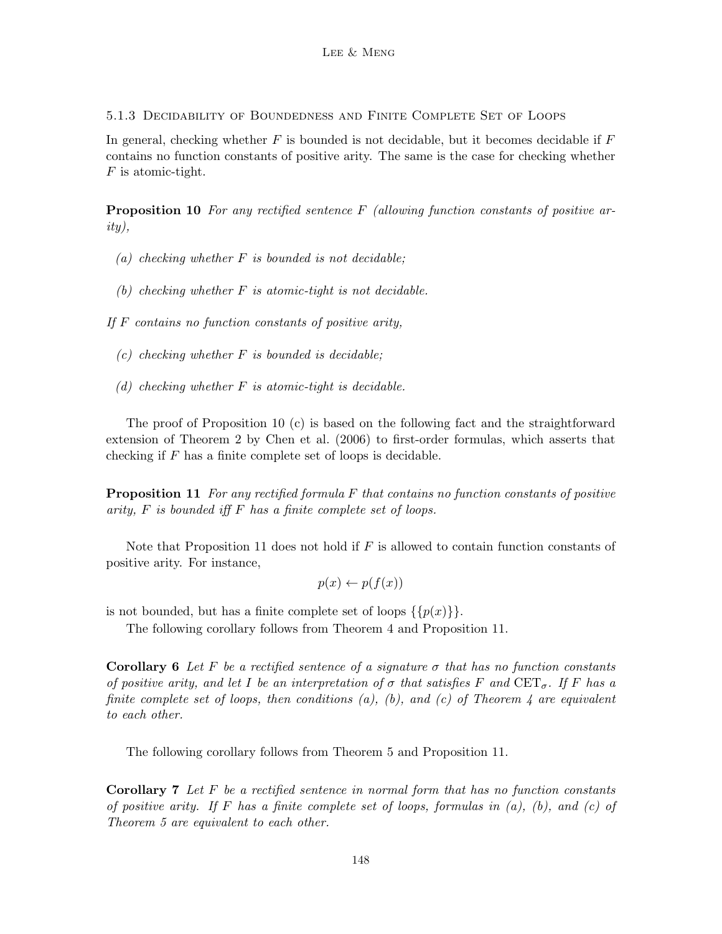5.1.3 Decidability of Boundedness and Finite Complete Set of Loops

In general, checking whether  $F$  is bounded is not decidable, but it becomes decidable if  $F$ contains no function constants of positive arity. The same is the case for checking whether F is atomic-tight.

**Proposition 10** For any rectified sentence  $F$  (allowing function constants of positive arity),

- (a) checking whether  $F$  is bounded is not decidable;
- (b) checking whether  $F$  is atomic-tight is not decidable.

If  $F$  contains no function constants of positive arity,

- $(c)$  checking whether F is bounded is decidable;
- (d) checking whether  $F$  is atomic-tight is decidable.

The proof of Proposition 10 (c) is based on the following fact and the straightforward extension of Theorem 2 by Chen et al. (2006) to first-order formulas, which asserts that checking if  $F$  has a finite complete set of loops is decidable.

**Proposition 11** For any rectified formula F that contains no function constants of positive arity, F is bounded iff F has a finite complete set of loops.

Note that Proposition 11 does not hold if  $F$  is allowed to contain function constants of positive arity. For instance,

$$
p(x) \leftarrow p(f(x))
$$

is not bounded, but has a finite complete set of loops  $\{\{p(x)\}\}.$ 

The following corollary follows from Theorem 4 and Proposition 11.

**Corollary 6** Let F be a rectified sentence of a signature  $\sigma$  that has no function constants of positive arity, and let I be an interpretation of  $\sigma$  that satisfies F and CET<sub> $\sigma$ </sub>. If F has a finite complete set of loops, then conditions (a), (b), and (c) of Theorem 4 are equivalent to each other.

The following corollary follows from Theorem 5 and Proposition 11.

**Corollary 7** Let  $F$  be a rectified sentence in normal form that has no function constants of positive arity. If F has a finite complete set of loops, formulas in  $(a)$ ,  $(b)$ , and  $(c)$  of Theorem 5 are equivalent to each other.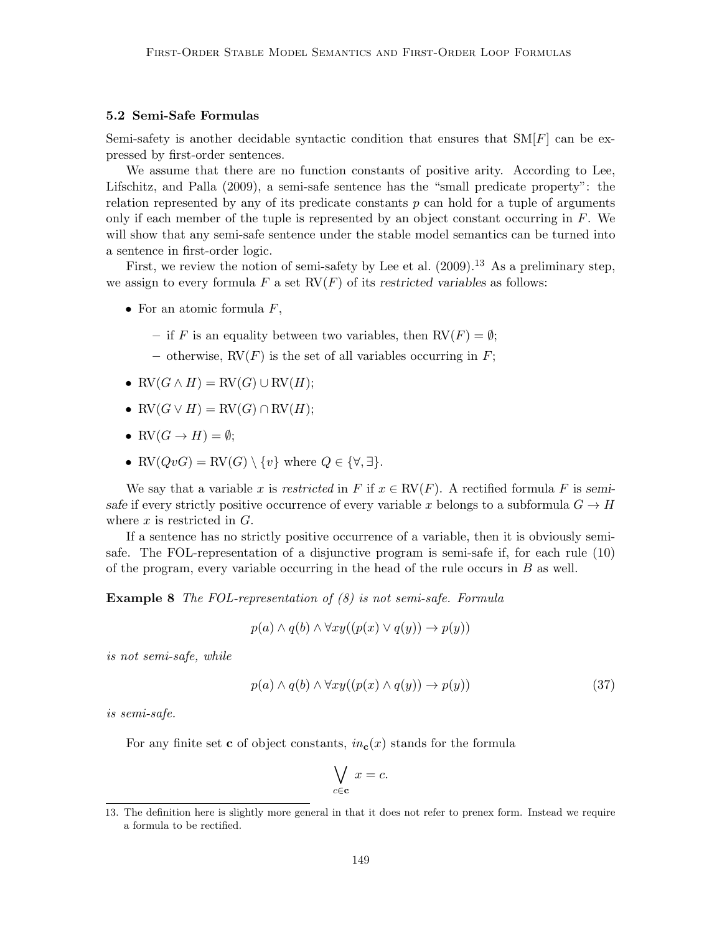#### 5.2 Semi-Safe Formulas

Semi-safety is another decidable syntactic condition that ensures that  $SM[F]$  can be expressed by first-order sentences.

We assume that there are no function constants of positive arity. According to Lee, Lifschitz, and Palla (2009), a semi-safe sentence has the "small predicate property": the relation represented by any of its predicate constants  $p$  can hold for a tuple of arguments only if each member of the tuple is represented by an object constant occurring in  $F$ . We will show that any semi-safe sentence under the stable model semantics can be turned into a sentence in first-order logic.

First, we review the notion of semi-safety by Lee et al.  $(2009).^{13}$  As a preliminary step, we assign to every formula F a set  $\text{RV}(F)$  of its restricted variables as follows:

- For an atomic formula  $F$ ,
	- if F is an equality between two variables, then  $RV(F) = \emptyset$ ;
	- otherwise,  $RV(F)$  is the set of all variables occurring in F;
- $RV(G \wedge H) = RV(G) \cup RV(H);$
- $RV(G \vee H) = RV(G) \cap RV(H);$
- RV $(G \rightarrow H) = \emptyset$ ;
- RV $(QvG) = RV(G) \setminus \{v\}$  where  $Q \in \{\forall, \exists\}.$

We say that a variable x is restricted in F if  $x \in \text{RV}(F)$ . A rectified formula F is semisafe if every strictly positive occurrence of every variable x belongs to a subformula  $G \to H$ where  $x$  is restricted in  $G$ .

If a sentence has no strictly positive occurrence of a variable, then it is obviously semisafe. The FOL-representation of a disjunctive program is semi-safe if, for each rule (10) of the program, every variable occurring in the head of the rule occurs in  $B$  as well.

Example 8 The FOL-representation of (8) is not semi-safe. Formula

$$
p(a) \land q(b) \land \forall xy((p(x) \lor q(y)) \to p(y))
$$

is not semi-safe, while

$$
p(a) \land q(b) \land \forall xy((p(x) \land q(y)) \to p(y))
$$
\n(37)

is semi-safe.

For any finite set **c** of object constants,  $in_c(x)$  stands for the formula

$$
\bigvee_{c \in \mathbf{c}} x = c.
$$

<sup>13.</sup> The definition here is slightly more general in that it does not refer to prenex form. Instead we require a formula to be rectified.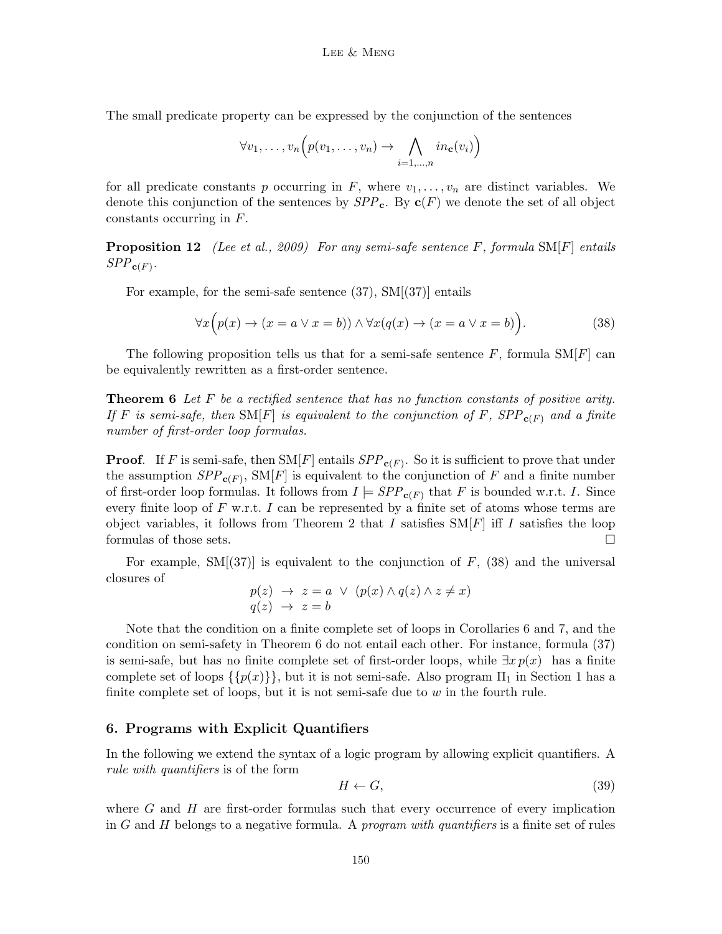The small predicate property can be expressed by the conjunction of the sentences

$$
\forall v_1, \ldots, v_n \Big( p(v_1, \ldots, v_n) \to \bigwedge_{i=1, \ldots, n} in_{\mathbf{c}}(v_i) \Big)
$$

for all predicate constants p occurring in F, where  $v_1, \ldots, v_n$  are distinct variables. We denote this conjunction of the sentences by  $SPP_c$ . By  $c(F)$  we denote the set of all object constants occurring in F.

**Proposition 12** (Lee et al., 2009) For any semi-safe sentence F, formula  $SM[F]$  entails  $SPP_{\mathbf{c}(F)}$ .

For example, for the semi-safe sentence (37), SM[(37)] entails

$$
\forall x \Big( p(x) \to (x = a \lor x = b)) \land \forall x (q(x) \to (x = a \lor x = b)). \tag{38}
$$

The following proposition tells us that for a semi-safe sentence  $F$ , formula  $\text{SM}[F]$  can be equivalently rewritten as a first-order sentence.

**Theorem 6** Let F be a rectified sentence that has no function constants of positive arity. If F is semi-safe, then  $\text{SM}[F]$  is equivalent to the conjunction of F,  $SPP_{c(F)}$  and a finite number of first-order loop formulas.

**Proof.** If F is semi-safe, then  $\text{SM}[F]$  entails  $SPP_{\mathbf{c}(F)}$ . So it is sufficient to prove that under the assumption  $SPP_{\mathbf{c}(F)}$ ,  $\text{SM}[F]$  is equivalent to the conjunction of F and a finite number of first-order loop formulas. It follows from  $I \models SPP_{\mathbf{c}(F)}$  that F is bounded w.r.t. I. Since every finite loop of  $F$  w.r.t. I can be represented by a finite set of atoms whose terms are object variables, it follows from Theorem 2 that I satisfies  $SM[F]$  iff I satisfies the loop formulas of those sets.

For example,  $SM[(37)]$  is equivalent to the conjunction of F, (38) and the universal closures of

$$
p(z) \rightarrow z = a \lor (p(x) \land q(z) \land z \neq x)
$$
  

$$
q(z) \rightarrow z = b
$$

Note that the condition on a finite complete set of loops in Corollaries 6 and 7, and the condition on semi-safety in Theorem 6 do not entail each other. For instance, formula (37) is semi-safe, but has no finite complete set of first-order loops, while  $\exists x p(x)$  has a finite complete set of loops  $\{p(x)\}\$ , but it is not semi-safe. Also program  $\Pi_1$  in Section 1 has a finite complete set of loops, but it is not semi-safe due to  $w$  in the fourth rule.

## 6. Programs with Explicit Quantifiers

In the following we extend the syntax of a logic program by allowing explicit quantifiers. A rule with quantifiers is of the form

$$
H \leftarrow G,\tag{39}
$$

where  $G$  and  $H$  are first-order formulas such that every occurrence of every implication in G and H belongs to a negative formula. A *program with quantifiers* is a finite set of rules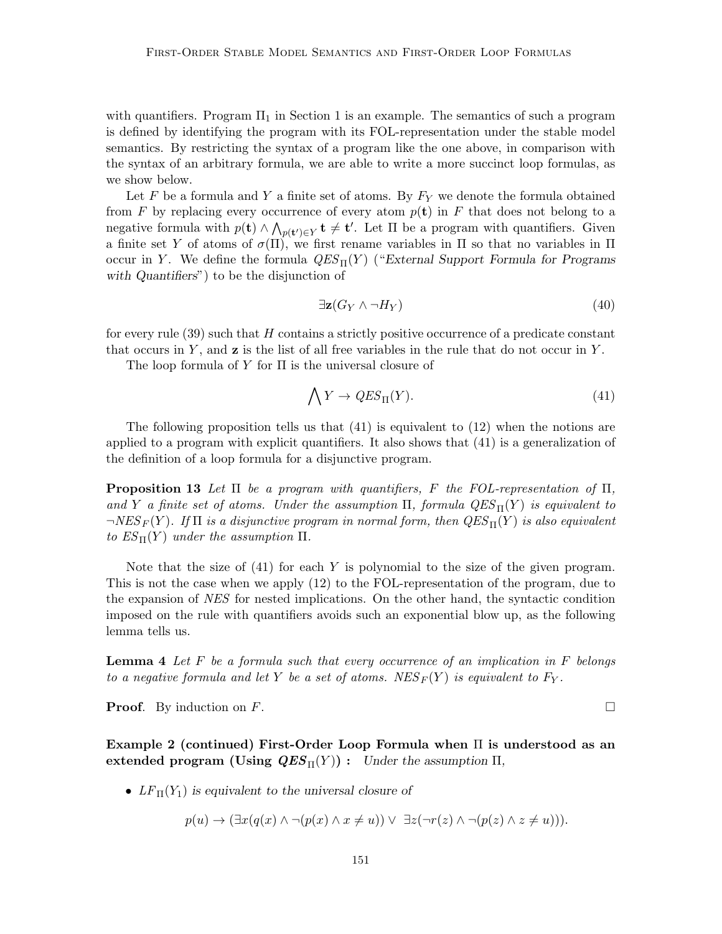with quantifiers. Program  $\Pi_1$  in Section 1 is an example. The semantics of such a program is defined by identifying the program with its FOL-representation under the stable model semantics. By restricting the syntax of a program like the one above, in comparison with the syntax of an arbitrary formula, we are able to write a more succinct loop formulas, as we show below.

Let F be a formula and Y a finite set of atoms. By  $F_Y$  we denote the formula obtained from F by replacing every occurrence of every atom  $p(\mathbf{t})$  in F that does not belong to a negative formula with  $p(\mathbf{t}) \wedge \bigwedge_{p(\mathbf{t'}) \in Y} \mathbf{t} \neq \mathbf{t'}$ . Let  $\Pi$  be a program with quantifiers. Given a finite set Y of atoms of  $\sigma(\Pi)$ , we first rename variables in  $\Pi$  so that no variables in  $\Pi$ occur in Y. We define the formula  $QES_{\Pi}(Y)$  ("External Support Formula for Programs with Quantifiers") to be the disjunction of

$$
\exists \mathbf{z} (G_Y \wedge \neg H_Y) \tag{40}
$$

for every rule  $(39)$  such that H contains a strictly positive occurrence of a predicate constant that occurs in  $Y$ , and  $\mathbf{z}$  is the list of all free variables in the rule that do not occur in  $Y$ .

The loop formula of Y for  $\Pi$  is the universal closure of

$$
\bigwedge Y \to QES_{\Pi}(Y). \tag{41}
$$

The following proposition tells us that  $(41)$  is equivalent to  $(12)$  when the notions are applied to a program with explicit quantifiers. It also shows that (41) is a generalization of the definition of a loop formula for a disjunctive program.

**Proposition 13** Let  $\Pi$  be a program with quantifiers, F the FOL-representation of  $\Pi$ , and Y a finite set of atoms. Under the assumption  $\Pi$ , formula  $QES_{\Pi}(Y)$  is equivalent to  $\neg NES_F(Y)$ . If  $\Pi$  is a disjunctive program in normal form, then  $QES_{\Pi}(Y)$  is also equivalent to  $ES_{\Pi}(Y)$  under the assumption  $\Pi$ .

Note that the size of  $(41)$  for each Y is polynomial to the size of the given program. This is not the case when we apply (12) to the FOL-representation of the program, due to the expansion of NES for nested implications. On the other hand, the syntactic condition imposed on the rule with quantifiers avoids such an exponential blow up, as the following lemma tells us.

**Lemma 4** Let  $F$  be a formula such that every occurrence of an implication in  $F$  belongs to a negative formula and let Y be a set of atoms. NES  $_F(Y)$  is equivalent to  $F_Y$ .

**Proof.** By induction on F.

Example 2 (continued) First-Order Loop Formula when  $\Pi$  is understood as an extended program (Using  $QES_{\Pi}(Y)$ ): Under the assumption  $\Pi$ ,

•  $LF_{\Pi}(Y_1)$  is equivalent to the universal closure of

$$
p(u) \to (\exists x (q(x) \land \neg(p(x) \land x \neq u)) \lor \exists z (\neg r(z) \land \neg(p(z) \land z \neq u))).
$$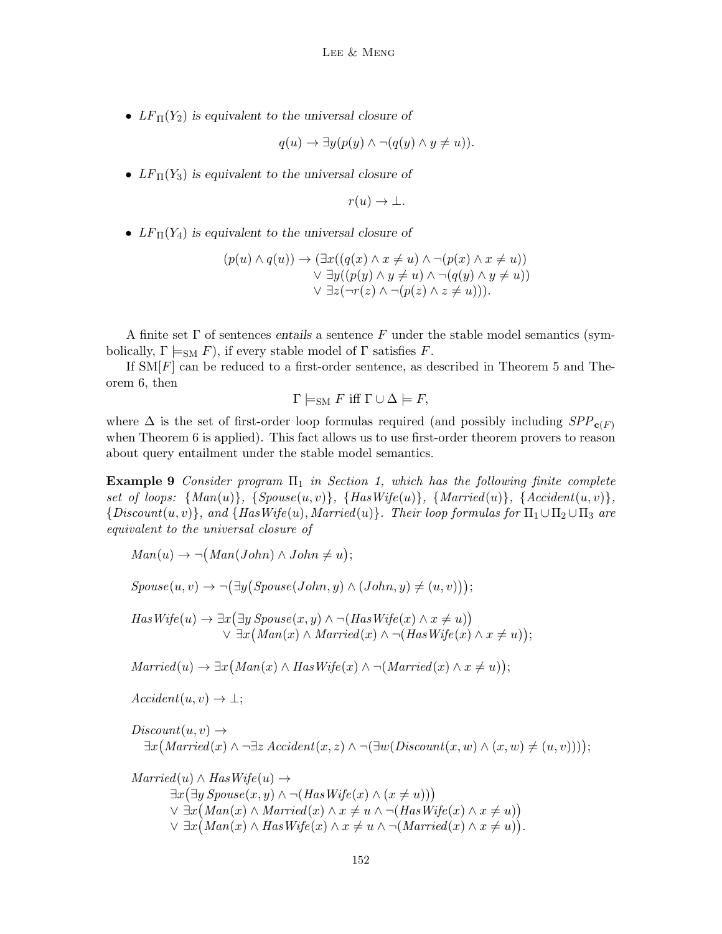•  $LF_{\Pi}(Y_2)$  is equivalent to the universal closure of

$$
q(u) \to \exists y (p(y) \land \neg (q(y) \land y \neq u)).
$$

•  $LF_{\Pi}(Y_3)$  is equivalent to the universal closure of

$$
r(u)\to\bot.
$$

•  $LF_{\Pi}(Y_4)$  is equivalent to the universal closure of

$$
(p(u) \land q(u)) \rightarrow (\exists x ((q(x) \land x \neq u) \land \neg (p(x) \land x \neq u))
$$
  
 
$$
\lor \exists y ((p(y) \land y \neq u) \land \neg (q(y) \land y \neq u))
$$
  
 
$$
\lor \exists z (\neg r(z) \land \neg (p(z) \land z \neq u))).
$$

A finite set  $\Gamma$  of sentences entails a sentence  $F$  under the stable model semantics (symbolically,  $\Gamma \models_{\text{SM}} F$ , if every stable model of  $\Gamma$  satisfies F.

If  $\text{SM}[F]$  can be reduced to a first-order sentence, as described in Theorem 5 and Theorem 6, then

$$
\Gamma \models_{\text{SM}} F \text{ iff } \Gamma \cup \Delta \models F,
$$

where  $\Delta$  is the set of first-order loop formulas required (and possibly including  $SPP_{c(F)}$ ) when Theorem 6 is applied). This fact allows us to use first-order theorem provers to reason about query entailment under the stable model semantics.

**Example 9** Consider program  $\Pi_1$  in Section 1, which has the following finite complete set of loops:  $\{Man(u)\}, \{Spouse(u, v)\}, \{HasWife(u)\}, \{Married(u)\}, \{Accident(u, v)\},$  ${Discount(u, v)}$ , and  ${HasWife(u), Married(u)}$ . Their loop formulas for  $\Pi_1 \cup \Pi_2 \cup \Pi_3$  are equivalent to the universal closure of

 $Man(u) \rightarrow \neg (Man(John) \wedge John \neq u);$ 

 $Spouse(u, v) \rightarrow \neg(\exists y(Spouse(John, y) \land (John, y) \neq (u, v)));$ 

 $HasWife(u) \rightarrow \exists x (\exists y \ Spouse(x, y) \land \neg (HasWife(x) \land x \neq u))$  $\vee \exists x (Man(x) \wedge Married(x) \wedge \neg (HasWife(x) \wedge x \neq u));$ 

 $Married(u) \rightarrow \exists x (Man(x) \land HasWife(x) \land \neg (Married(x) \land x \neq u));$ 

 $Accident(u, v) \rightarrow \bot;$ 

 $Discount(u, v) \rightarrow$  $\exists x \big( \text{Married}(x) \land \neg \exists z \text{Accident}(x, z) \land \neg (\exists w (\text{Discount}(x, w) \land (x, w) \neq (u, v))) \big);$ 

 $Married(u) \wedge HasWife(u) \rightarrow$  $\exists x (\exists y \, Spouse(x, y) \land \neg (HasWife(x) \land (x \neq u)))$  $\vee \exists x (Man(x) \land \textit{Married}(x) \land x \neq u \land \neg (\textit{HasWife}(x) \land x \neq u))$  $\vee \exists x (Man(x) \wedge HasWife(x) \wedge x \neq u \wedge \neg (Married(x) \wedge x \neq u)).$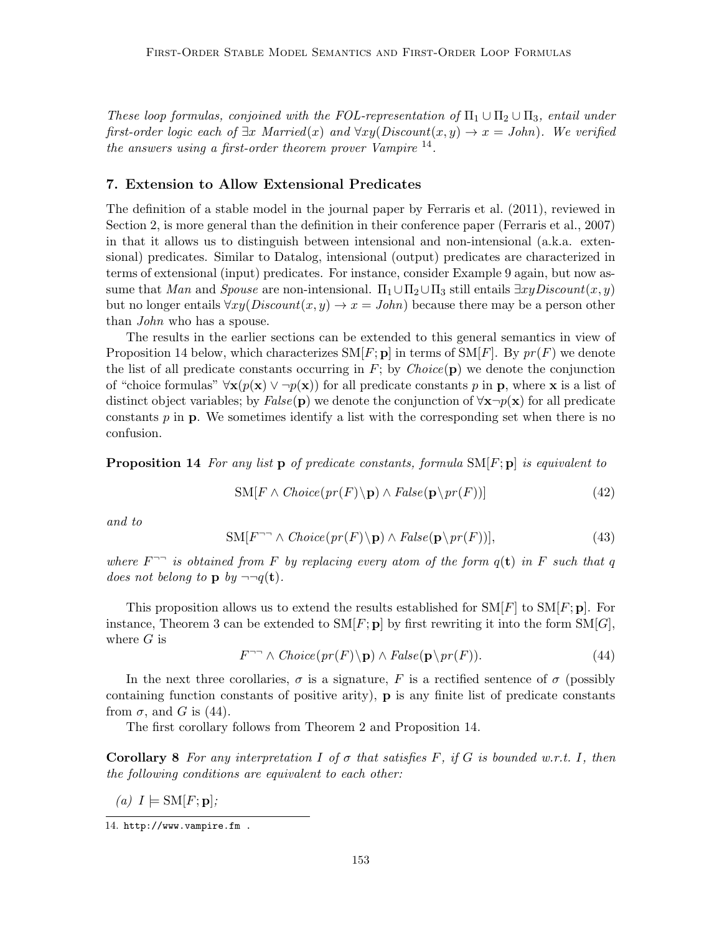These loop formulas, conjoined with the FOL-representation of  $\Pi_1 \cup \Pi_2 \cup \Pi_3$ , entail under first-order logic each of  $\exists x \; Married(x)$  and  $\forall xy(Discount(x, y) \rightarrow x = John)$ . We verified the answers using a first-order theorem prover Vampire  $^{14}$ .

## 7. Extension to Allow Extensional Predicates

The definition of a stable model in the journal paper by Ferraris et al. (2011), reviewed in Section 2, is more general than the definition in their conference paper (Ferraris et al., 2007) in that it allows us to distinguish between intensional and non-intensional (a.k.a. extensional) predicates. Similar to Datalog, intensional (output) predicates are characterized in terms of extensional (input) predicates. For instance, consider Example 9 again, but now assume that Man and Spouse are non-intensional.  $\Pi_1 \cup \Pi_2 \cup \Pi_3$  still entails  $\exists xyDiscount(x, y)$ but no longer entails  $\forall xy(Discount(x, y) \rightarrow x = John)$  because there may be a person other than John who has a spouse.

The results in the earlier sections can be extended to this general semantics in view of Proposition 14 below, which characterizes  $\text{SM}[F; \mathbf{p}]$  in terms of  $\text{SM}[F]$ . By  $pr(F)$  we denote the list of all predicate constants occurring in  $F$ ; by *Choice*( $\mathbf{p}$ ) we denote the conjunction of "choice formulas"  $\forall x(p(x) \lor \neg p(x))$  for all predicate constants p in p, where x is a list of distinct object variables; by  $False(p)$  we denote the conjunction of  $\forall x\neg p(x)$  for all predicate constants  $p$  in  $p$ . We sometimes identify a list with the corresponding set when there is no confusion.

**Proposition 14** For any list p of predicate constants, formula  $SM[F; p]$  is equivalent to

$$
SM[F \wedge Choice(pr(F)\backslash \mathbf{p}) \wedge False(\mathbf{p}\backslash pr(F))]
$$
\n(42)

and to

$$
SM[F^{\neg \neg} \land Choice(pr(F)\backslash \mathbf{p}) \land False(\mathbf{p} \backslash pr(F))],
$$
\n(43)

where  $F^{-}$  is obtained from F by replacing every atom of the form  $q(t)$  in F such that q does not belong to p by  $\neg\neg q(\mathbf{t})$ .

This proposition allows us to extend the results established for  $\text{SM}[F]$  to  $\text{SM}[F; \mathbf{p}]$ . For instance, Theorem 3 can be extended to  $SM[F; \mathbf{p}]$  by first rewriting it into the form  $SM[G]$ , where  $G$  is

$$
F^{-} \wedge Choice(pr(F)\backslash \mathbf{p}) \wedge False(\mathbf{p}\backslash pr(F)). \tag{44}
$$

In the next three corollaries,  $\sigma$  is a signature, F is a rectified sentence of  $\sigma$  (possibly containing function constants of positive arity),  $\bf{p}$  is any finite list of predicate constants from  $\sigma$ , and G is (44).

The first corollary follows from Theorem 2 and Proposition 14.

**Corollary 8** For any interpretation I of  $\sigma$  that satisfies F, if G is bounded w.r.t. I, then the following conditions are equivalent to each other:

(a)  $I \models SM[F; \mathbf{p}];$ 

<sup>14.</sup> http://www.vampire.fm .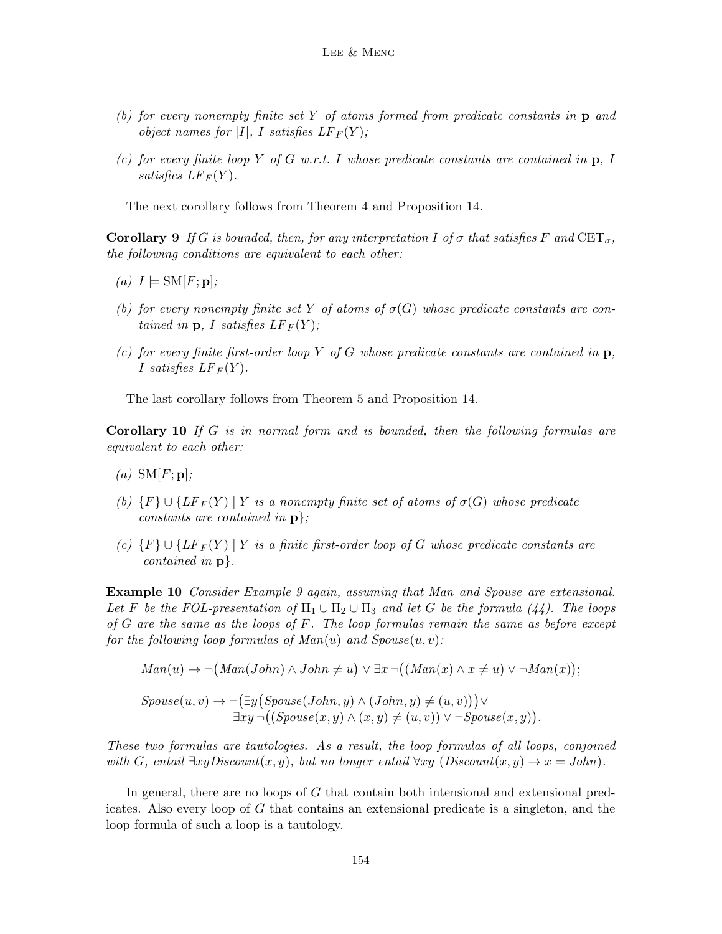- (b) for every nonempty finite set Y of atoms formed from predicate constants in p and object names for |I|, I satisfies  $LF_F(Y)$ ;
- (c) for every finite loop Y of G w.r.t. I whose predicate constants are contained in  $\mathbf{p}$ , I satisfies  $LF_F(Y)$ .

The next corollary follows from Theorem 4 and Proposition 14.

**Corollary 9** If G is bounded, then, for any interpretation I of  $\sigma$  that satisfies F and  $CET_{\sigma}$ , the following conditions are equivalent to each other:

- (a)  $I \models SM[F; \mathbf{p}];$
- (b) for every nonempty finite set Y of atoms of  $\sigma(G)$  whose predicate constants are contained in  $\mathbf{p}, I$  satisfies  $LF_F(Y)$ ;
- (c) for every finite first-order loop Y of G whose predicate constants are contained in  $\mathbf{p}$ , I satisfies  $LF_F(Y)$ .

The last corollary follows from Theorem 5 and Proposition 14.

Corollary 10 If G is in normal form and is bounded, then the following formulas are equivalent to each other:

- (a)  $SM[F; \mathbf{p}];$
- (b)  $\{F\} \cup \{LF_F(Y) | Y \text{ is a nonempty finite set of atoms of } \sigma(G) \text{ whose predicate }$ constants are contained in  $p$ ;
- (c)  $\{F\} \cup \{LF_F(Y) | Y \text{ is a finite first-order loop of } G \text{ whose predicate constants are }$ contained in p}.

Example 10 Consider Example 9 again, assuming that Man and Spouse are extensional. Let F be the FOL-presentation of  $\Pi_1 \cup \Pi_2 \cup \Pi_3$  and let G be the formula (44). The loops of  $G$  are the same as the loops of  $F$ . The loop formulas remain the same as before except for the following loop formulas of  $Man(u)$  and  $Spouse(u, v)$ :

$$
Man(u) \rightarrow \neg (Man(John) \land John \neq u) \lor \exists x \, \neg ((Man(x) \land x \neq u) \lor \neg Man(x));
$$

$$
Spouse(u, v) \rightarrow \neg(\exists y (Spouse(John, y) \land (John, y) \neq (u, v))) \vee \exists xy \neg((Spouse(x, y) \land (x, y) \neq (u, v)) \lor \neg Spouse(x, y)).
$$

These two formulas are tautologies. As a result, the loop formulas of all loops, conjoined with G, entail  $\exists xyDiscount(x, y)$ , but no longer entail  $\forall xy \ (Discount(x, y) \rightarrow x = John)$ .

In general, there are no loops of G that contain both intensional and extensional predicates. Also every loop of G that contains an extensional predicate is a singleton, and the loop formula of such a loop is a tautology.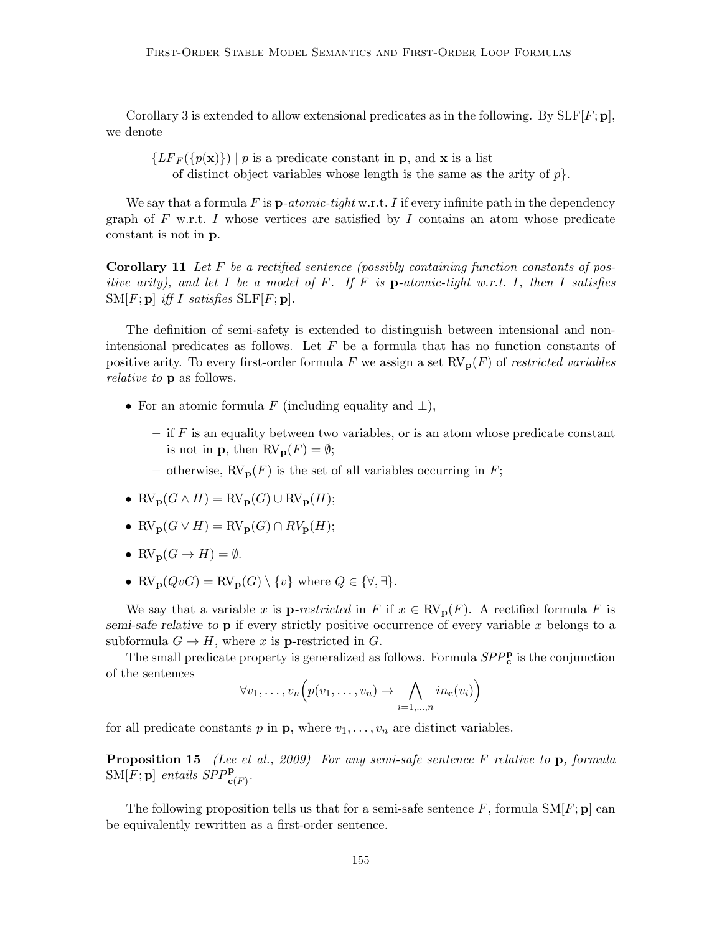Corollary 3 is extended to allow extensional predicates as in the following. By  $SLF[F; p]$ , we denote

 ${LF_F(\lbrace p(\mathbf{x}) \rbrace) \mid p \text{ is a predicate constant in } \mathbf{p}$ , and **x** is a list of distinct object variables whose length is the same as the arity of  $p$ .

We say that a formula  $F$  is  $\mathbf{p}\text{-}atomic\text{-}tight$  w.r.t. I if every infinite path in the dependency graph of F w.r.t. I whose vertices are satisfied by I contains an atom whose predicate constant is not in p.

**Corollary 11** Let F be a rectified sentence (possibly containing function constants of positive arity), and let I be a model of F. If F is **p**-atomic-tight w.r.t. I, then I satisfies  $\text{SM}[F; \mathbf{p}]$  iff I satisfies  $\text{SLF}[F; \mathbf{p}]$ .

The definition of semi-safety is extended to distinguish between intensional and nonintensional predicates as follows. Let  $F$  be a formula that has no function constants of positive arity. To every first-order formula F we assign a set  $RV_p(F)$  of restricted variables relative to p as follows.

- For an atomic formula F (including equality and  $\perp$ ),
	- $-$  if  $F$  is an equality between two variables, or is an atom whose predicate constant is not in **p**, then  $RV_p(F) = \emptyset$ ;
	- otherwise,  $RV_p(F)$  is the set of all variables occurring in F;
- $RV_{\mathbf{p}}(G \wedge H) = RV_{\mathbf{p}}(G) \cup RV_{\mathbf{p}}(H);$
- $RV_{\mathbf{p}}(G \vee H) = RV_{\mathbf{p}}(G) \cap RV_{\mathbf{p}}(H);$
- $RV_{\mathbf{p}}(G \to H) = \emptyset$ .
- RV<sub>p</sub> $(QvG) = RV_p(G) \setminus \{v\}$  where  $Q \in \{\forall, \exists\}.$

We say that a variable x is **p**-restricted in F if  $x \in \text{RV}_{p}(F)$ . A rectified formula F is semi-safe relative to  $\bf{p}$  if every strictly positive occurrence of every variable x belongs to a subformula  $G \to H$ , where x is **p**-restricted in G.

The small predicate property is generalized as follows. Formula  $SPP_c^{\mathbf{p}}$  is the conjunction of the sentences

$$
\forall v_1, \ldots, v_n \Big( p(v_1, \ldots, v_n) \to \bigwedge_{i=1, \ldots, n} in_{\mathbf{c}}(v_i) \Big)
$$

for all predicate constants p in **p**, where  $v_1, \ldots, v_n$  are distinct variables.

**Proposition 15** (Lee et al., 2009) For any semi-safe sentence F relative to p, formula  $\text{SM}[F; \mathbf{p}]$  entails  $\text{SPP}^{\mathbf{p}}_{\mathbf{c}(F)}$ .

The following proposition tells us that for a semi-safe sentence F, formula  $\text{SM}[F; \mathbf{p}]$  can be equivalently rewritten as a first-order sentence.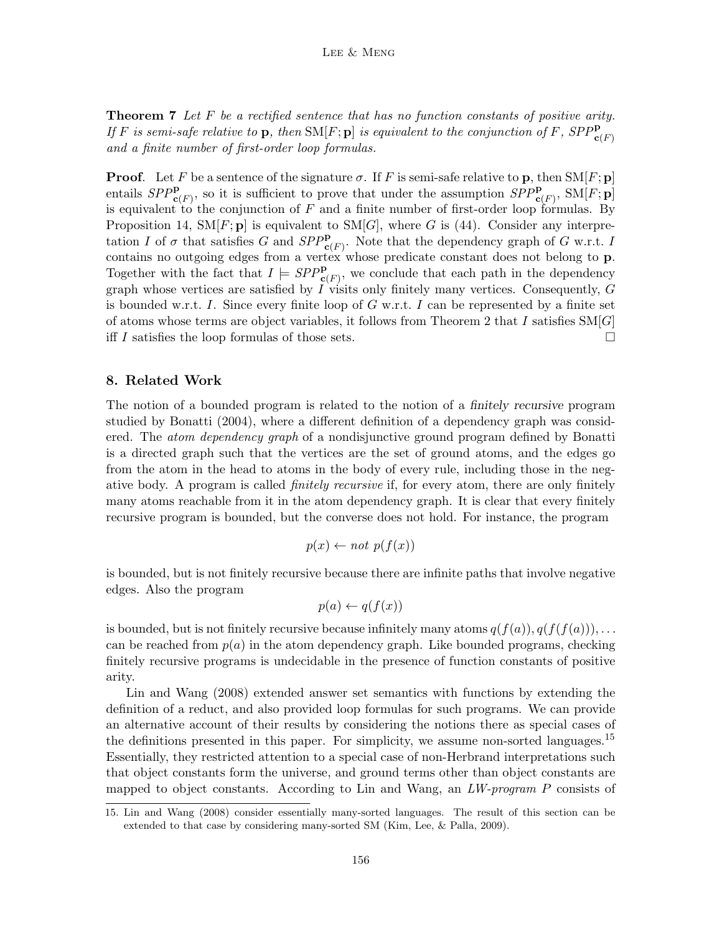**Theorem 7** Let F be a rectified sentence that has no function constants of positive arity. If F is semi-safe relative to  $\bf{p}$ , then SM[F;  $\bf{p}$ ] is equivalent to the conjunction of F, SPP $_{\bf{c}(F)}^{\bf{p}}$ and a finite number of first-order loop formulas.

**Proof.** Let F be a sentence of the signature  $\sigma$ . If F is semi-safe relative to p, then  $\text{SM}[F; \mathbf{p}]$ entails  $SPP^{\mathbf{p}}_{\mathbf{c}(F)}$ , so it is sufficient to prove that under the assumption  $SPP^{\mathbf{p}}_{\mathbf{c}(F)}$ ,  $SM[F; \mathbf{p}]$ is equivalent to the conjunction of  $F$  and a finite number of first-order loop formulas. By Proposition 14,  $SM[F; \mathbf{p}]$  is equivalent to  $SM[G]$ , where G is (44). Consider any interpretation I of  $\sigma$  that satisfies G and  $SPP^{\mathbf{p}}_{\mathbf{c}(F)}$ . Note that the dependency graph of G w.r.t. I contains no outgoing edges from a vertex whose predicate constant does not belong to p. Together with the fact that  $I \models SPP_{\mathbf{c}(F)}^{\mathbf{p}}$ , we conclude that each path in the dependency graph whose vertices are satisfied by  $I$  visits only finitely many vertices. Consequently,  $G$ is bounded w.r.t. I. Since every finite loop of  $G$  w.r.t. I can be represented by a finite set of atoms whose terms are object variables, it follows from Theorem 2 that I satisfies  $\text{SM}[G]$ iff I satisfies the loop formulas of those sets.  $\Box$ 

## 8. Related Work

The notion of a bounded program is related to the notion of a finitely recursive program studied by Bonatti (2004), where a different definition of a dependency graph was considered. The *atom dependency graph* of a nondisjunctive ground program defined by Bonatti is a directed graph such that the vertices are the set of ground atoms, and the edges go from the atom in the head to atoms in the body of every rule, including those in the negative body. A program is called *finitely recursive* if, for every atom, there are only finitely many atoms reachable from it in the atom dependency graph. It is clear that every finitely recursive program is bounded, but the converse does not hold. For instance, the program

$$
p(x) \leftarrow not \ p(f(x))
$$

is bounded, but is not finitely recursive because there are infinite paths that involve negative edges. Also the program

$$
p(a) \leftarrow q(f(x))
$$

is bounded, but is not finitely recursive because infinitely many atoms  $q(f(a)), q(f(f(a))), \ldots$ can be reached from  $p(a)$  in the atom dependency graph. Like bounded programs, checking finitely recursive programs is undecidable in the presence of function constants of positive arity.

Lin and Wang (2008) extended answer set semantics with functions by extending the definition of a reduct, and also provided loop formulas for such programs. We can provide an alternative account of their results by considering the notions there as special cases of the definitions presented in this paper. For simplicity, we assume non-sorted languages.<sup>15</sup> Essentially, they restricted attention to a special case of non-Herbrand interpretations such that object constants form the universe, and ground terms other than object constants are mapped to object constants. According to Lin and Wang, an  $LW$ -program P consists of

<sup>15.</sup> Lin and Wang (2008) consider essentially many-sorted languages. The result of this section can be extended to that case by considering many-sorted SM (Kim, Lee, & Palla, 2009).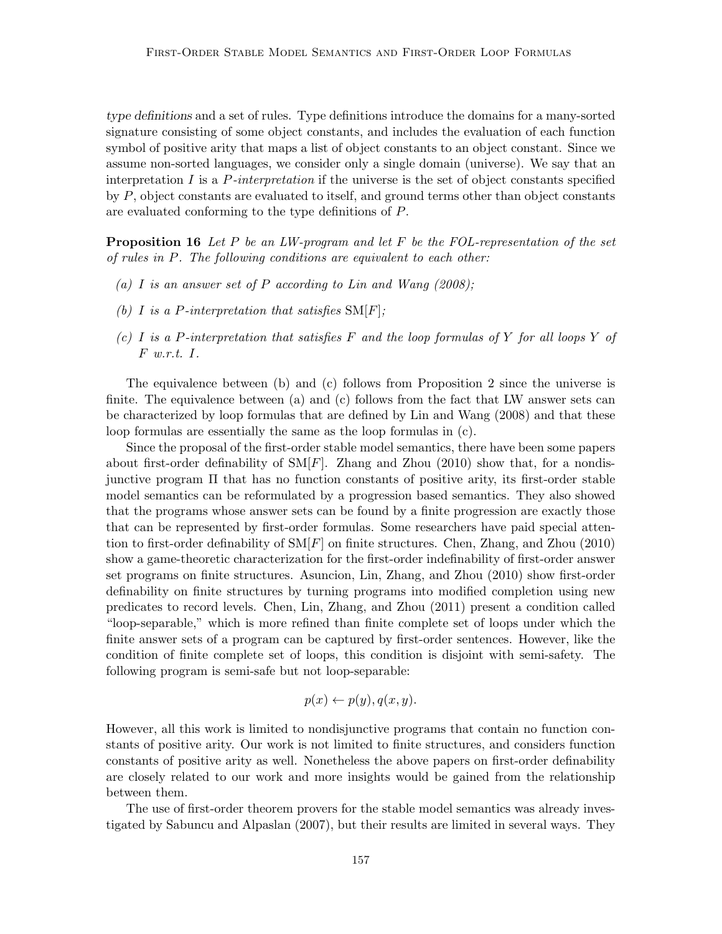type definitions and a set of rules. Type definitions introduce the domains for a many-sorted signature consisting of some object constants, and includes the evaluation of each function symbol of positive arity that maps a list of object constants to an object constant. Since we assume non-sorted languages, we consider only a single domain (universe). We say that an interpretation I is a  $P\text{-}interpretation$  if the universe is the set of object constants specified by P, object constants are evaluated to itself, and ground terms other than object constants are evaluated conforming to the type definitions of P.

**Proposition 16** Let P be an LW-program and let F be the FOL-representation of the set of rules in P. The following conditions are equivalent to each other:

- (a) I is an answer set of P according to Lin and Wang  $(2008)$ ;
- (b) I is a P-interpretation that satisfies  $SM[F]$ ;
- (c) I is a P-interpretation that satisfies F and the loop formulas of Y for all loops Y of F w.r.t. I.

The equivalence between (b) and (c) follows from Proposition 2 since the universe is finite. The equivalence between (a) and (c) follows from the fact that LW answer sets can be characterized by loop formulas that are defined by Lin and Wang (2008) and that these loop formulas are essentially the same as the loop formulas in (c).

Since the proposal of the first-order stable model semantics, there have been some papers about first-order definability of  $\text{SM}[F]$ . Zhang and Zhou (2010) show that, for a nondisjunctive program Π that has no function constants of positive arity, its first-order stable model semantics can be reformulated by a progression based semantics. They also showed that the programs whose answer sets can be found by a finite progression are exactly those that can be represented by first-order formulas. Some researchers have paid special attention to first-order definability of  $\text{SM}[F]$  on finite structures. Chen, Zhang, and Zhou (2010) show a game-theoretic characterization for the first-order indefinability of first-order answer set programs on finite structures. Asuncion, Lin, Zhang, and Zhou (2010) show first-order definability on finite structures by turning programs into modified completion using new predicates to record levels. Chen, Lin, Zhang, and Zhou (2011) present a condition called "loop-separable," which is more refined than finite complete set of loops under which the finite answer sets of a program can be captured by first-order sentences. However, like the condition of finite complete set of loops, this condition is disjoint with semi-safety. The following program is semi-safe but not loop-separable:

$$
p(x) \leftarrow p(y), q(x, y).
$$

However, all this work is limited to nondisjunctive programs that contain no function constants of positive arity. Our work is not limited to finite structures, and considers function constants of positive arity as well. Nonetheless the above papers on first-order definability are closely related to our work and more insights would be gained from the relationship between them.

The use of first-order theorem provers for the stable model semantics was already investigated by Sabuncu and Alpaslan (2007), but their results are limited in several ways. They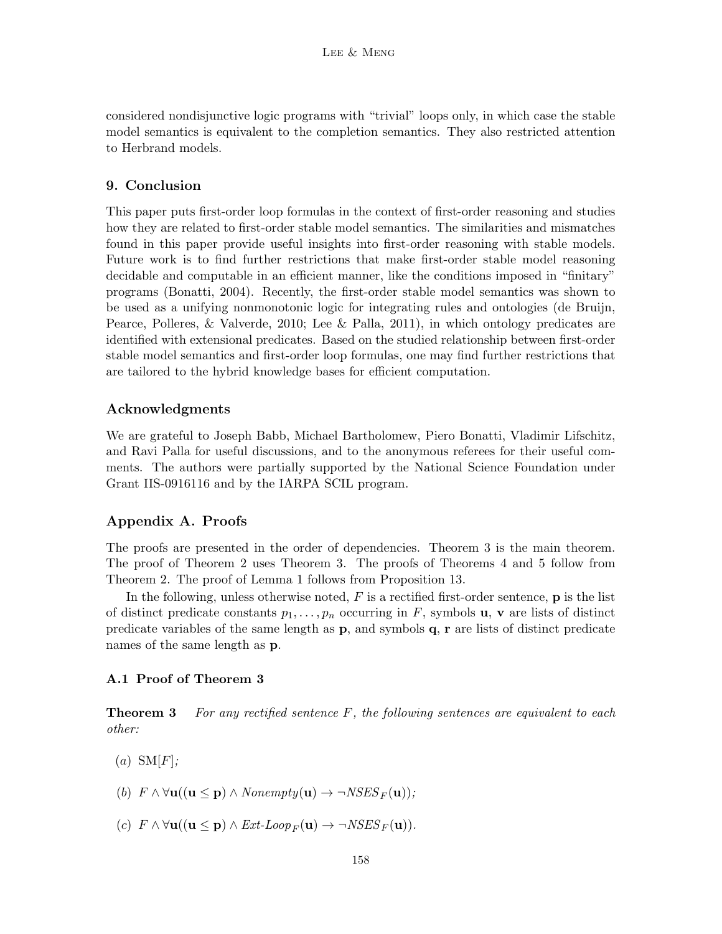considered nondisjunctive logic programs with "trivial" loops only, in which case the stable model semantics is equivalent to the completion semantics. They also restricted attention to Herbrand models.

## 9. Conclusion

This paper puts first-order loop formulas in the context of first-order reasoning and studies how they are related to first-order stable model semantics. The similarities and mismatches found in this paper provide useful insights into first-order reasoning with stable models. Future work is to find further restrictions that make first-order stable model reasoning decidable and computable in an efficient manner, like the conditions imposed in "finitary" programs (Bonatti, 2004). Recently, the first-order stable model semantics was shown to be used as a unifying nonmonotonic logic for integrating rules and ontologies (de Bruijn, Pearce, Polleres, & Valverde, 2010; Lee & Palla, 2011), in which ontology predicates are identified with extensional predicates. Based on the studied relationship between first-order stable model semantics and first-order loop formulas, one may find further restrictions that are tailored to the hybrid knowledge bases for efficient computation.

## Acknowledgments

We are grateful to Joseph Babb, Michael Bartholomew, Piero Bonatti, Vladimir Lifschitz, and Ravi Palla for useful discussions, and to the anonymous referees for their useful comments. The authors were partially supported by the National Science Foundation under Grant IIS-0916116 and by the IARPA SCIL program.

## Appendix A. Proofs

The proofs are presented in the order of dependencies. Theorem 3 is the main theorem. The proof of Theorem 2 uses Theorem 3. The proofs of Theorems 4 and 5 follow from Theorem 2. The proof of Lemma 1 follows from Proposition 13.

In the following, unless otherwise noted,  $F$  is a rectified first-order sentence,  $\bf{p}$  is the list of distinct predicate constants  $p_1, \ldots, p_n$  occurring in F, symbols **u**, **v** are lists of distinct predicate variables of the same length as  $\bf{p}$ , and symbols  $\bf{q}$ ,  $\bf{r}$  are lists of distinct predicate names of the same length as p.

#### A.1 Proof of Theorem 3

**Theorem 3** For any rectified sentence  $F$ , the following sentences are equivalent to each other:

- $(a)$  SM[F];
- (b)  $F \wedge \forall \mathbf{u}((\mathbf{u} \leq \mathbf{p}) \wedge \text{Nonempty}(\mathbf{u}) \rightarrow \neg \text{NSES}_F(\mathbf{u}))$ ;
- (c)  $F \wedge \forall \mathbf{u}((\mathbf{u} \leq \mathbf{p}) \wedge \text{Ext-Loop}_F(\mathbf{u}) \rightarrow \neg \text{NSES}_F(\mathbf{u})).$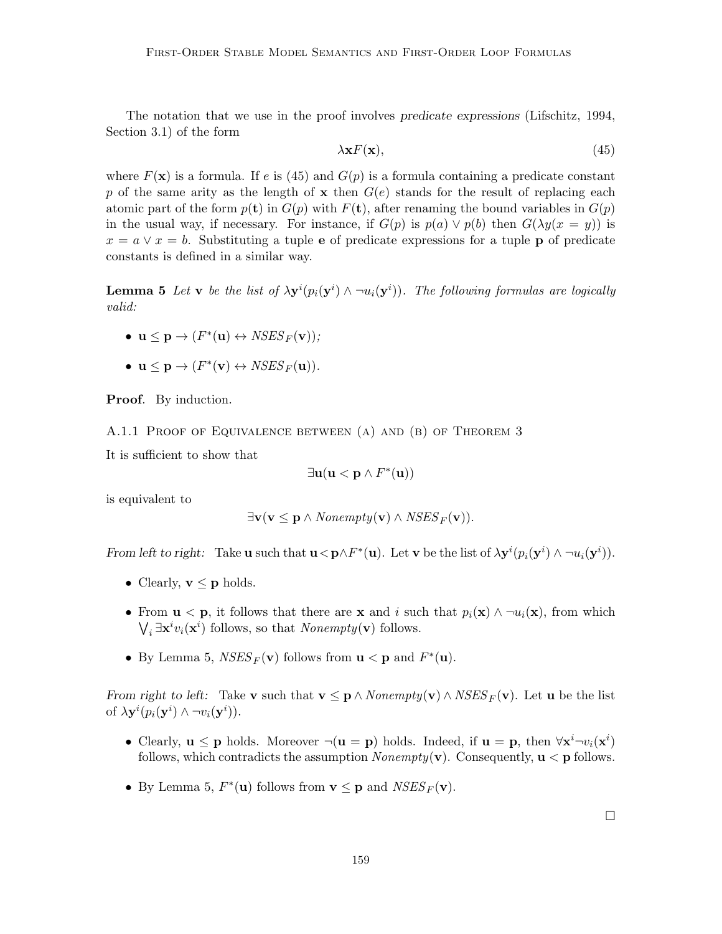The notation that we use in the proof involves predicate expressions (Lifschitz, 1994, Section 3.1) of the form

$$
\lambda \mathbf{x} F(\mathbf{x}),\tag{45}
$$

where  $F(\mathbf{x})$  is a formula. If e is (45) and  $G(p)$  is a formula containing a predicate constant p of the same arity as the length of  $x$  then  $G(e)$  stands for the result of replacing each atomic part of the form  $p(t)$  in  $G(p)$  with  $F(t)$ , after renaming the bound variables in  $G(p)$ in the usual way, if necessary. For instance, if  $G(p)$  is  $p(a) \vee p(b)$  then  $G(\lambda y(x = y))$  is  $x = a \vee x = b$ . Substituting a tuple e of predicate expressions for a tuple p of predicate constants is defined in a similar way.

**Lemma 5** Let **v** be the list of  $\lambda y^{i}(p_i(y^{i}) \wedge \neg u_i(y^{i}))$ . The following formulas are logically valid:

- $\mathbf{u} \leq \mathbf{p} \rightarrow (F^*(\mathbf{u}) \leftrightarrow NSES_F(\mathbf{v}));$
- $\mathbf{u} \leq \mathbf{p} \to (F^*(\mathbf{v}) \leftrightarrow \textit{NSES}_F(\mathbf{u})).$

Proof. By induction.

A.1.1 Proof of Equivalence between (a) and (b) of Theorem 3

It is sufficient to show that

$$
\exists \mathbf{u}(\mathbf{u}<\mathbf{p}\wedge F^*(\mathbf{u}))
$$

is equivalent to

$$
\exists \mathbf{v} (\mathbf{v} \leq \mathbf{p} \land \text{Nonempty}(\mathbf{v}) \land \text{NSES}_F(\mathbf{v})).
$$

From left to right: Take **u** such that  $\mathbf{u} < \mathbf{p} \wedge F^*(\mathbf{u})$ . Let **v** be the list of  $\lambda \mathbf{y}^i(p_i(\mathbf{y}^i) \wedge \neg u_i(\mathbf{y}^i))$ .

- Clearly,  $\mathbf{v} \leq \mathbf{p}$  holds.
- From  $\mathbf{u} < \mathbf{p}$ , it follows that there are **x** and i such that  $p_i(\mathbf{x}) \wedge \neg u_i(\mathbf{x})$ , from which  $\bigvee_i \exists \mathbf{x}^i v_i(\mathbf{x}^i)$  follows, so that *Nonempty*(**v**) follows.
- By Lemma 5,  $NSES_F(\mathbf{v})$  follows from  $\mathbf{u} < \mathbf{p}$  and  $F^*(\mathbf{u})$ .

From right to left: Take v such that  $\mathbf{v} \leq \mathbf{p} \wedge \text{Nonempty}(\mathbf{v}) \wedge \text{NSES}_F(\mathbf{v})$ . Let u be the list of  $\lambda \mathbf{y}^i(p_i(\mathbf{y}^i) \wedge \neg v_i(\mathbf{y}^i)).$ 

- Clearly,  $u \leq p$  holds. Moreover  $\neg(u = p)$  holds. Indeed, if  $u = p$ , then  $\forall x^{i} \neg v_i(x^{i})$ follows, which contradicts the assumption *Nonempty*( $\bf{v}$ ). Consequently,  $\bf{u}$  <  $\bf{p}$  follows.
- By Lemma 5,  $F^*(\mathbf{u})$  follows from  $\mathbf{v} \leq \mathbf{p}$  and  $NSES_F(\mathbf{v})$ .

 $\Box$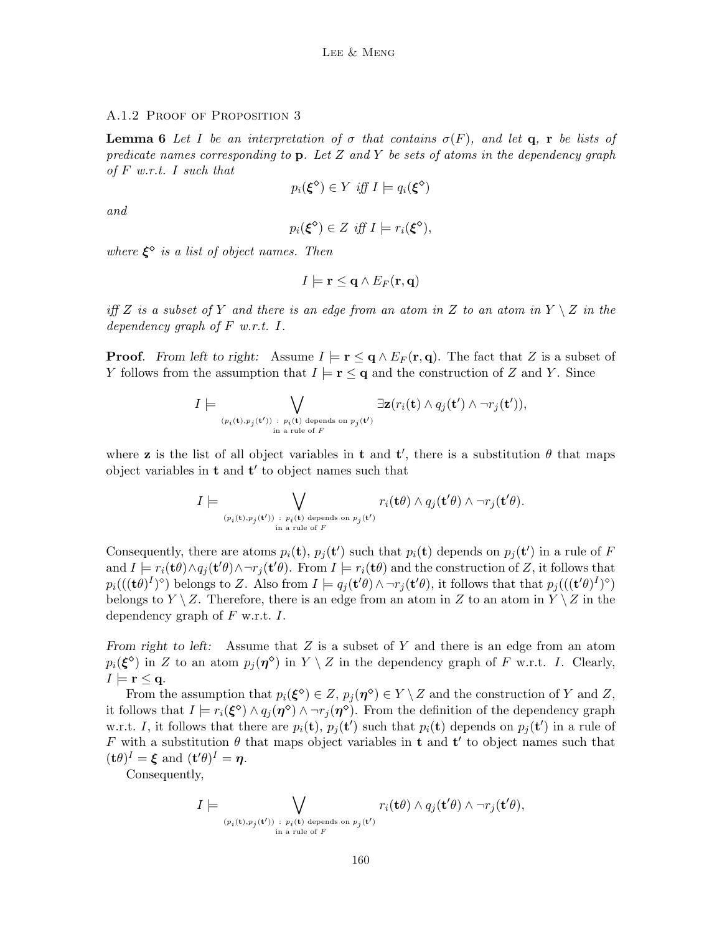#### A.1.2 PROOF OF PROPOSITION 3

**Lemma 6** Let I be an interpretation of  $\sigma$  that contains  $\sigma(F)$ , and let **q**, **r** be lists of predicate names corresponding to  $p$ . Let Z and Y be sets of atoms in the dependency graph of  $F$  w.r.t. I such that

$$
p_i(\xi^{\diamond}) \in Y \text{ iff } I \models q_i(\xi^{\diamond})
$$

and

$$
p_i(\xi^{\diamond}) \in Z \text{ iff } I \models r_i(\xi^{\diamond}),
$$

where  $\xi^{\diamond}$  is a list of object names. Then

$$
I \models \mathbf{r} \leq \mathbf{q} \wedge E_F(\mathbf{r}, \mathbf{q})
$$

iff Z is a subset of Y and there is an edge from an atom in Z to an atom in  $Y \setminus Z$  in the dependency graph of  $F$  w.r.t.  $I$ .

**Proof.** From left to right: Assume  $I \models \mathbf{r} \leq \mathbf{q} \wedge E_F(\mathbf{r}, \mathbf{q})$ . The fact that Z is a subset of Y follows from the assumption that  $I \models r \leq q$  and the construction of Z and Y. Since

$$
I \models \bigvee_{(p_i(\mathbf{t}), p_j(\mathbf{t}')) \ : \ p_i(\mathbf{t}) \text{ depends on } p_j(\mathbf{t}')} \exists \mathbf{z}(r_i(\mathbf{t}) \land q_j(\mathbf{t}') \land \neg r_j(\mathbf{t}')),
$$
  
in a rule of F

where **z** is the list of all object variables in **t** and **t'**, there is a substitution  $\theta$  that maps object variables in  $t$  and  $t'$  to object names such that

$$
I \models \bigvee_{(p_i(\mathbf{t}),p_j(\mathbf{t}')) \ : \ p_i(\mathbf{t}) \text{ depends on } p_j(\mathbf{t}') } r_i(\mathbf{t} \theta) \land q_j(\mathbf{t}' \theta) \land \neg r_j(\mathbf{t}' \theta).
$$

Consequently, there are atoms  $p_i(\mathbf{t})$ ,  $p_j(\mathbf{t}')$  such that  $p_i(\mathbf{t})$  depends on  $p_j(\mathbf{t}')$  in a rule of F and  $I \models r_i(\mathbf{t}\theta) \land q_j(\mathbf{t}'\theta) \land \neg r_j(\mathbf{t}'\theta)$ . From  $I \models r_i(\mathbf{t}\theta)$  and the construction of Z, it follows that  $p_i(((\mathbf{t}\theta)^I)^\diamond)$  belongs to Z. Also from  $I \models q_j(\mathbf{t}'\theta) \wedge \neg r_j(\mathbf{t}'\theta)$ , it follows that that  $p_j(((\mathbf{t}'\theta)^I)^\diamond)$ belongs to  $Y \setminus Z$ . Therefore, there is an edge from an atom in Z to an atom in  $Y \setminus Z$  in the dependency graph of  $F$  w.r.t.  $I$ .

From right to left: Assume that  $Z$  is a subset of  $Y$  and there is an edge from an atom  $p_i(\boldsymbol{\xi}^{\diamond})$  in Z to an atom  $p_j(\boldsymbol{\eta}^{\diamond})$  in  $Y \setminus Z$  in the dependency graph of F w.r.t. I. Clearly,  $I \models r \leq q.$ 

From the assumption that  $p_i(\boldsymbol{\xi}^{\diamond}) \in Z$ ,  $p_j(\boldsymbol{\eta}^{\diamond}) \in Y \setminus Z$  and the construction of Y and Z, it follows that  $I \models r_i(\xi^{\diamond}) \land q_j(\eta^{\diamond}) \land \neg r_j(\eta^{\diamond})$ . From the definition of the dependency graph w.r.t. I, it follows that there are  $p_i(\mathbf{t}), p_j(\mathbf{t}')$  such that  $p_i(\mathbf{t})$  depends on  $p_j(\mathbf{t}')$  in a rule of F with a substitution  $\theta$  that maps object variables in **t** and **t'** to object names such that  $(\mathbf{t}\theta)^I = \boldsymbol{\xi}$  and  $(\mathbf{t}'\theta)^I = \boldsymbol{\eta}$ .

Consequently,

$$
I \models \bigvee_{(p_i(\mathbf{t}), p_j(\mathbf{t}')) \ : \ p_i(\mathbf{t}) \text{ depends on } p_j(\mathbf{t}') } r_i(\mathbf{t} \theta) \land q_j(\mathbf{t}' \theta) \land \neg r_j(\mathbf{t}' \theta),
$$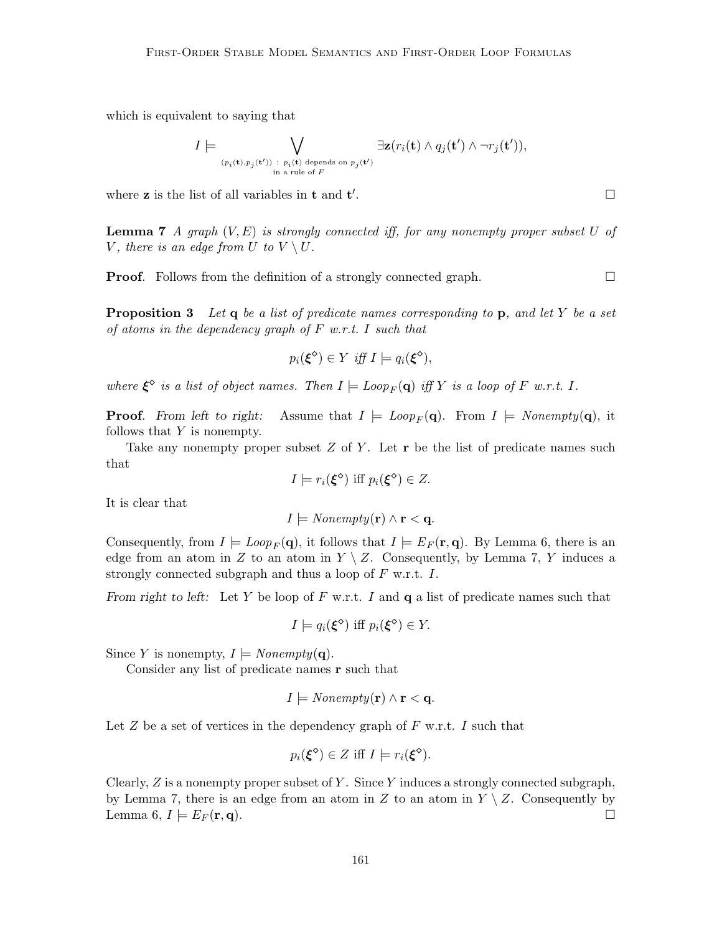which is equivalent to saying that

$$
I \models \bigvee_{(p_i(\mathbf{t}), p_j(\mathbf{t}')) \ : \ p_i(\mathbf{t}) \text{ depends on } p_j(\mathbf{t}')} \exists \mathbf{z}(r_i(\mathbf{t}) \land q_j(\mathbf{t}') \land \neg r_j(\mathbf{t}')),
$$
  
in a rule of F

where  $\mathbf z$  is the list of all variables in  $\mathbf t$  and  $\mathbf t'$ 

**Lemma 7** A graph  $(V, E)$  is strongly connected iff, for any nonempty proper subset U of V, there is an edge from U to  $V \setminus U$ .

**Proof.** Follows from the definition of a strongly connected graph.

**Proposition 3** Let q be a list of predicate names corresponding to p, and let Y be a set of atoms in the dependency graph of  $F$  w.r.t. I such that

$$
p_i(\xi^{\diamond}) \in Y \text{ iff } I \models q_i(\xi^{\diamond}),
$$

where  $\xi^{\diamond}$  is a list of object names. Then  $I \models Loop_F(\mathbf{q})$  iff Y is a loop of F w.r.t. I.

**Proof.** From left to right: Assume that  $I \models Loop_F(\mathbf{q})$ . From  $I \models Nonempty(\mathbf{q})$ , it follows that Y is nonempty.

Take any nonempty proper subset  $Z$  of  $Y$ . Let  $r$  be the list of predicate names such that

$$
I \models r_i(\xi^{\diamond}) \text{ iff } p_i(\xi^{\diamond}) \in Z.
$$

It is clear that

$$
I \models \text{Nonempty}(\mathbf{r}) \land \mathbf{r} < \mathbf{q}.
$$

Consequently, from  $I \models Loop_F(\mathbf{q})$ , it follows that  $I \models E_F(\mathbf{r}, \mathbf{q})$ . By Lemma 6, there is an edge from an atom in Z to an atom in  $Y \setminus Z$ . Consequently, by Lemma 7, Y induces a strongly connected subgraph and thus a loop of  $F$  w.r.t.  $I$ .

From right to left: Let Y be loop of F w.r.t. I and  $q$  a list of predicate names such that

$$
I \models q_i(\xi^{\diamond}) \text{ iff } p_i(\xi^{\diamond}) \in Y.
$$

Since Y is nonempty,  $I \models \text{Nonempty}(\mathbf{q})$ .

Consider any list of predicate names r such that

$$
I \models \text{Nonempty}(\mathbf{r}) \land \mathbf{r} < \mathbf{q}.
$$

Let  $Z$  be a set of vertices in the dependency graph of  $F$  w.r.t.  $I$  such that

$$
p_i(\xi^{\diamond}) \in Z \text{ iff } I \models r_i(\xi^{\diamond}).
$$

Clearly,  $Z$  is a nonempty proper subset of Y. Since Y induces a strongly connected subgraph, by Lemma 7, there is an edge from an atom in Z to an atom in  $Y \setminus Z$ . Consequently by Lemma 6,  $I \models E_F(\mathbf{r}, \mathbf{q}).$ 

.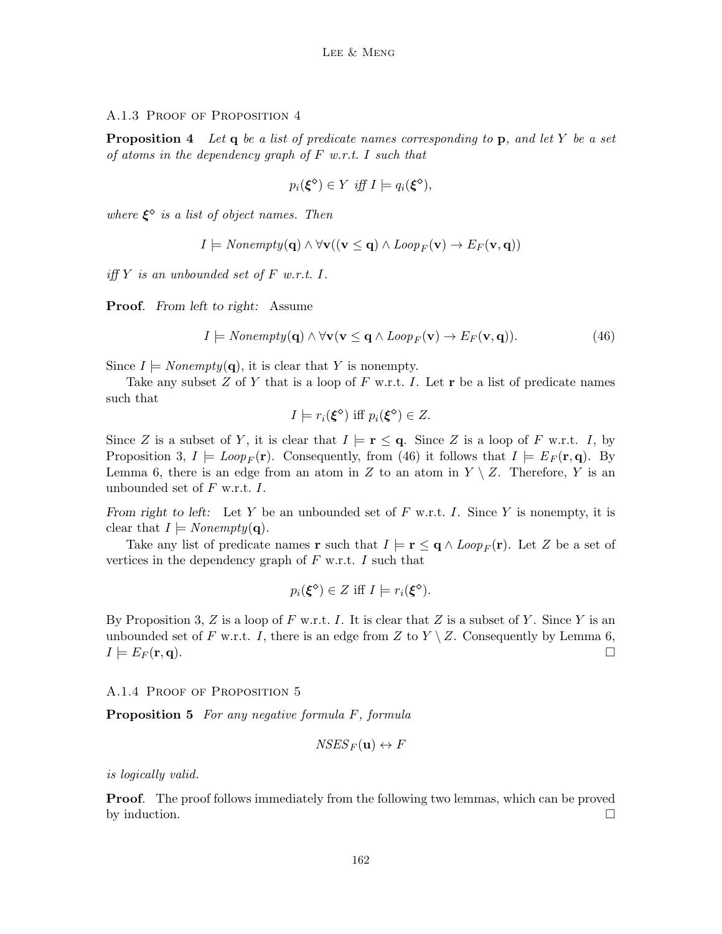#### A.1.3 PROOF OF PROPOSITION 4

**Proposition 4** Let q be a list of predicate names corresponding to p, and let Y be a set of atoms in the dependency graph of  $F$  w.r.t. I such that

$$
p_i(\xi^{\diamond}) \in Y \text{ iff } I \models q_i(\xi^{\diamond}),
$$

where  $\xi^{\diamond}$  is a list of object names. Then

$$
I \models \text{Nonempty}(\mathbf{q}) \land \forall \mathbf{v} ((\mathbf{v} \leq \mathbf{q}) \land \text{Loop}_F(\mathbf{v}) \rightarrow E_F(\mathbf{v}, \mathbf{q}))
$$

iff  $Y$  is an unbounded set of  $F$  w.r.t.  $I$ .

Proof. From left to right: Assume

$$
I \models \text{Nonempty}(\mathbf{q}) \land \forall \mathbf{v} (\mathbf{v} \leq \mathbf{q} \land \text{Loop}_F(\mathbf{v}) \to E_F(\mathbf{v}, \mathbf{q})). \tag{46}
$$

Since  $I \models \text{Nonempty}(\mathbf{q})$ , it is clear that Y is nonempty.

Take any subset  $Z$  of  $Y$  that is a loop of  $F$  w.r.t.  $I$ . Let  $r$  be a list of predicate names such that

$$
I \models r_i(\xi^{\diamond}) \text{ iff } p_i(\xi^{\diamond}) \in Z.
$$

Since Z is a subset of Y, it is clear that  $I \models r \leq q$ . Since Z is a loop of F w.r.t. I, by Proposition 3,  $I \models Loop_F(\mathbf{r})$ . Consequently, from (46) it follows that  $I \models E_F(\mathbf{r}, \mathbf{q})$ . By Lemma 6, there is an edge from an atom in Z to an atom in  $Y \setminus Z$ . Therefore, Y is an unbounded set of  $F$  w.r.t.  $I$ .

From right to left: Let Y be an unbounded set of F w.r.t. I. Since Y is nonempty, it is clear that  $I \models \text{Nonempty}(\mathbf{q})$ .

Take any list of predicate names **r** such that  $I \models \mathbf{r} \leq \mathbf{q} \wedge \text{Loop}_F(\mathbf{r})$ . Let Z be a set of vertices in the dependency graph of  $F$  w.r.t.  $I$  such that

$$
p_i(\xi^{\diamond}) \in Z \text{ iff } I \models r_i(\xi^{\diamond}).
$$

By Proposition 3, Z is a loop of F w.r.t. I. It is clear that Z is a subset of Y. Since Y is an unbounded set of F w.r.t. I, there is an edge from Z to  $Y \setminus Z$ . Consequently by Lemma 6,  $I \models E_F(\mathbf{r}, \mathbf{q}).$ 

#### A.1.4 PROOF OF PROPOSITION 5

**Proposition 5** For any negative formula F, formula

$$
NSES_F({\bf u}) \leftrightarrow F
$$

is logically valid.

**Proof.** The proof follows immediately from the following two lemmas, which can be proved by induction.  $\Box$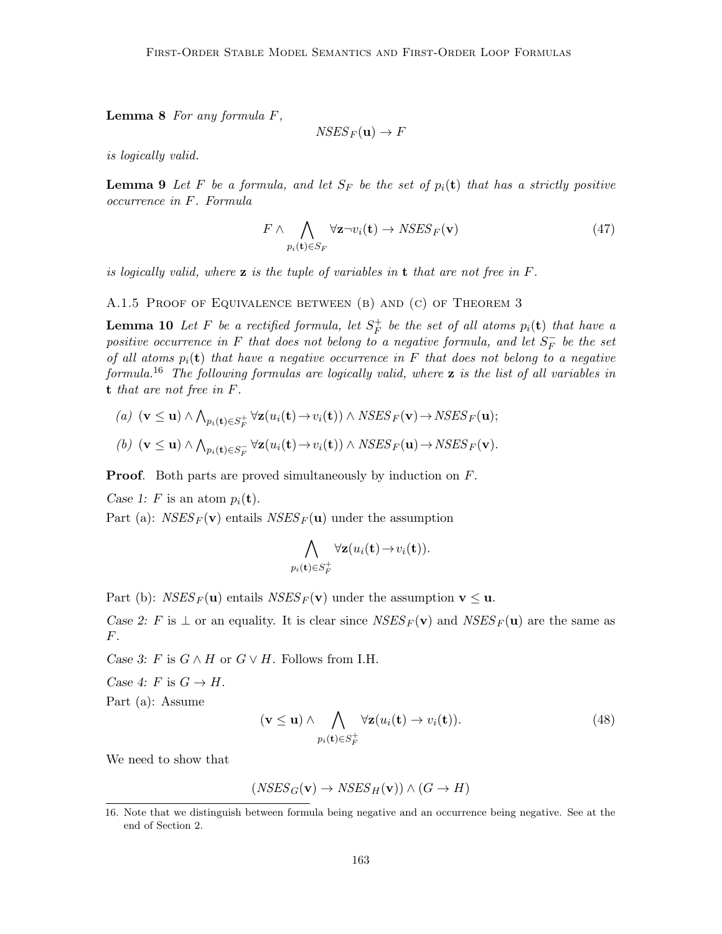**Lemma 8** For any formula  $F$ ,

$$
NSES_F({\bf u}) \to F
$$

is logically valid.

**Lemma 9** Let F be a formula, and let  $S_F$  be the set of  $p_i(t)$  that has a strictly positive occurrence in F. Formula

$$
F \wedge \bigwedge_{p_i(\mathbf{t}) \in S_F} \forall \mathbf{z} \neg v_i(\mathbf{t}) \to NSES_F(\mathbf{v})
$$
\n(47)

is logically valid, where  $z$  is the tuple of variables in  $t$  that are not free in  $F$ .

A.1.5 Proof of Equivalence between (b) and (c) of Theorem 3

**Lemma 10** Let F be a rectified formula, let  $S_F^+$  $_{F}^{+}$  be the set of all atoms  $p_i(\mathbf{t})$  that have a positive occurrence in F that does not belong to a negative formula, and let  $S_F^ \bar{F}$  be the set of all atoms  $p_i(t)$  that have a negative occurrence in F that does not belong to a negative formula.<sup>16</sup> The following formulas are logically valid, where **z** is the list of all variables in t that are not free in F.

(a) 
$$
(\mathbf{v} \leq \mathbf{u}) \wedge \bigwedge_{p_i(\mathbf{t}) \in S_F^+} \forall \mathbf{z}(u_i(\mathbf{t}) \rightarrow v_i(\mathbf{t})) \wedge NSES_F(\mathbf{v}) \rightarrow NSES_F(\mathbf{u});
$$

(b) 
$$
(\mathbf{v} \leq \mathbf{u}) \wedge \bigwedge_{p_i(\mathbf{t}) \in S_F^-} \forall \mathbf{z}(u_i(\mathbf{t}) \rightarrow v_i(\mathbf{t})) \wedge NSES_F(\mathbf{u}) \rightarrow NSES_F(\mathbf{v}).
$$

**Proof.** Both parts are proved simultaneously by induction on F.

Case 1: F is an atom  $p_i(\mathbf{t})$ .

Part (a):  $NSES_F(\mathbf{v})$  entails  $NSES_F(\mathbf{u})$  under the assumption

$$
\bigwedge_{p_i(\mathbf{t}) \in S_F^+} \forall \mathbf{z}(u_i(\mathbf{t}) \to v_i(\mathbf{t})).
$$

Part (b):  $NSES_F(\mathbf{u})$  entails  $NSES_F(\mathbf{v})$  under the assumption  $\mathbf{v} \leq \mathbf{u}$ .

Case 2: F is  $\perp$  or an equality. It is clear since  $NSES_F(\mathbf{v})$  and  $NSES_F(\mathbf{u})$  are the same as F.

Case 3: F is  $G \wedge H$  or  $G \vee H$ . Follows from I.H.

Case 4: F is  $G \to H$ .

Part (a): Assume

$$
(\mathbf{v} \le \mathbf{u}) \wedge \bigwedge_{p_i(\mathbf{t}) \in S_F^+} \forall \mathbf{z}(u_i(\mathbf{t}) \to v_i(\mathbf{t})).
$$
\n(48)

We need to show that

 $(NSES_G(v) \rightarrow NSES_H(v)) \wedge (G \rightarrow H)$ 

<sup>16.</sup> Note that we distinguish between formula being negative and an occurrence being negative. See at the end of Section 2.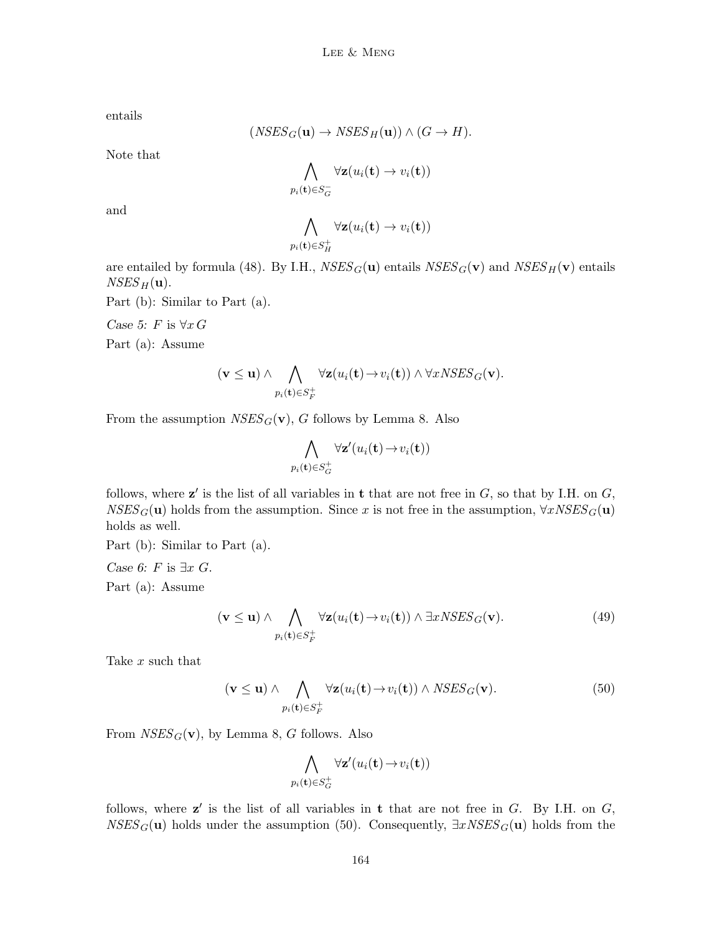entails

$$
(NSES_G(\mathbf{u}) \to NSES_H(\mathbf{u})) \wedge (G \to H).
$$

Note that

$$
\bigwedge_{p_i(\mathbf{t}) \in S_G^-} \forall \mathbf{z}(u_i(\mathbf{t}) \to v_i(\mathbf{t}))
$$

and

$$
\bigwedge_{p_i(\mathbf{t}) \in S_H^+} \forall \mathbf{z}(u_i(\mathbf{t}) \to v_i(\mathbf{t}))
$$

are entailed by formula (48). By I.H.,  $NSES_G(\mathbf{u})$  entails  $NSES_G(\mathbf{v})$  and  $NSES_H(\mathbf{v})$  entails  $NSES_H({\bf u}).$ 

Part (b): Similar to Part (a).

Case 5: F is  $\forall x G$ 

Part (a): Assume

$$
(\mathbf{v} \leq \mathbf{u}) \wedge \bigwedge_{p_i(\mathbf{t}) \in S_F^+} \forall \mathbf{z}(u_i(\mathbf{t}) \rightarrow v_i(\mathbf{t})) \wedge \forall x \text{NSES}_G(\mathbf{v}).
$$

From the assumption  $NSES_G(v)$ , G follows by Lemma 8. Also

$$
\bigwedge_{p_i(\mathbf{t}) \in S_G^+} \forall \mathbf{z}' (u_i(\mathbf{t}) \to v_i(\mathbf{t}))
$$

follows, where  $z'$  is the list of all variables in t that are not free in  $G$ , so that by I.H. on  $G$ ,  $NSES_G(\mathbf{u})$  holds from the assumption. Since x is not free in the assumption,  $\forall xNSES_G(\mathbf{u})$ holds as well.

Part (b): Similar to Part (a).

Case 6: F is  $\exists x \ G$ . Part (a): Assume

$$
(\mathbf{v} \le \mathbf{u}) \wedge \bigwedge_{p_i(\mathbf{t}) \in S_F^+} \forall \mathbf{z}(u_i(\mathbf{t}) \to v_i(\mathbf{t})) \wedge \exists x \mathit{NSES}_G(\mathbf{v}). \tag{49}
$$

Take x such that

$$
(\mathbf{v} \le \mathbf{u}) \wedge \bigwedge_{p_i(\mathbf{t}) \in S_F^+} \forall \mathbf{z}(u_i(\mathbf{t}) \to v_i(\mathbf{t})) \wedge NSES_G(\mathbf{v}).
$$
\n(50)

From  $NSES_G(v)$ , by Lemma 8, G follows. Also

$$
\bigwedge_{p_i(\mathbf{t}) \in S_G^+} \forall \mathbf{z}'(u_i(\mathbf{t}) \to v_i(\mathbf{t}))
$$

follows, where  $z'$  is the list of all variables in t that are not free in  $G$ . By I.H. on  $G$ ,  $NSES_G(u)$  holds under the assumption (50). Consequently,  $\exists x \textit{NSES}_G(u)$  holds from the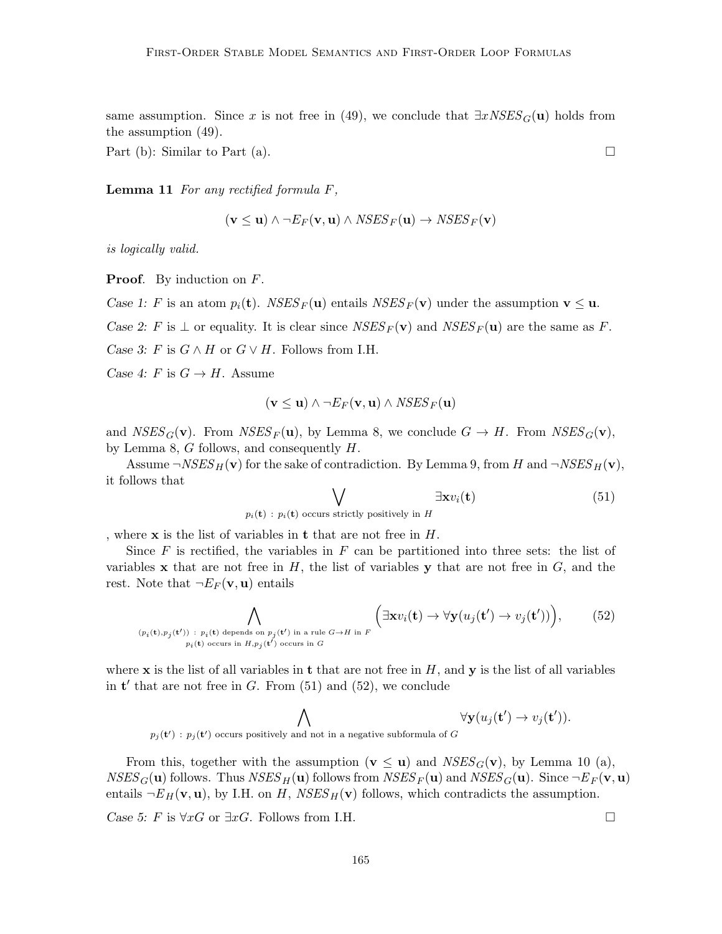same assumption. Since x is not free in (49), we conclude that  $\exists x \textit{NSES}_G(\mathbf{u})$  holds from the assumption (49).

Part (b): Similar to Part (a).  $\square$ 

**Lemma 11** For any rectified formula  $F$ ,

$$
(\mathbf{v} \le \mathbf{u}) \land \neg E_F(\mathbf{v}, \mathbf{u}) \land \textit{NSES}_F(\mathbf{u}) \rightarrow \textit{NSES}_F(\mathbf{v})
$$

is logically valid.

**Proof.** By induction on F.

Case 1: F is an atom  $p_i(\mathbf{t})$ . NSES<sub>F</sub>(**u**) entails NSES<sub>F</sub>(**v**) under the assumption  $\mathbf{v} \leq \mathbf{u}$ .

Case 2: F is  $\perp$  or equality. It is clear since  $NSES_F(\mathbf{v})$  and  $NSES_F(\mathbf{u})$  are the same as F.

Case 3: F is  $G \wedge H$  or  $G \vee H$ . Follows from I.H.

Case 4: F is  $G \to H$ . Assume

$$
(\mathbf{v} \le \mathbf{u}) \land \neg E_F(\mathbf{v}, \mathbf{u}) \land \textit{NSES}_F(\mathbf{u})
$$

and  $NSES_G(v)$ . From  $NSES_F(u)$ , by Lemma 8, we conclude  $G \to H$ . From  $NSES_G(v)$ , by Lemma 8, G follows, and consequently H.

Assume  $\neg NSES_H(\mathbf{v})$  for the sake of contradiction. By Lemma 9, from H and  $\neg NSES_H(\mathbf{v})$ , it follows that

$$
\bigvee_{p_i(\mathbf{t}) \ : \ p_i(\mathbf{t}) \text{ occurs strictly positively in } H} \exists \mathbf{x} v_i(\mathbf{t}) \tag{51}
$$

, where  ${\bf x}$  is the list of variables in  ${\bf t}$  that are not free in  $H.$ 

Since  $F$  is rectified, the variables in  $F$  can be partitioned into three sets: the list of variables  $x$  that are not free in  $H$ , the list of variables  $y$  that are not free in  $G$ , and the rest. Note that  $\neg E_F(\mathbf{v}, \mathbf{u})$  entails

$$
\bigwedge_{(p_i(\mathbf{t}),p_j(\mathbf{t}'))\;:\;p_i(\mathbf{t})\;\text{depends on}\;p_j(\mathbf{t}')\;\text{in a rule}\;G\to H\;\text{in}\;F}\left(\exists \mathbf{x}v_i(\mathbf{t})\to\forall \mathbf{y}(u_j(\mathbf{t}')\to v_j(\mathbf{t}'))\right),\qquad(52)
$$

where x is the list of all variables in t that are not free in  $H$ , and y is the list of all variables in  $t'$  that are not free in  $G$ . From (51) and (52), we conclude

$$
\bigwedge_{p_j(\mathbf{t}'): p_j(\mathbf{t}') \text{ occurs positively and not in a negative subformula of } G} \forall \mathbf{y}(u_j(\mathbf{t}') \to v_j(\mathbf{t}')).
$$

From this, together with the assumption ( $\mathbf{v} \leq \mathbf{u}$ ) and  $NSES_G(\mathbf{v})$ , by Lemma 10 (a),  $NSES_G(\mathbf{u})$  follows. Thus  $NSES_H(\mathbf{u})$  follows from  $NSES_F(\mathbf{u})$  and  $NSES_G(\mathbf{u})$ . Since  $\neg E_F(\mathbf{v},\mathbf{u})$ entails  $\neg E_H(\mathbf{v}, \mathbf{u})$ , by I.H. on H,  $NSES_H(\mathbf{v})$  follows, which contradicts the assumption.

Case 5: F is  $\forall xG$  or  $\exists xG$ . Follows from I.H.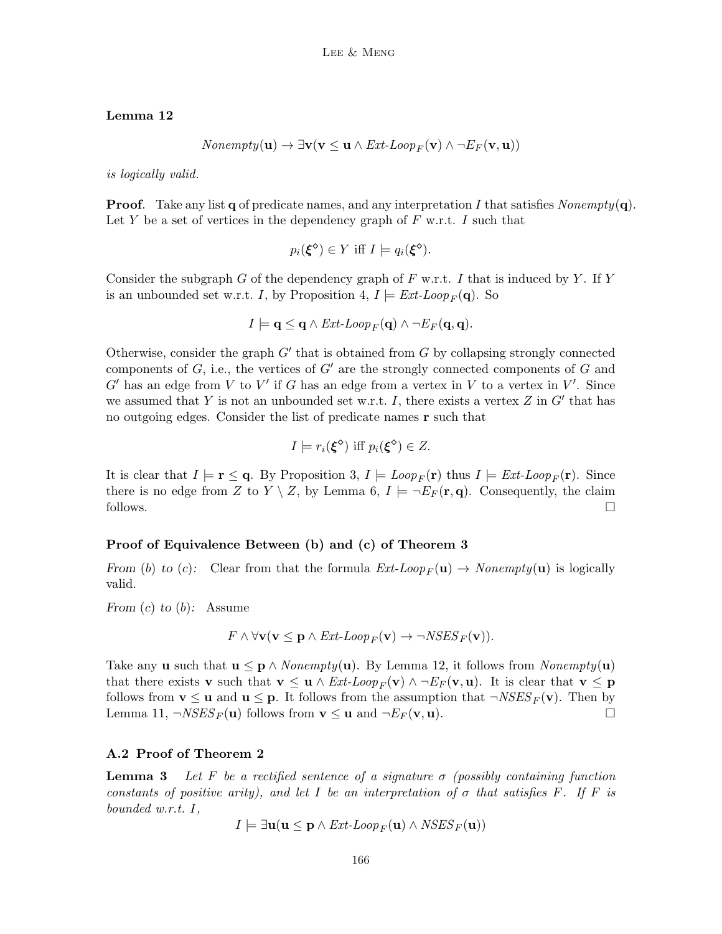## Lemma 12

$$
Nonempty(\mathbf{u}) \to \exists \mathbf{v} (\mathbf{v} \leq \mathbf{u} \land \mathit{Ext-Loop}_F(\mathbf{v}) \land \neg \mathit{E}_F(\mathbf{v}, \mathbf{u}))
$$

is logically valid.

**Proof.** Take any list q of predicate names, and any interpretation I that satisfies  $Nonempty(\mathbf{q})$ . Let Y be a set of vertices in the dependency graph of  $F$  w.r.t. I such that

$$
p_i(\xi^{\diamond}) \in Y \text{ iff } I \models q_i(\xi^{\diamond}).
$$

Consider the subgraph G of the dependency graph of F w.r.t. I that is induced by Y. If Y is an unbounded set w.r.t. I, by Proposition 4,  $I \models Ext\text{-}Loop_F(\mathbf{q})$ . So

$$
I \models \mathbf{q} \leq \mathbf{q} \land \text{Ext-Loop}_F(\mathbf{q}) \land \neg \text{E}_F(\mathbf{q}, \mathbf{q}).
$$

Otherwise, consider the graph  $G'$  that is obtained from  $G$  by collapsing strongly connected components of  $G$ , i.e., the vertices of  $G'$  are the strongly connected components of  $G$  and  $G'$  has an edge from V to V' if G has an edge from a vertex in V to a vertex in V'. Since we assumed that Y is not an unbounded set w.r.t. I, there exists a vertex  $Z$  in  $G'$  that has no outgoing edges. Consider the list of predicate names r such that

$$
I \models r_i(\xi^{\diamond}) \text{ iff } p_i(\xi^{\diamond}) \in Z.
$$

It is clear that  $I \models \mathbf{r} \leq \mathbf{q}$ . By Proposition 3,  $I \models Loop_F(\mathbf{r})$  thus  $I \models Ext\text{-}Loop_F(\mathbf{r})$ . Since there is no edge from Z to  $Y \setminus Z$ , by Lemma 6,  $I \models \neg E_F(\mathbf{r}, \mathbf{q})$ . Consequently, the claim follows.  $\Box$ 

#### Proof of Equivalence Between (b) and (c) of Theorem 3

From (b) to (c): Clear from that the formula  $Ext\text{-}Loop_F(\mathbf{u}) \rightarrow Nonempty(\mathbf{u})$  is logically valid.

From  $(c)$  to  $(b)$ : Assume

$$
F \wedge \forall \mathbf{v} (\mathbf{v} \leq \mathbf{p} \wedge \mathit{Ext\text{-}Loop}_F(\mathbf{v}) \rightarrow \neg \mathit{NSES}_F(\mathbf{v})).
$$

Take any **u** such that  $\mathbf{u} \leq \mathbf{p} \wedge \text{Nonempty}(\mathbf{u})$ . By Lemma 12, it follows from  $\text{Nonempty}(\mathbf{u})$ that there exists v such that  $\mathbf{v} \leq \mathbf{u} \wedge \text{Ext-Loop}_F(\mathbf{v}) \wedge \neg \text{E}_F(\mathbf{v}, \mathbf{u})$ . It is clear that  $\mathbf{v} \leq \mathbf{p}$ follows from  $\mathbf{v} \leq \mathbf{u}$  and  $\mathbf{u} \leq \mathbf{p}$ . It follows from the assumption that  $\neg NSES_F(\mathbf{v})$ . Then by Lemma 11,  $\neg NSES_F(\mathbf{u})$  follows from  $\mathbf{v} \leq \mathbf{u}$  and  $\neg E_F(\mathbf{v}, \mathbf{u})$ .

#### A.2 Proof of Theorem 2

**Lemma 3** Let F be a rectified sentence of a signature  $\sigma$  (possibly containing function constants of positive arity), and let I be an interpretation of  $\sigma$  that satisfies F. If F is bounded w.r.t. I,

$$
I \models \exists \mathbf{u} (\mathbf{u} \le \mathbf{p} \land \textit{Ext-Loop}_{F}(\mathbf{u}) \land \textit{NSES}_{F}(\mathbf{u}))
$$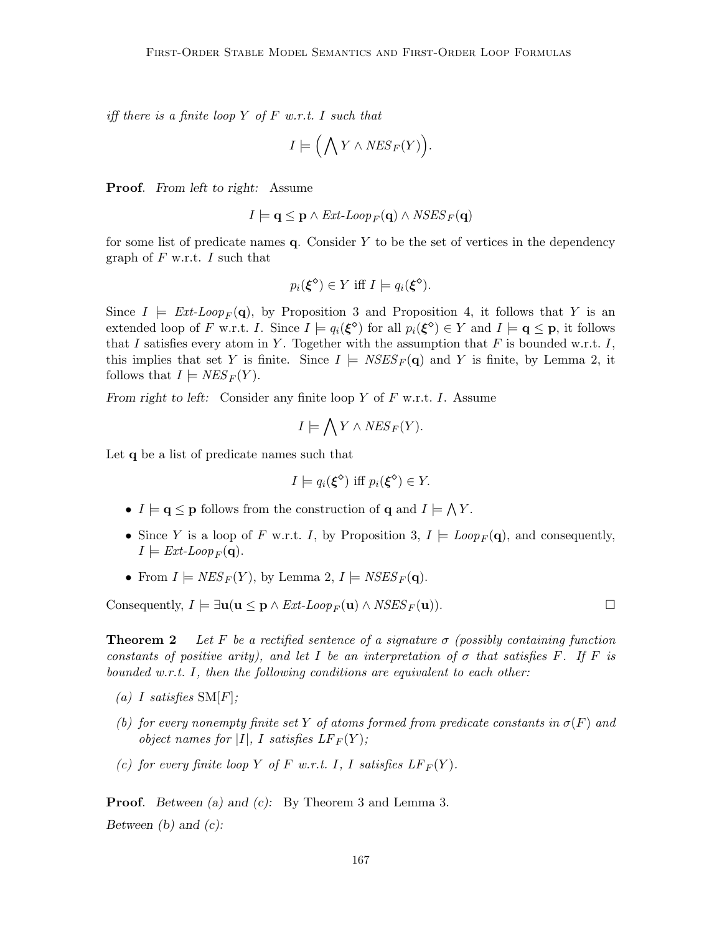iff there is a finite loop Y of F w.r.t. I such that

$$
I \models \Big(\bigwedge Y \wedge \textit{NES}_F(Y)\Big).
$$

Proof. From left to right: Assume

$$
I \models \mathbf{q} \leq \mathbf{p} \land \text{Ext-Loop}_F(\mathbf{q}) \land \text{NSES}_F(\mathbf{q})
$$

for some list of predicate names  $q$ . Consider Y to be the set of vertices in the dependency graph of  $F$  w.r.t. I such that

$$
p_i(\xi^{\diamond}) \in Y \text{ iff } I \models q_i(\xi^{\diamond}).
$$

Since  $I \models Ext\text{-}Loop_F(\mathbf{q})$ , by Proposition 3 and Proposition 4, it follows that Y is an extended loop of F w.r.t. I. Since  $I \models q_i(\xi^{\diamond})$  for all  $p_i(\xi^{\diamond}) \in Y$  and  $I \models \mathbf{q} \leq \mathbf{p}$ , it follows that I satisfies every atom in Y. Together with the assumption that F is bounded w.r.t. I, this implies that set Y is finite. Since  $I \models \textit{NSES}_F(q)$  and Y is finite, by Lemma 2, it follows that  $I \models \textit{NES}_F(Y)$ .

From right to left: Consider any finite loop Y of F w.r.t. I. Assume

$$
I \models \bigwedge Y \land \text{NES}_F(Y).
$$

Let q be a list of predicate names such that

$$
I \models q_i(\xi^{\diamond}) \text{ iff } p_i(\xi^{\diamond}) \in Y.
$$

- $I \models \mathbf{q} \leq \mathbf{p}$  follows from the construction of  $\mathbf{q}$  and  $I \models \bigwedge Y$ .
- Since Y is a loop of F w.r.t. I, by Proposition 3,  $I \models Loop_F(\mathbf{q})$ , and consequently,  $I \models Ext\text{-}Loop_F(\mathbf{q}).$
- From  $I \models \text{NES}_F(Y)$ , by Lemma 2,  $I \models \text{NSES}_F(\mathbf{q})$ .

Consequently,  $I \models \exists \mathbf{u}(\mathbf{u} \leq \mathbf{p} \land \text{Ext-Loop}_F(\mathbf{u}) \land \text{NSES}_F(\mathbf{u}))$ .

**Theorem 2** Let F be a rectified sentence of a signature  $\sigma$  (possibly containing function constants of positive arity), and let I be an interpretation of  $\sigma$  that satisfies F. If F is bounded w.r.t. I, then the following conditions are equivalent to each other:

- (a) I satisfies  $SM[F]$ ;
- (b) for every nonempty finite set Y of atoms formed from predicate constants in  $\sigma(F)$  and object names for |I|, I satisfies  $LF_F(Y)$ ;
- (c) for every finite loop Y of F w.r.t. I, I satisfies  $LF_F(Y)$ .

**Proof.** Between (a) and (c): By Theorem 3 and Lemma 3. Between  $(b)$  and  $(c)$ :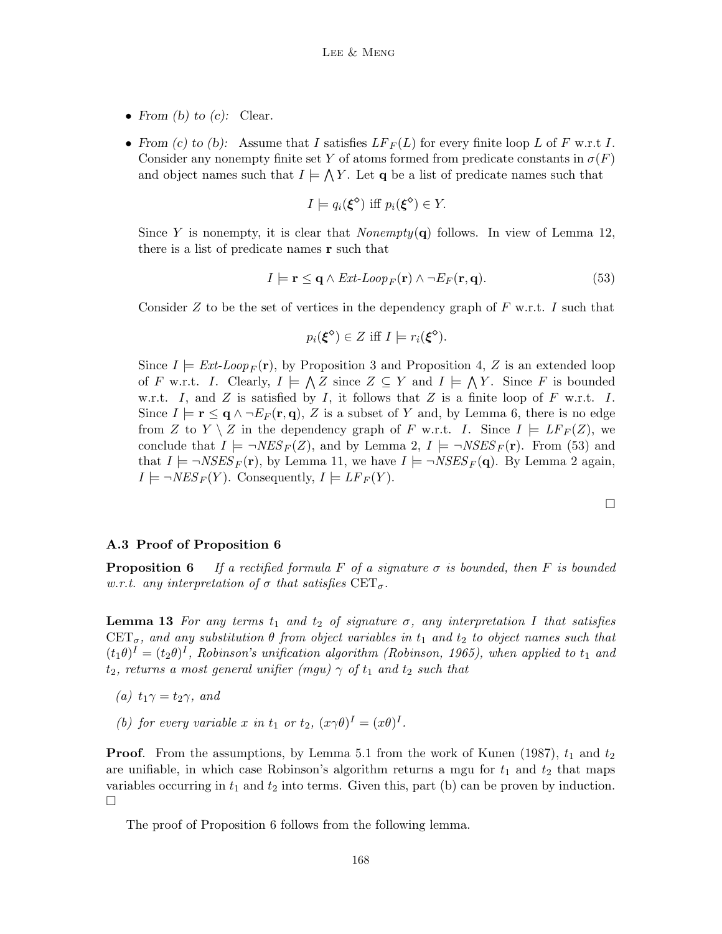- From (b) to (c): Clear.
- From (c) to (b): Assume that I satisfies  $LF_F(L)$  for every finite loop L of F w.r.t I. Consider any nonempty finite set Y of atoms formed from predicate constants in  $\sigma(F)$ and object names such that  $I \models \bigwedge Y$ . Let q be a list of predicate names such that

$$
I \models q_i(\xi^{\diamond}) \text{ iff } p_i(\xi^{\diamond}) \in Y.
$$

Since Y is nonempty, it is clear that  $Nonempty(\mathbf{q})$  follows. In view of Lemma 12, there is a list of predicate names r such that

$$
I \models \mathbf{r} \leq \mathbf{q} \land \text{Ext-Loop}_F(\mathbf{r}) \land \neg \text{E}_F(\mathbf{r}, \mathbf{q}). \tag{53}
$$

Consider Z to be the set of vertices in the dependency graph of  $F$  w.r.t. I such that

$$
p_i(\xi^{\diamond}) \in Z \text{ iff } I \models r_i(\xi^{\diamond}).
$$

Since  $I \models \text{Ext-Loop}_F(\mathbf{r})$ , by Proposition 3 and Proposition 4, Z is an extended loop of F w.r.t. I. Clearly,  $I \models \bigwedge Z$  since  $Z \subseteq Y$  and  $I \models \bigwedge Y$ . Since F is bounded w.r.t. I, and Z is satisfied by I, it follows that Z is a finite loop of F w.r.t. I. Since  $I \models \mathbf{r} \leq \mathbf{q} \land \neg E_F(\mathbf{r}, \mathbf{q}), Z$  is a subset of Y and, by Lemma 6, there is no edge from Z to  $Y \setminus Z$  in the dependency graph of F w.r.t. I. Since  $I \models LF_F(Z)$ , we conclude that  $I \models \neg NES_F(Z)$ , and by Lemma 2,  $I \models \neg NSES_F(\mathbf{r})$ . From (53) and that  $I \models \neg NSES_F(\mathbf{r})$ , by Lemma 11, we have  $I \models \neg NSES_F(\mathbf{q})$ . By Lemma 2 again,  $I \models \neg NES_F(Y)$ . Consequently,  $I \models LF_F(Y)$ .

#### A.3 Proof of Proposition 6

**Proposition 6** If a rectified formula F of a signature  $\sigma$  is bounded, then F is bounded w.r.t. any interpretation of  $\sigma$  that satisfies  $CET_{\sigma}$ .

**Lemma 13** For any terms  $t_1$  and  $t_2$  of signature  $\sigma$ , any interpretation I that satisfies  $CET_{\sigma}$ , and any substitution  $\theta$  from object variables in  $t_1$  and  $t_2$  to object names such that  $(t_1\theta)^I = (t_2\theta)^I$ , Robinson's unification algorithm (Robinson, 1965), when applied to  $t_1$  and  $t_2$ , returns a most general unifier (mgu)  $\gamma$  of  $t_1$  and  $t_2$  such that

- (a)  $t_1\gamma = t_2\gamma$ , and
- (b) for every variable x in  $t_1$  or  $t_2$ ,  $(x\gamma\theta)^I = (x\theta)^I$ .

**Proof.** From the assumptions, by Lemma 5.1 from the work of Kunen (1987),  $t_1$  and  $t_2$ are unifiable, in which case Robinson's algorithm returns a mgu for  $t_1$  and  $t_2$  that maps variables occurring in  $t_1$  and  $t_2$  into terms. Given this, part (b) can be proven by induction.  $\Box$ 

The proof of Proposition 6 follows from the following lemma.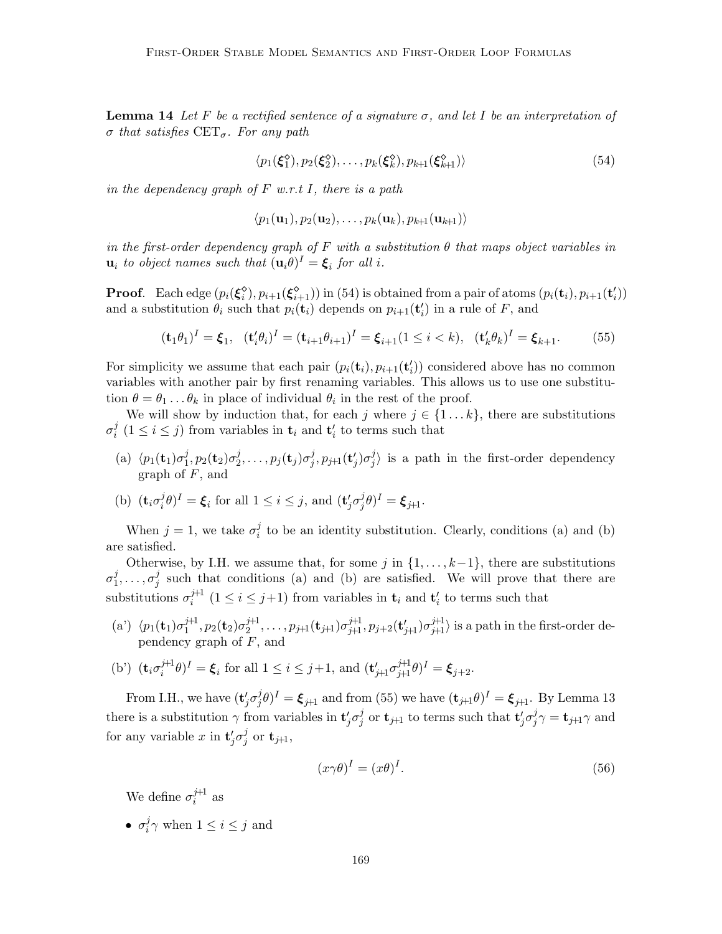**Lemma 14** Let F be a rectified sentence of a signature  $\sigma$ , and let I be an interpretation of  $\sigma$  that satisfies  $CET_{\sigma}$ . For any path

$$
\langle p_1(\xi_1^{\diamond}), p_2(\xi_2^{\diamond}), \dots, p_k(\xi_k^{\diamond}), p_{k+1}(\xi_{k+1}^{\diamond}) \rangle \tag{54}
$$

in the dependency graph of  $F$  w.r.t I, there is a path

$$
\langle p_1(\mathbf{u}_1), p_2(\mathbf{u}_2), \ldots, p_k(\mathbf{u}_k), p_{k+1}(\mathbf{u}_{k+1}) \rangle
$$

in the first-order dependency graph of F with a substitution  $\theta$  that maps object variables in  $\mathbf{u}_i$  to object names such that  $(\mathbf{u}_i \theta)^I = \boldsymbol{\xi}_i$  for all i.

**Proof.** Each edge  $(p_i(\xi_i^{\delta}), p_{i+1}(\xi_{i+1}^{\delta}))$  in (54) is obtained from a pair of atoms  $(p_i(\mathbf{t}_i), p_{i+1}(\mathbf{t}'_i))$ and a substitution  $\theta_i$  such that  $p_i(\mathbf{t}_i)$  depends on  $p_{i+1}(\mathbf{t}'_i)$  in a rule of F, and

$$
(\mathbf{t}_1 \theta_1)^I = \xi_1, \quad (\mathbf{t}'_i \theta_i)^I = (\mathbf{t}_{i+1} \theta_{i+1})^I = \xi_{i+1} (1 \le i < k), \quad (\mathbf{t}'_k \theta_k)^I = \xi_{k+1}.
$$
 (55)

For simplicity we assume that each pair  $(p_i(\mathbf{t}_i), p_{i+1}(\mathbf{t}'_i))$  considered above has no common variables with another pair by first renaming variables. This allows us to use one substitution  $\theta = \theta_1 \dots \theta_k$  in place of individual  $\theta_i$  in the rest of the proof.

We will show by induction that, for each j where  $j \in \{1...k\}$ , there are substitutions  $\sigma_i^j$  $i \n\in i \leq j$  from variables in  $\mathbf{t}_i$  and  $\mathbf{t}'_i$  to terms such that

- (a)  $\langle p_1(\mathbf{t}_1)\sigma_1^j$  $_{1}^{j},p_{2}(\mathbf{t}_{2})\sigma_{2}^{j}$  $\frac{j}{2},\ldots,p_j(\mathbf{t}_j)\sigma_j^j$  $j^j,p_{j\!+\!1}({\bf t}'_j)\sigma_j^j$  $\binom{J}{j}$  is a path in the first-order dependency graph of  $F$ , and
- (b)  $(\mathbf{t}_i \sigma_i^j)$  $(i,j\theta)^I = \boldsymbol{\xi}_i$  for all  $1 \leq i \leq j$ , and  $(\mathbf{t}'_j \sigma_j^j)$  $j^j\theta)^I=\boldsymbol{\xi}_{j\!+\!1}.$

When  $j=1$ , we take  $\sigma_i^j$  $i<sub>i</sub>$  to be an identity substitution. Clearly, conditions (a) and (b) are satisfied.

Otherwise, by I.H. we assume that, for some j in  $\{1, \ldots, k-1\}$ , there are substitutions  $\sigma_1^j$  $j_1^j,\ldots,\sigma_j^j$  $j$  such that conditions (a) and (b) are satisfied. We will prove that there are substitutions  $\sigma_i^{j+1}$  $i^{j+1}$   $(1 \leq i \leq j+1)$  from variables in  $\mathbf{t}_i$  and  $\mathbf{t}'_i$  to terms such that

(a')  $\langle p_1(\mathbf{t}_1)\sigma_1^{j+1}$  $j+1 \choose 1}, p_2(\mathbf{t}_2) \sigma_2^{j+1}$  $\langle p_2^{j+1},\ldots,p_{j+1}(\mathbf{t}_{j+1})\sigma_{j+1}^{j+1},p_{j+2}(\mathbf{t}'_{j+1})\sigma_{j+1}^{j+1}\rangle$  is a path in the first-order dependency graph of  $F$ , and

(b') 
$$
(\mathbf{t}_i \sigma_i^{\hat{j+1}} \theta)^I = \boldsymbol{\xi}_i
$$
 for all  $1 \leq i \leq j+1$ , and  $(\mathbf{t}'_{j+1} \sigma_{j+1}^{\hat{j+1}} \theta)^I = \boldsymbol{\xi}_{j+2}$ .

From I.H., we have  $(\mathbf{t}'_j \sigma^j_j)$  $(\hat{j}_{j}\theta)^{I}=\boldsymbol{\xi}_{j\!+\!1}$  and from (55) we have  $(\mathbf{t}_{j\!+\!1}\theta)^{I}=\boldsymbol{\xi}_{j\!+\!1}.$  By Lemma 13 there is a substitution  $\gamma$  from variables in  $\mathbf{t}'_j \sigma_j^j$  $j \text{ or } \mathbf{t}_{j+1}$  to terms such that  $\mathbf{t}'_j \sigma_j^j$  $j \gamma = \mathbf{t}_{j+1} \gamma \text{ and}$ for any variable x in  $\mathbf{t}'_j \sigma_j^j$  $_j^j$  or  $\mathbf{t}_{j+1},$ 

$$
(x\gamma\theta)^I = (x\theta)^I. \tag{56}
$$

We define  $\sigma_i^{j+1}$  $i^{\dagger}$  as

 $\bullet$   $\sigma_i^j$  $i_j^j \gamma$  when  $1 \leq i \leq j$  and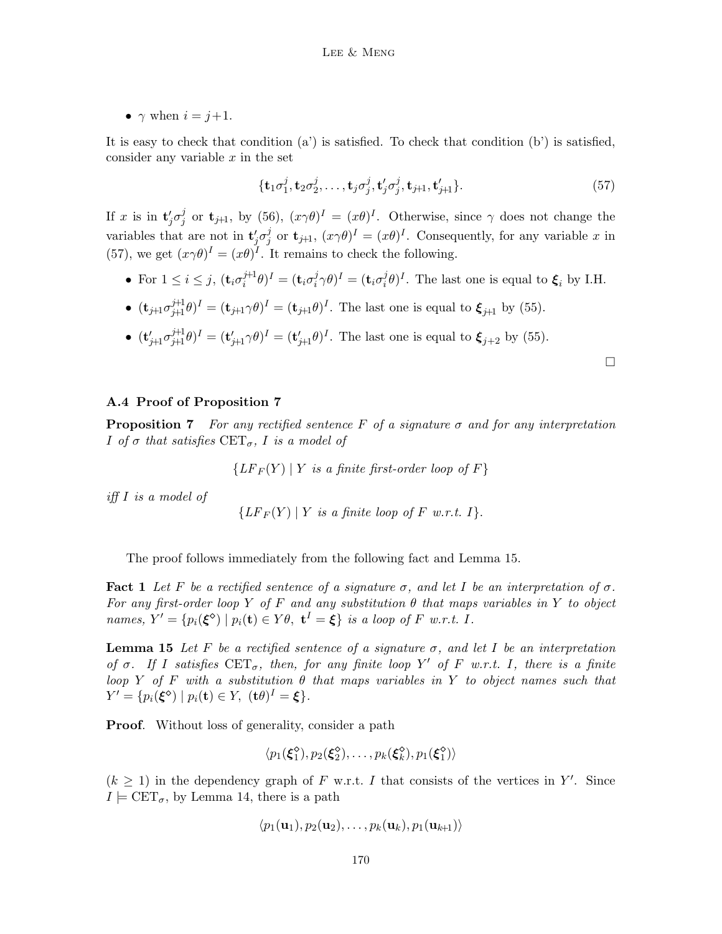•  $\gamma$  when  $i = j+1$ .

It is easy to check that condition  $(a')$  is satisfied. To check that condition  $(b')$  is satisfied, consider any variable  $x$  in the set

$$
\{\mathbf t_1\sigma_1^j, \mathbf t_2\sigma_2^j,\ldots, \mathbf t_j\sigma_j^j, \mathbf t_j'\sigma_j^j, \mathbf t_{j+1}, \mathbf t_{j+1}'\}.
$$
 (57)

If x is in  $\mathbf{t}'_j \sigma_j^j$  $j \atop j$  or  $\mathbf{t}_{j+1}$ , by (56),  $(x\gamma\theta)^I = (x\theta)^I$ . Otherwise, since  $\gamma$  does not change the variables that are not in  $\mathbf{t}'_j \sigma_j^j$  $j \text{ or } \mathbf{t}_{j+1}, (x \gamma \theta)^I = (x \theta)^I$ . Consequently, for any variable x in (57), we get  $(x\gamma\theta)^I = (x\theta)^I$ . It remains to check the following.

- For  $1 \leq i \leq j$ ,  $(\mathbf{t}_i \sigma_i^{j+1})$  $j^{\boxplus 1}\theta)^I=({\bf t}_i\sigma_i^j)$  $(\boldsymbol{\mathrm{t}}_i^{\ j}\gamma\theta)^I=(\boldsymbol{\mathrm{t}}_i\sigma_i^j)$  $(i\theta)^{I}$ . The last one is equal to  $\xi_{i}$  by I.H.
- $(\mathbf{t}_{j+1}\sigma_{j+1}^{j+1}\theta)^{I} = (\mathbf{t}_{j+1}\gamma\theta)^{I} = (\mathbf{t}_{j+1}\theta)^{I}$ . The last one is equal to  $\xi_{j+1}$  by (55).
- $(\mathbf{t}'_{j+1}\sigma_{j+1}^{j+1}\theta)^I = (\mathbf{t}'_{j+1}\gamma\theta)^I = (\mathbf{t}'_{j+1}\theta)^I$ . The last one is equal to  $\xi_{j+2}$  by (55).

## A.4 Proof of Proposition 7

**Proposition 7** For any rectified sentence F of a signature  $\sigma$  and for any interpretation I of  $\sigma$  that satisfies  $CET_{\sigma}$ , I is a model of

 ${LF_F(Y) | Y$  is a finite first-order loop of F}

iff I is a model of

$$
\{LF_F(Y) | Y \text{ is a finite loop of } F \text{ w.r.t. } I\}.
$$

The proof follows immediately from the following fact and Lemma 15.

**Fact 1** Let F be a rectified sentence of a signature  $\sigma$ , and let I be an interpretation of  $\sigma$ . For any first-order loop Y of F and any substitution  $\theta$  that maps variables in Y to object names,  $Y' = \{p_i(\xi^{\diamond}) \mid p_i(\mathbf{t}) \in Y\theta, \ \mathbf{t}^I = \xi\}$  is a loop of F w.r.t. I.

**Lemma 15** Let F be a rectified sentence of a signature  $\sigma$ , and let I be an interpretation of  $\sigma$ . If I satisfies  $CET_{\sigma}$ , then, for any finite loop Y' of F w.r.t. I, there is a finite loop Y of F with a substitution  $\theta$  that maps variables in Y to object names such that  $Y' = \{p_i(\boldsymbol{\xi}^{\diamond}) \mid p_i(\mathbf{t}) \in Y, \ (\mathbf{t}\theta)^I = \boldsymbol{\xi}\}.$ 

**Proof.** Without loss of generality, consider a path

$$
\langle p_1(\xi_1^{\diamond}), p_2(\xi_2^{\diamond}), \ldots, p_k(\xi_k^{\diamond}), p_1(\xi_1^{\diamond})\rangle
$$

 $(k \geq 1)$  in the dependency graph of F w.r.t. I that consists of the vertices in Y'. Since  $I \models \text{CET}_{\sigma}$ , by Lemma 14, there is a path

$$
\langle p_1(\mathbf{u}_1), p_2(\mathbf{u}_2), \ldots, p_k(\mathbf{u}_k), p_1(\mathbf{u}_{k+1})\rangle
$$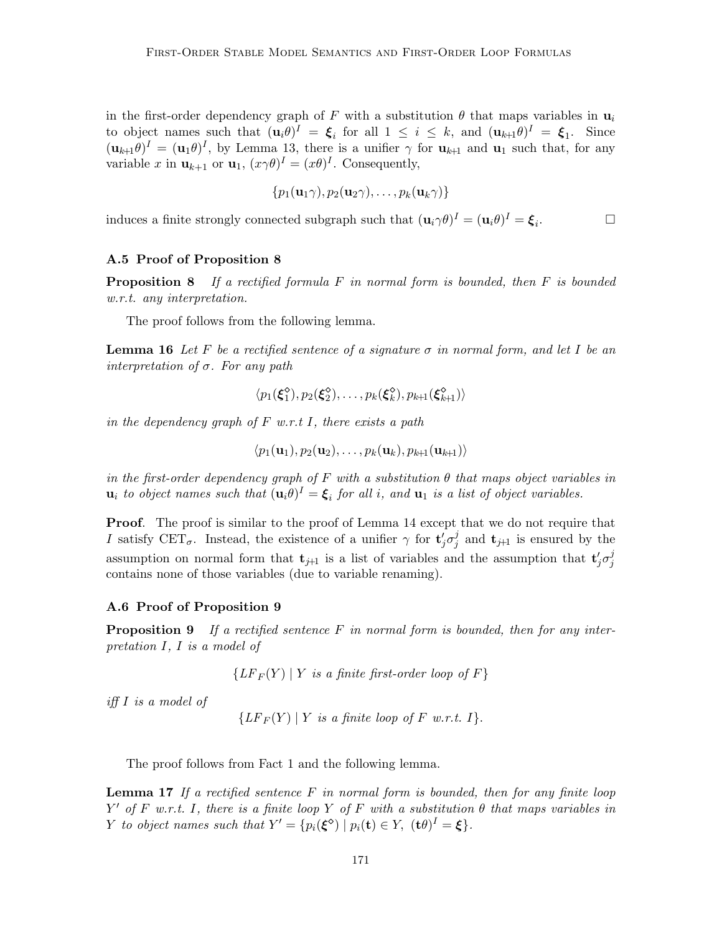in the first-order dependency graph of F with a substitution  $\theta$  that maps variables in  $\mathbf{u}_i$ to object names such that  $(\mathbf{u}_i \theta)^I = \boldsymbol{\xi}_i$  for all  $1 \leq i \leq k$ , and  $(\mathbf{u}_{k+1} \theta)^I = \boldsymbol{\xi}_1$ . Since  $(\mathbf{u}_{k+1}\theta)^I = (\mathbf{u}_1\theta)^I$ , by Lemma 13, there is a unifier  $\gamma$  for  $\mathbf{u}_{k+1}$  and  $\mathbf{u}_1$  such that, for any variable x in  $\mathbf{u}_{k+1}$  or  $\mathbf{u}_1$ ,  $(x\gamma\theta)^I = (x\theta)^I$ . Consequently,

$$
\{p_1(\mathbf{u}_1\gamma),p_2(\mathbf{u}_2\gamma),\ldots,p_k(\mathbf{u}_k\gamma)\}\
$$

induces a finite strongly connected subgraph such that  $(\mathbf{u}_i \gamma \theta)^I = (\mathbf{u}_i \theta)^I = \boldsymbol{\xi}_i$ .

## A.5 Proof of Proposition 8

**Proposition 8** If a rectified formula F in normal form is bounded, then F is bounded w.r.t. any interpretation.

The proof follows from the following lemma.

**Lemma 16** Let F be a rectified sentence of a signature  $\sigma$  in normal form, and let I be an interpretation of  $\sigma$ . For any path

$$
\langle p_1(\xi_1^{\diamondsuit}), p_2(\xi_2^{\diamondsuit}), \ldots, p_k(\xi_k^{\diamondsuit}), p_{k+1}(\xi_{k+1}^{\diamondsuit}) \rangle
$$

in the dependency graph of  $F$  w.r.t I, there exists a path

 $\langle p_1(\mathbf{u}_1), p_2(\mathbf{u}_2), \ldots, p_k(\mathbf{u}_k), p_{k+1}(\mathbf{u}_{k+1})\rangle$ 

in the first-order dependency graph of F with a substitution  $\theta$  that maps object variables in  $\mathbf{u}_i$  to object names such that  $(\mathbf{u}_i \theta)^I = \boldsymbol{\xi}_i$  for all i, and  $\mathbf{u}_1$  is a list of object variables.

**Proof.** The proof is similar to the proof of Lemma 14 except that we do not require that I satisfy CET<sub> $\sigma$ </sub>. Instead, the existence of a unifier  $\gamma$  for  $\mathbf{t}'_j \sigma_j^j$  $j$  and  $t_{j+1}$  is ensured by the assumption on normal form that  $\mathbf{t}_{j+1}$  is a list of variables and the assumption that  $\mathbf{t}'_j \sigma_j^j$ j contains none of those variables (due to variable renaming).

#### A.6 Proof of Proposition 9

**Proposition 9** If a rectified sentence F in normal form is bounded, then for any interpretation I, I is a model of

 ${LF_F(Y) | Y$  is a finite first-order loop of F}

iff I is a model of

 ${LF_F(Y) | Y is a finite loop of F w.r.t. I}.$ 

The proof follows from Fact 1 and the following lemma.

**Lemma 17** If a rectified sentence  $F$  in normal form is bounded, then for any finite loop Y' of F w.r.t. I, there is a finite loop Y of F with a substitution  $\theta$  that maps variables in Y to object names such that  $Y' = \{p_i(\boldsymbol{\xi}^{\diamond}) \mid p_i(\mathbf{t}) \in Y, (\mathbf{t}\theta)^I = \boldsymbol{\xi}\}.$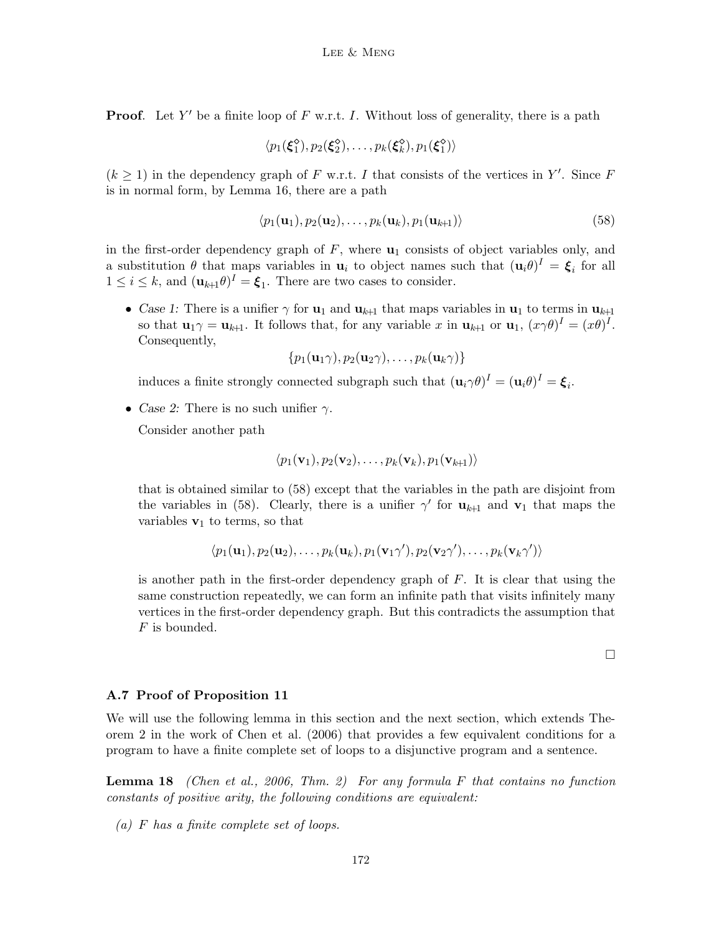**Proof.** Let Y' be a finite loop of F w.r.t. I. Without loss of generality, there is a path

$$
\langle p_1(\xi_1^{\diamond}), p_2(\xi_2^{\diamond}), \ldots, p_k(\xi_k^{\diamond}), p_1(\xi_1^{\diamond})\rangle
$$

 $(k \geq 1)$  in the dependency graph of F w.r.t. I that consists of the vertices in Y'. Since F is in normal form, by Lemma 16, there are a path

$$
\langle p_1(\mathbf{u}_1), p_2(\mathbf{u}_2), \dots, p_k(\mathbf{u}_k), p_1(\mathbf{u}_{k+1}) \rangle \tag{58}
$$

in the first-order dependency graph of  $F$ , where  $\mathbf{u}_1$  consists of object variables only, and a substitution  $\theta$  that maps variables in  $\mathbf{u}_i$  to object names such that  $(\mathbf{u}_i \theta)^I = \boldsymbol{\xi}_i$  for all  $1 \leq i \leq k$ , and  $(\mathbf{u}_{k+1}\theta)^I = \boldsymbol{\xi}_1$ . There are two cases to consider.

• Case 1: There is a unifier  $\gamma$  for  $\mathbf{u}_1$  and  $\mathbf{u}_{k+1}$  that maps variables in  $\mathbf{u}_1$  to terms in  $\mathbf{u}_{k+1}$ so that  $\mathbf{u}_1 \gamma = \mathbf{u}_{k+1}$ . It follows that, for any variable x in  $\mathbf{u}_{k+1}$  or  $\mathbf{u}_1$ ,  $(x \gamma \theta)^I = (x \theta)^I$ . Consequently,

$$
\{p_1(\mathbf{u}_1\gamma), p_2(\mathbf{u}_2\gamma), \ldots, p_k(\mathbf{u}_k\gamma)\}\
$$

induces a finite strongly connected subgraph such that  $(\mathbf{u}_i \gamma \theta)^I = (\mathbf{u}_i \theta)^I = \boldsymbol{\xi}_i$ .

• Case 2: There is no such unifier  $\gamma$ .

Consider another path

$$
\langle p_1(\mathbf{v}_1), p_2(\mathbf{v}_2), \ldots, p_k(\mathbf{v}_k), p_1(\mathbf{v}_{k+1}) \rangle
$$

that is obtained similar to (58) except that the variables in the path are disjoint from the variables in (58). Clearly, there is a unifier  $\gamma'$  for  $\mathbf{u}_{k+1}$  and  $\mathbf{v}_1$  that maps the variables  $\mathbf{v}_1$  to terms, so that

$$
\langle p_1(\mathbf{u}_1), p_2(\mathbf{u}_2), \dots, p_k(\mathbf{u}_k), p_1(\mathbf{v}_1\gamma'), p_2(\mathbf{v}_2\gamma'), \dots, p_k(\mathbf{v}_k\gamma')\rangle
$$

is another path in the first-order dependency graph of  $F$ . It is clear that using the same construction repeatedly, we can form an infinite path that visits infinitely many vertices in the first-order dependency graph. But this contradicts the assumption that F is bounded.

 $\Box$ 

#### A.7 Proof of Proposition 11

We will use the following lemma in this section and the next section, which extends Theorem 2 in the work of Chen et al. (2006) that provides a few equivalent conditions for a program to have a finite complete set of loops to a disjunctive program and a sentence.

**Lemma 18** (Chen et al., 2006, Thm. 2) For any formula F that contains no function constants of positive arity, the following conditions are equivalent:

(a) F has a finite complete set of loops.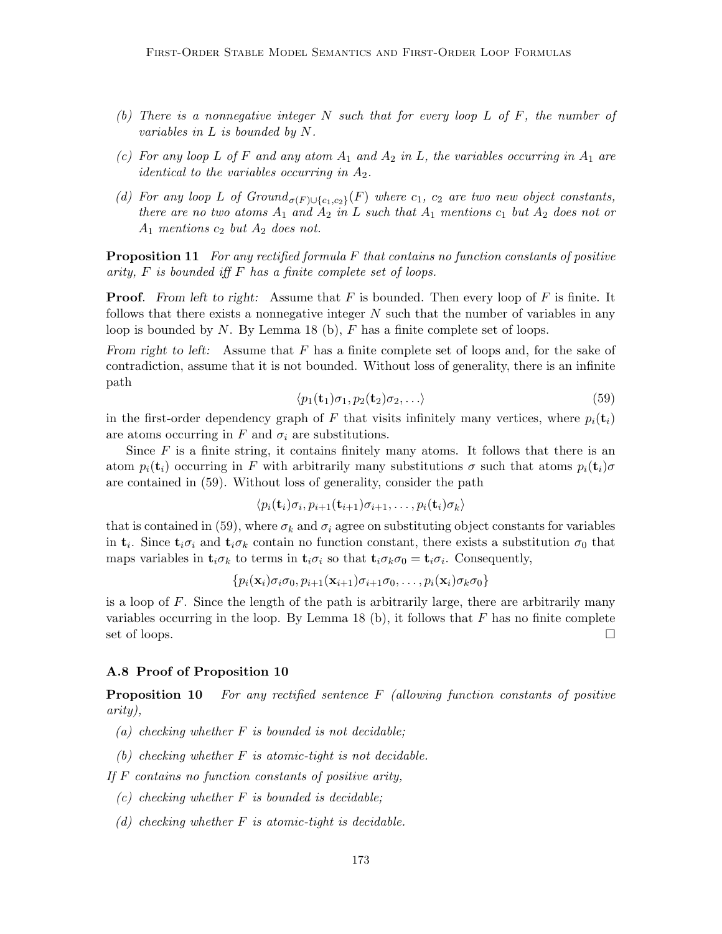- (b) There is a nonnegative integer  $N$  such that for every loop  $L$  of  $F$ , the number of variables in L is bounded by N.
- (c) For any loop L of F and any atom  $A_1$  and  $A_2$  in L, the variables occurring in  $A_1$  are *identical to the variables occurring in*  $A_2$ .
- (d) For any loop L of  $Ground_{\sigma(F) \cup \{c_1, c_2\}}(F)$  where  $c_1$ ,  $c_2$  are two new object constants, there are no two atoms  $A_1$  and  $A_2$  in L such that  $A_1$  mentions  $c_1$  but  $A_2$  does not or  $A_1$  mentions  $c_2$  but  $A_2$  does not.

**Proposition 11** For any rectified formula  $F$  that contains no function constants of positive arity,  $F$  is bounded iff  $F$  has a finite complete set of loops.

**Proof.** From left to right: Assume that  $F$  is bounded. Then every loop of  $F$  is finite. It follows that there exists a nonnegative integer  $N$  such that the number of variables in any loop is bounded by N. By Lemma 18 (b),  $F$  has a finite complete set of loops.

From right to left: Assume that  $F$  has a finite complete set of loops and, for the sake of contradiction, assume that it is not bounded. Without loss of generality, there is an infinite path

$$
\langle p_1(\mathbf{t}_1)\sigma_1, p_2(\mathbf{t}_2)\sigma_2, \ldots \rangle \tag{59}
$$

in the first-order dependency graph of F that visits infinitely many vertices, where  $p_i(t_i)$ are atoms occurring in F and  $\sigma_i$  are substitutions.

Since  $F$  is a finite string, it contains finitely many atoms. It follows that there is an atom  $p_i(\mathbf{t}_i)$  occurring in F with arbitrarily many substitutions  $\sigma$  such that atoms  $p_i(\mathbf{t}_i)\sigma$ are contained in (59). Without loss of generality, consider the path

$$
\langle p_i({\bf{t}}_i)\sigma_i, p_{i+1}({\bf{t}}_{i+1})\sigma_{i+1}, \ldots, p_i({\bf{t}}_i)\sigma_k \rangle
$$

that is contained in (59), where  $\sigma_k$  and  $\sigma_i$  agree on substituting object constants for variables in  $\mathbf{t}_i$ . Since  $\mathbf{t}_i \sigma_i$  and  $\mathbf{t}_i \sigma_k$  contain no function constant, there exists a substitution  $\sigma_0$  that maps variables in  $\mathbf{t}_i \sigma_k$  to terms in  $\mathbf{t}_i \sigma_i$  so that  $\mathbf{t}_i \sigma_k \sigma_0 = \mathbf{t}_i \sigma_i$ . Consequently,

$$
\{p_i(\mathbf{x}_i)\sigma_i\sigma_0, p_{i+1}(\mathbf{x}_{i+1})\sigma_{i+1}\sigma_0,\ldots, p_i(\mathbf{x}_i)\sigma_k\sigma_0\}
$$

is a loop of F. Since the length of the path is arbitrarily large, there are arbitrarily many variables occurring in the loop. By Lemma 18 (b), it follows that  $F$  has no finite complete set of loops.  $\Box$ 

#### A.8 Proof of Proposition 10

**Proposition 10** For any rectified sentence  $F$  (allowing function constants of positive arity),

- (a) checking whether  $F$  is bounded is not decidable;
- (b) checking whether  $F$  is atomic-tight is not decidable.

If  $F$  contains no function constants of positive arity,

- $(c)$  checking whether F is bounded is decidable;
- (d) checking whether  $F$  is atomic-tight is decidable.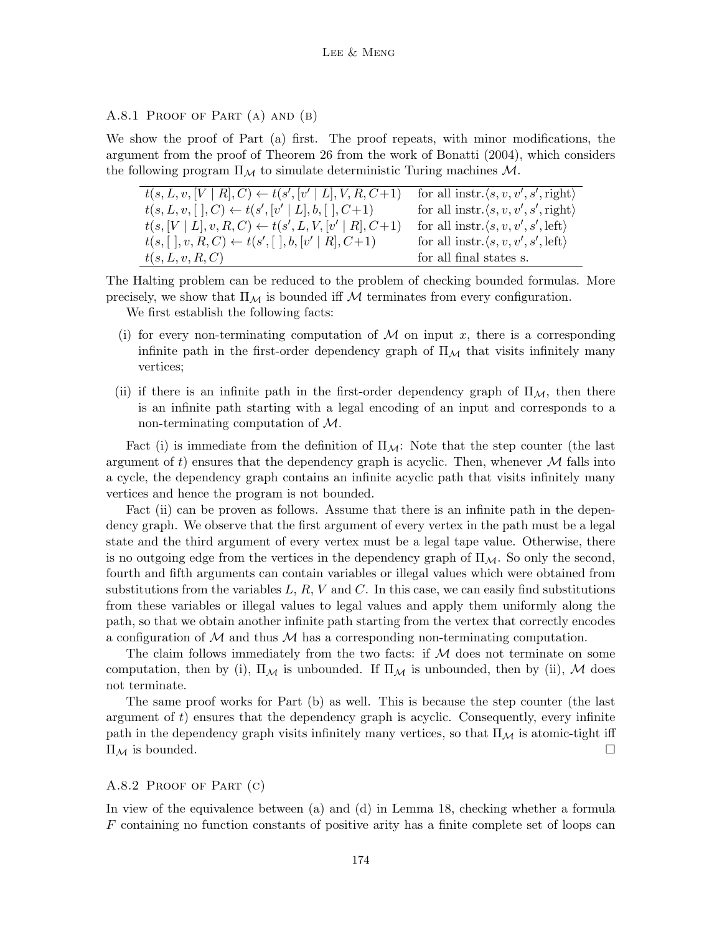A.8.1 PROOF OF PART (A) AND (B)

We show the proof of Part (a) first. The proof repeats, with minor modifications, the argument from the proof of Theorem 26 from the work of Bonatti (2004), which considers the following program  $\Pi_M$  to simulate deterministic Turing machines  $M$ .

| $t(s, L, v, [V   R], C) \leftarrow t(s', [v'   L], V, R, C+1)$     | for all instr. $\langle s, v, v', s', \text{right} \rangle$ |
|--------------------------------------------------------------------|-------------------------------------------------------------|
| $t(s, L, v, [\ ], C) \leftarrow t(s', [v' \   \ L], b, [\ ], C+1)$ | for all instr. $\langle s, v, v', s', \text{right} \rangle$ |
| $t(s,[V   L], v, R, C) \leftarrow t(s', L, V, [v'   R], C+1)$      | for all instr. $\langle s, v, v', s', \text{left} \rangle$  |
| $t(s, [\;], v, R, C) \leftarrow t(s', [\;], b, [v' \mid R], C+1)$  | for all instr. $\langle s, v, v', s', \text{left} \rangle$  |
| t(s, L, v, R, C)                                                   | for all final states s.                                     |

The Halting problem can be reduced to the problem of checking bounded formulas. More precisely, we show that  $\Pi_{\mathcal{M}}$  is bounded iff M terminates from every configuration.

We first establish the following facts:

- (i) for every non-terminating computation of  $\mathcal M$  on input x, there is a corresponding infinite path in the first-order dependency graph of  $\Pi_{\mathcal{M}}$  that visits infinitely many vertices;
- (ii) if there is an infinite path in the first-order dependency graph of  $\Pi_{\mathcal{M}}$ , then there is an infinite path starting with a legal encoding of an input and corresponds to a non-terminating computation of M.

Fact (i) is immediate from the definition of  $\Pi_{\mathcal{M}}$ : Note that the step counter (the last argument of t) ensures that the dependency graph is acyclic. Then, whenever  $\mathcal M$  falls into a cycle, the dependency graph contains an infinite acyclic path that visits infinitely many vertices and hence the program is not bounded.

Fact (ii) can be proven as follows. Assume that there is an infinite path in the dependency graph. We observe that the first argument of every vertex in the path must be a legal state and the third argument of every vertex must be a legal tape value. Otherwise, there is no outgoing edge from the vertices in the dependency graph of  $\Pi_{\mathcal{M}}$ . So only the second, fourth and fifth arguments can contain variables or illegal values which were obtained from substitutions from the variables  $L, R, V$  and  $C$ . In this case, we can easily find substitutions from these variables or illegal values to legal values and apply them uniformly along the path, so that we obtain another infinite path starting from the vertex that correctly encodes a configuration of  $\mathcal M$  and thus  $\mathcal M$  has a corresponding non-terminating computation.

The claim follows immediately from the two facts: if  $M$  does not terminate on some computation, then by (i),  $\Pi_{\mathcal{M}}$  is unbounded. If  $\Pi_{\mathcal{M}}$  is unbounded, then by (ii), M does not terminate.

The same proof works for Part (b) as well. This is because the step counter (the last argument of  $t$ ) ensures that the dependency graph is acyclic. Consequently, every infinite path in the dependency graph visits infinitely many vertices, so that  $\Pi_{\mathcal{M}}$  is atomic-tight iff  $\Pi_{\mathcal{M}}$  is bounded.

## A.8.2 Proof of Part (c)

In view of the equivalence between (a) and (d) in Lemma 18, checking whether a formula  $F$  containing no function constants of positive arity has a finite complete set of loops can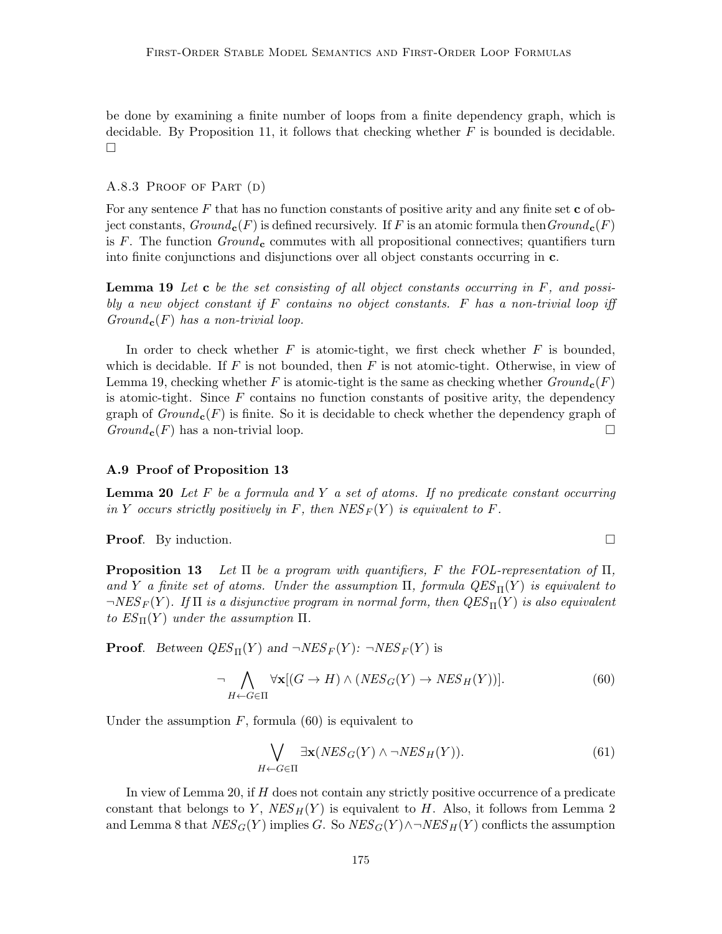be done by examining a finite number of loops from a finite dependency graph, which is decidable. By Proposition 11, it follows that checking whether  $F$  is bounded is decidable.  $\Box$ 

#### A.8.3 PROOF OF PART (D)

For any sentence  $F$  that has no function constants of positive arity and any finite set  $\bf c$  of object constants,  $Ground_{\mathbf{c}}(F)$  is defined recursively. If F is an atomic formula then  $Ground_{\mathbf{c}}(F)$ is F. The function  $Ground_{c}$  commutes with all propositional connectives; quantifiers turn into finite conjunctions and disjunctions over all object constants occurring in c.

**Lemma 19** Let  $\bf{c}$  be the set consisting of all object constants occurring in  $F$ , and possibly a new object constant if  $F$  contains no object constants.  $F$  has a non-trivial loop iff  $Ground_c(F)$  has a non-trivial loop.

In order to check whether  $F$  is atomic-tight, we first check whether  $F$  is bounded, which is decidable. If F is not bounded, then F is not atomic-tight. Otherwise, in view of Lemma 19, checking whether F is atomic-tight is the same as checking whether  $Ground_{c}(F)$ is atomic-tight. Since  $F$  contains no function constants of positive arity, the dependency graph of  $Ground_{c}(F)$  is finite. So it is decidable to check whether the dependency graph of  $Ground_{\mathbf{c}}(F)$  has a non-trivial loop.

#### A.9 Proof of Proposition 13

**Lemma 20** Let  $F$  be a formula and  $Y$  a set of atoms. If no predicate constant occurring in Y occurs strictly positively in F, then  $NES_F(Y)$  is equivalent to F.

**Proof.** By induction.

**Proposition 13** Let  $\Pi$  be a program with quantifiers, F the FOL-representation of  $\Pi$ , and Y a finite set of atoms. Under the assumption  $\Pi$ , formula  $QES_{\Pi}(Y)$  is equivalent to  $\neg NES_F(Y)$ . If  $\Pi$  is a disjunctive program in normal form, then  $QES_{\Pi}(Y)$  is also equivalent to  $ES_{\Pi}(Y)$  under the assumption  $\Pi$ .

**Proof.** Between  $QES_{\Pi}(Y)$  and  $\neg NES_{F}(Y)$ :  $\neg NES_{F}(Y)$  is

$$
\neg \bigwedge_{H \leftarrow G \in \Pi} \forall \mathbf{x} [(G \to H) \land (NES_G(Y) \to NES_H(Y))]. \tag{60}
$$

Under the assumption  $F$ , formula (60) is equivalent to

$$
\bigvee_{H \leftarrow G \in \Pi} \exists \mathbf{x} (NES_G(Y) \land \neg NES_H(Y)). \tag{61}
$$

In view of Lemma 20, if H does not contain any strictly positive occurrence of a predicate constant that belongs to Y,  $NES_H(Y)$  is equivalent to H. Also, it follows from Lemma 2 and Lemma 8 that  $NES_G(Y)$  implies G. So  $NES_G(Y) \wedge \neg NES_H(Y)$  conflicts the assumption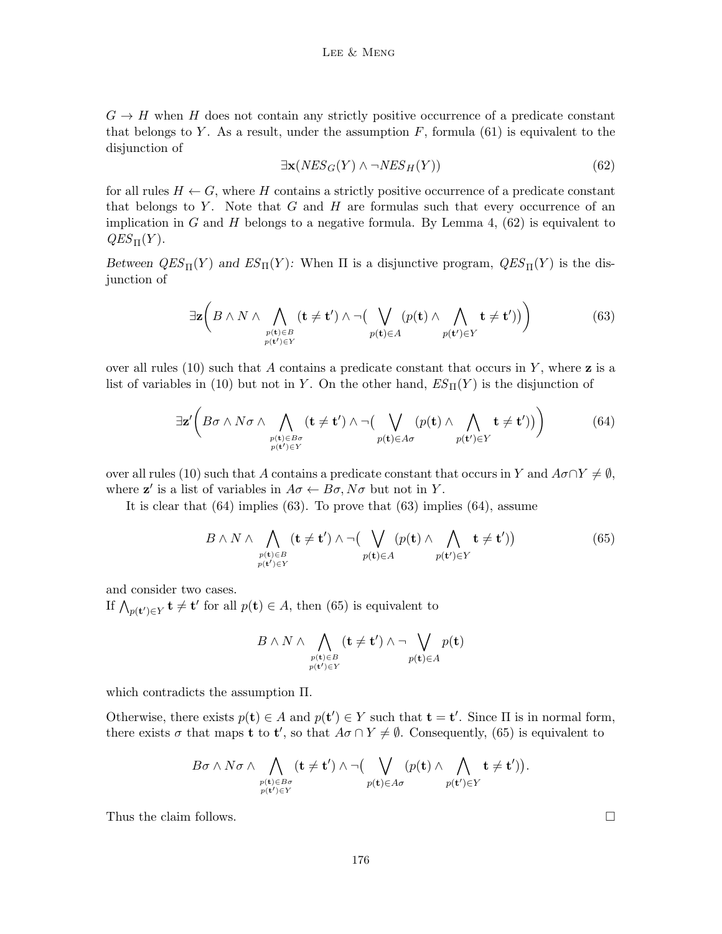$G \to H$  when H does not contain any strictly positive occurrence of a predicate constant that belongs to Y. As a result, under the assumption  $F$ , formula (61) is equivalent to the disjunction of

$$
\exists \mathbf{x}(NES_G(Y) \land \neg NES_H(Y)) \tag{62}
$$

for all rules  $H \leftarrow G$ , where H contains a strictly positive occurrence of a predicate constant that belongs to  $Y$ . Note that  $G$  and  $H$  are formulas such that every occurrence of an implication in G and H belongs to a negative formula. By Lemma 4,  $(62)$  is equivalent to  $QES_{\Pi}(Y)$ .

Between  $QES_{\Pi}(Y)$  and  $ES_{\Pi}(Y)$ : When  $\Pi$  is a disjunctive program,  $QES_{\Pi}(Y)$  is the disjunction of

$$
\exists \mathbf{z} \bigg( B \land N \land \bigwedge_{\substack{p(\mathbf{t}) \in B \\ p(\mathbf{t}') \in Y}} (\mathbf{t} \neq \mathbf{t}') \land \neg \big( \bigvee_{p(\mathbf{t}) \in A} (p(\mathbf{t}) \land \bigwedge_{p(\mathbf{t}') \in Y} \mathbf{t} \neq \mathbf{t}')\big) \bigg) \tag{63}
$$

over all rules (10) such that A contains a predicate constant that occurs in Y, where  $z$  is a list of variables in (10) but not in Y. On the other hand,  $ES_{\Pi}(Y)$  is the disjunction of

$$
\exists \mathbf{z'} \bigg( B \sigma \wedge N \sigma \wedge \bigwedge_{\substack{p(\mathbf{t}) \in B \sigma \\ p(\mathbf{t'}) \in Y}} (\mathbf{t} \neq \mathbf{t'}) \wedge \neg \big( \bigvee_{p(\mathbf{t}) \in A \sigma} (p(\mathbf{t}) \wedge \bigwedge_{p(\mathbf{t'}) \in Y} \mathbf{t} \neq \mathbf{t'})\big) \bigg) \tag{64}
$$

over all rules (10) such that A contains a predicate constant that occurs in Y and  $A\sigma \cap Y \neq \emptyset$ , where  $z'$  is a list of variables in  $A\sigma \leftarrow B\sigma, N\sigma$  but not in Y.

It is clear that (64) implies (63). To prove that (63) implies (64), assume

$$
B \wedge N \wedge \bigwedge_{\substack{p(\mathbf{t}) \in B \\ p(\mathbf{t}') \in Y}} (\mathbf{t} \neq \mathbf{t}') \wedge \neg \big( \bigvee_{p(\mathbf{t}) \in A} (p(\mathbf{t}) \wedge \bigwedge_{p(\mathbf{t}') \in Y} \mathbf{t} \neq \mathbf{t}') \big)
$$
(65)

and consider two cases.

If  $\bigwedge_{p(\mathbf{t}') \in Y} \mathbf{t} \neq \mathbf{t}'$  for all  $p(\mathbf{t}) \in A$ , then (65) is equivalent to

$$
B\wedge N\wedge \bigwedge\limits_{\substack{p(\mathbf{t})\in B \\ p(\mathbf{t}')\in Y}} (\mathbf{t}\neq \mathbf{t}')\wedge \neg \bigvee\limits_{p(\mathbf{t})\in A} p(\mathbf{t})
$$

which contradicts the assumption Π.

Otherwise, there exists  $p(\mathbf{t}) \in A$  and  $p(\mathbf{t}') \in Y$  such that  $\mathbf{t} = \mathbf{t}'$ . Since  $\Pi$  is in normal form, there exists  $\sigma$  that maps **t** to **t'**, so that  $A\sigma \cap Y \neq \emptyset$ . Consequently, (65) is equivalent to

$$
B\sigma\wedge N\sigma\wedge\bigwedge_{\substack{p(\mathbf{t})\in B\sigma\\p(\mathbf{t}')\in Y}}(\mathbf{t}\neq\mathbf{t}')\wedge\neg\big(\bigvee_{\substack{p(\mathbf{t})\in A\sigma}}(p(\mathbf{t})\wedge\bigwedge_{\substack{p(\mathbf{t}')\in Y}}\mathbf{t}\neq\mathbf{t}')\big).
$$

Thus the claim follows.  $\Box$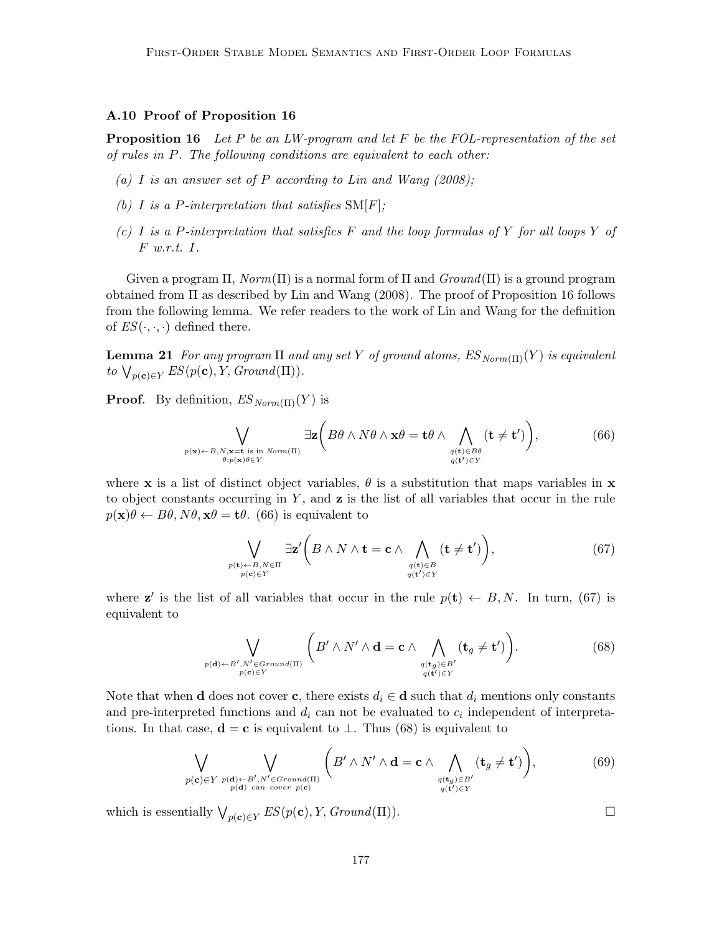## A.10 Proof of Proposition 16

**Proposition 16** Let P be an LW-program and let F be the FOL-representation of the set of rules in P. The following conditions are equivalent to each other:

- (a) I is an answer set of P according to Lin and Wang  $(2008)$ ;
- (b) I is a P-interpretation that satisfies  $SM[F]$ ;
- (c) I is a P-interpretation that satisfies F and the loop formulas of Y for all loops Y of F w.r.t. I.

Given a program  $\Pi$ ,  $Norm(\Pi)$  is a normal form of  $\Pi$  and  $Ground(\Pi)$  is a ground program obtained from Π as described by Lin and Wang (2008). The proof of Proposition 16 follows from the following lemma. We refer readers to the work of Lin and Wang for the definition of  $ES(\cdot, \cdot, \cdot)$  defined there.

**Lemma 21** For any program  $\Pi$  and any set Y of ground atoms,  $ES_{Norm(\Pi)}(Y)$  is equivalent to  $\bigvee_{p(\mathbf{c}) \in Y} ES(p(\mathbf{c}), Y, Ground(\Pi)).$ 

**Proof.** By definition,  $ES_{Norm(\Pi)}(Y)$  is

$$
\bigvee_{p(\mathbf{x}) \leftarrow B, N, \mathbf{x} = \mathbf{t} \text{ is in } Norm(\Pi)} \exists \mathbf{z} \bigg( B\theta \land N\theta \land \mathbf{x}\theta = \mathbf{t}\theta \land \bigwedge_{\substack{q(\mathbf{t}) \in B\theta \\ q(\mathbf{t}') \in Y}} (\mathbf{t} \neq \mathbf{t}') \bigg),\tag{66}
$$

where x is a list of distinct object variables,  $\theta$  is a substitution that maps variables in x to object constants occurring in  $Y$ , and  $\mathbf{z}$  is the list of all variables that occur in the rule  $p(\mathbf{x})\theta \leftarrow B\theta, N\theta, \mathbf{x}\theta = \mathbf{t}\theta$ . (66) is equivalent to

$$
\bigvee_{\substack{p(\mathbf{t}) \leftarrow B, N \in \Pi \\ p(\mathbf{c}) \in Y}} \exists \mathbf{z'} \bigg( B \land N \land \mathbf{t} = \mathbf{c} \land \bigwedge_{\substack{q(\mathbf{t}) \in B \\ q(\mathbf{t'}) \in Y}} (\mathbf{t} \neq \mathbf{t'}) \bigg),\tag{67}
$$

where **z'** is the list of all variables that occur in the rule  $p(t) \leftarrow B, N$ . In turn, (67) is equivalent to

$$
\bigvee_{\substack{p(\mathbf{d}) \leftarrow B', N' \in Ground(\Pi) \\ p(\mathbf{c}) \in Y}} \left( B' \wedge N' \wedge \mathbf{d} = \mathbf{c} \wedge \bigwedge_{\substack{q(\mathbf{t}_g) \in B' \\ q(\mathbf{t}') \in Y}} (\mathbf{t}_g \neq \mathbf{t}') \right). \tag{68}
$$

Note that when **d** does not cover **c**, there exists  $d_i \in \mathbf{d}$  such that  $d_i$  mentions only constants and pre-interpreted functions and  $d_i$  can not be evaluated to  $c_i$  independent of interpretations. In that case,  $\mathbf{d} = \mathbf{c}$  is equivalent to  $\perp$ . Thus (68) is equivalent to

$$
\bigvee_{p(\mathbf{c}) \in Y} \bigvee_{\substack{p(\mathbf{d}) \leftarrow B', N' \in Ground(\Pi) \\ p(\mathbf{d}) \ can \ cover \ p(\mathbf{c})}} \left( B' \wedge N' \wedge \mathbf{d} = \mathbf{c} \wedge \bigwedge_{\substack{q(\mathbf{t}_g) \in B' \\ q(\mathbf{t}') \in Y}} (\mathbf{t}_g \neq \mathbf{t}') \right),\tag{69}
$$

which is essentially  $\bigvee_{p(\mathbf{c}) \in Y} ES(p(\mathbf{c}), Y, Ground(\Pi)).$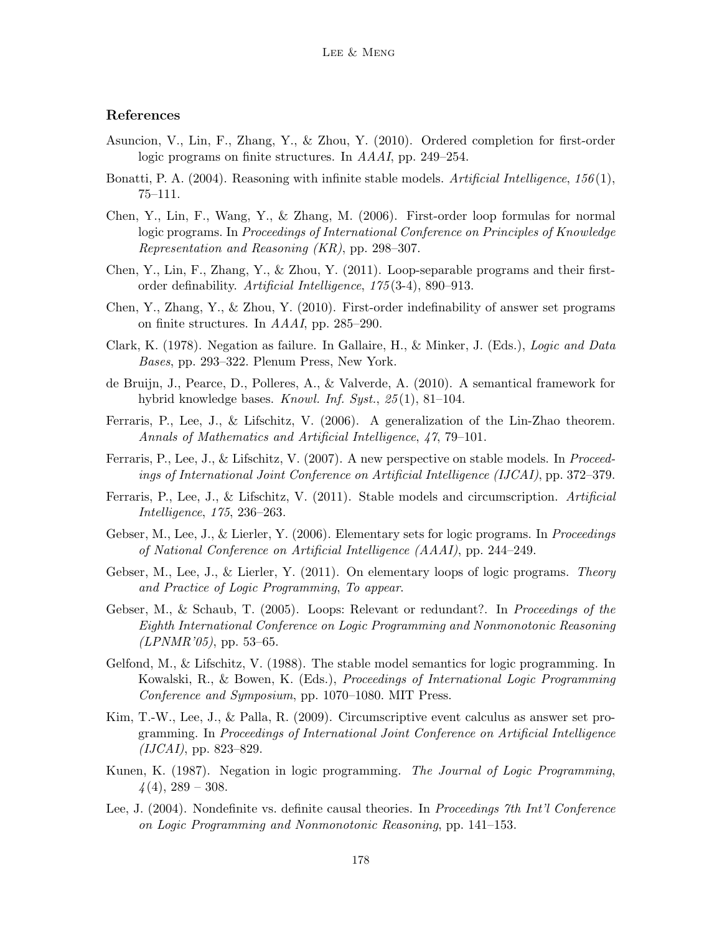## References

- Asuncion, V., Lin, F., Zhang, Y., & Zhou, Y. (2010). Ordered completion for first-order logic programs on finite structures. In AAAI, pp. 249–254.
- Bonatti, P. A. (2004). Reasoning with infinite stable models. Artificial Intelligence,  $156(1)$ , 75–111.
- Chen, Y., Lin, F., Wang, Y., & Zhang, M. (2006). First-order loop formulas for normal logic programs. In Proceedings of International Conference on Principles of Knowledge Representation and Reasoning (KR), pp. 298–307.
- Chen, Y., Lin, F., Zhang, Y., & Zhou, Y. (2011). Loop-separable programs and their firstorder definability. Artificial Intelligence, 175 (3-4), 890–913.
- Chen, Y., Zhang, Y., & Zhou, Y. (2010). First-order indefinability of answer set programs on finite structures. In AAAI, pp. 285–290.
- Clark, K. (1978). Negation as failure. In Gallaire, H., & Minker, J. (Eds.), Logic and Data Bases, pp. 293–322. Plenum Press, New York.
- de Bruijn, J., Pearce, D., Polleres, A., & Valverde, A. (2010). A semantical framework for hybrid knowledge bases. Knowl. Inf. Syst., 25 (1), 81–104.
- Ferraris, P., Lee, J., & Lifschitz, V. (2006). A generalization of the Lin-Zhao theorem. Annals of Mathematics and Artificial Intelligence, 47, 79–101.
- Ferraris, P., Lee, J., & Lifschitz, V. (2007). A new perspective on stable models. In *Proceed*ings of International Joint Conference on Artificial Intelligence (IJCAI), pp. 372–379.
- Ferraris, P., Lee, J., & Lifschitz, V. (2011). Stable models and circumscription. Artificial Intelligence, 175, 236–263.
- Gebser, M., Lee, J., & Lierler, Y. (2006). Elementary sets for logic programs. In *Proceedings* of National Conference on Artificial Intelligence (AAAI), pp. 244–249.
- Gebser, M., Lee, J., & Lierler, Y.  $(2011)$ . On elementary loops of logic programs. Theory and Practice of Logic Programming, To appear.
- Gebser, M., & Schaub, T. (2005). Loops: Relevant or redundant?. In *Proceedings of the* Eighth International Conference on Logic Programming and Nonmonotonic Reasoning  $(LPNMR'05)$ , pp. 53–65.
- Gelfond, M., & Lifschitz, V. (1988). The stable model semantics for logic programming. In Kowalski, R., & Bowen, K. (Eds.), Proceedings of International Logic Programming Conference and Symposium, pp. 1070–1080. MIT Press.
- Kim, T.-W., Lee, J., & Palla, R. (2009). Circumscriptive event calculus as answer set programming. In Proceedings of International Joint Conference on Artificial Intelligence  $(IJCAI),$  pp. 823–829.
- Kunen, K. (1987). Negation in logic programming. The Journal of Logic Programming,  $\frac{\cancel{4}(4)}{289} - 308.$
- Lee, J. (2004). Nondefinite vs. definite causal theories. In *Proceedings 7th Int'l Conference* on Logic Programming and Nonmonotonic Reasoning, pp. 141–153.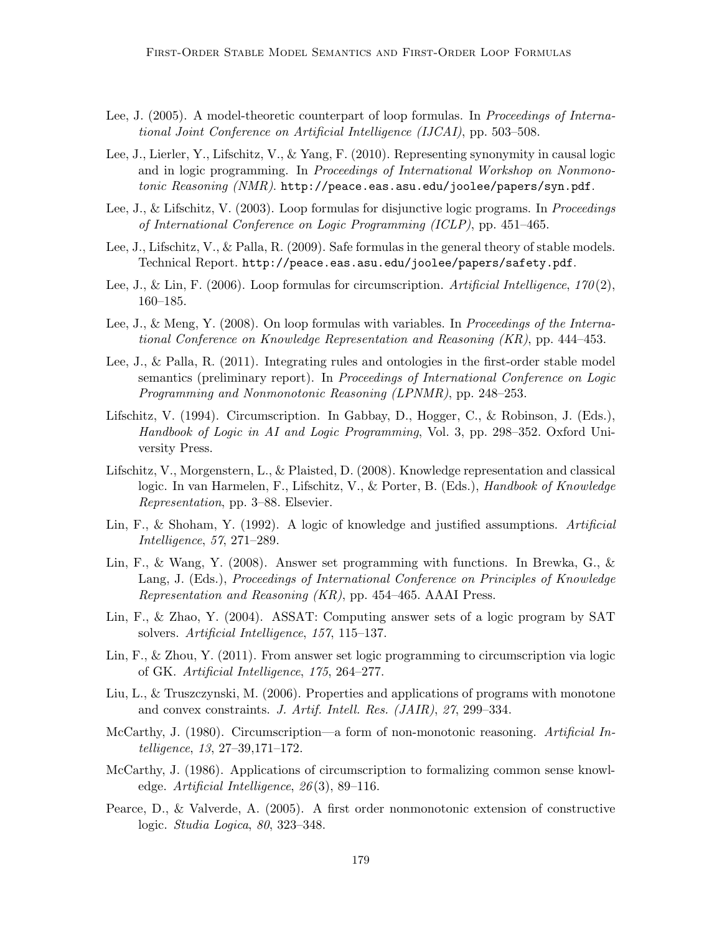- Lee, J. (2005). A model-theoretic counterpart of loop formulas. In Proceedings of International Joint Conference on Artificial Intelligence (IJCAI), pp. 503–508.
- Lee, J., Lierler, Y., Lifschitz, V., & Yang, F. (2010). Representing synonymity in causal logic and in logic programming. In Proceedings of International Workshop on Nonmonotonic  $Reasoning(NMR)$ . http://peace.eas.asu.edu/joolee/papers/syn.pdf.
- Lee, J., & Lifschitz, V. (2003). Loop formulas for disjunctive logic programs. In *Proceedings* of International Conference on Logic Programming (ICLP), pp. 451–465.
- Lee, J., Lifschitz, V., & Palla, R. (2009). Safe formulas in the general theory of stable models. Technical Report. http://peace.eas.asu.edu/joolee/papers/safety.pdf.
- Lee, J., & Lin, F. (2006). Loop formulas for circumscription. Artificial Intelligence,  $170(2)$ , 160–185.
- Lee, J., & Meng, Y. (2008). On loop formulas with variables. In *Proceedings of the Interna*tional Conference on Knowledge Representation and Reasoning (KR), pp. 444–453.
- Lee, J., & Palla, R. (2011). Integrating rules and ontologies in the first-order stable model semantics (preliminary report). In Proceedings of International Conference on Logic Programming and Nonmonotonic Reasoning (LPNMR), pp. 248–253.
- Lifschitz, V. (1994). Circumscription. In Gabbay, D., Hogger, C., & Robinson, J. (Eds.), Handbook of Logic in AI and Logic Programming, Vol. 3, pp. 298–352. Oxford University Press.
- Lifschitz, V., Morgenstern, L., & Plaisted, D. (2008). Knowledge representation and classical logic. In van Harmelen, F., Lifschitz, V., & Porter, B. (Eds.), Handbook of Knowledge Representation, pp. 3–88. Elsevier.
- Lin, F., & Shoham, Y. (1992). A logic of knowledge and justified assumptions. Artificial Intelligence, 57, 271–289.
- Lin, F., & Wang, Y. (2008). Answer set programming with functions. In Brewka, G., & Lang, J. (Eds.), *Proceedings of International Conference on Principles of Knowledge* Representation and Reasoning (KR), pp. 454–465. AAAI Press.
- Lin, F., & Zhao, Y. (2004). ASSAT: Computing answer sets of a logic program by SAT solvers. Artificial Intelligence, 157, 115–137.
- Lin, F., & Zhou, Y. (2011). From answer set logic programming to circumscription via logic of GK. Artificial Intelligence, 175, 264–277.
- Liu, L., & Truszczynski, M. (2006). Properties and applications of programs with monotone and convex constraints. J. Artif. Intell. Res. (JAIR), 27, 299–334.
- McCarthy, J. (1980). Circumscription—a form of non-monotonic reasoning. Artificial Intelligence, 13, 27–39,171–172.
- McCarthy, J. (1986). Applications of circumscription to formalizing common sense knowledge. Artificial Intelligence,  $26(3)$ , 89–116.
- Pearce, D., & Valverde, A. (2005). A first order nonmonotonic extension of constructive logic. Studia Logica, 80, 323–348.